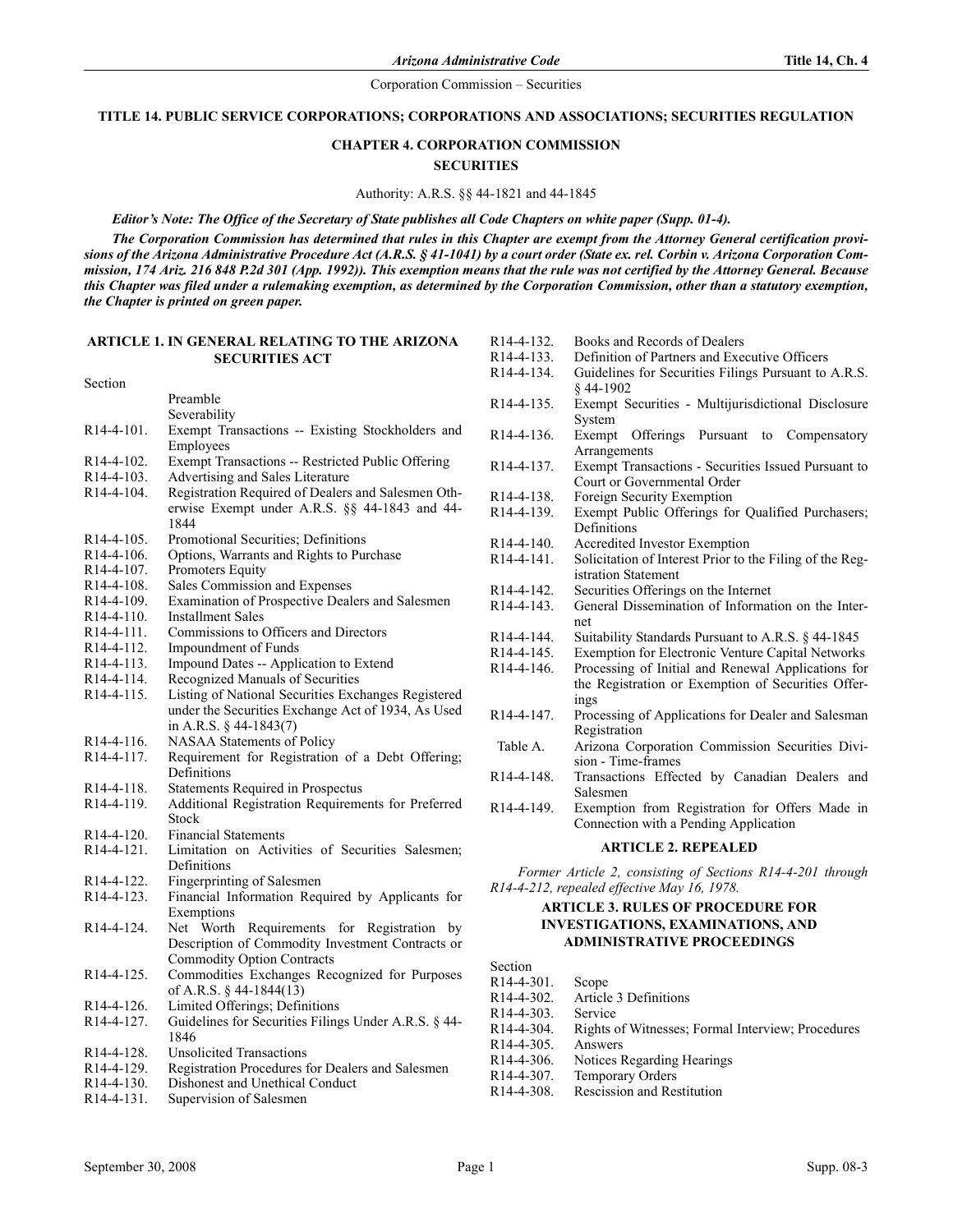#### TITLE 14. PUBLIC SERVICE CORPORATIONS; CORPORATIONS AND ASSOCIATIONS; SECURITIES REGULATION

# **CHAPTER 4. CORPORATION COMMISSION SECURITIES**

#### Authority: A.R.S. §§ 44-1821 and 44-1845

#### Editor's Note: The Office of the Secretary of State publishes all Code Chapters on white paper (Supp. 01-4).

The Corporation Commission has determined that rules in this Chapter are exempt from the Attorney General certification provisions of the Arizona Administrative Procedure Act (A.R.S. § 41-1041) by a court order (State ex. rel. Corbin v. Arizona Corporation Commission, 174 Ariz. 216 848 P.2d 301 (App. 1992)). This exemption means that the rule was not certified by the Attorney General. Because this Chapter was filed under a rulemaking exemption, as determined by the Corporation Commission, other than a statutory exemption, the Chapter is printed on green paper.

#### ARTICLE 1. IN GENERAL RELATING TO THE ARIZONA SECURITIES ACT

Section Preamble Severability R14-4-101. Exempt Transactions -- Existing Stockholders and Employees R14-4-102. Exempt Transactions -- Restricted Public Offering<br>R14-4-103. Advertising and Sales Literature Advertising and Sales Literature R14-4-104. Registration Required of Dealers and Salesmen Otherwise Exempt under A.R.S. §§ 44-1843 and 44- 1844 R14-4-105. Promotional Securities; Definitions R14-4-106. Options, Warrants and Rights to Purchase<br>R14-4-107. Promoters Equity R14-4-107. Promoters Equity<br>R14-4-108. Sales Commission Sales Commission and Expenses R14-4-109. Examination of Prospective Dealers and Salesmen R14-4-110. Installment Sales<br>R14-4-111. Commissions to 0 Commissions to Officers and Directors R14-4-112. Impoundment of Funds<br>R14-4-113. Impound Dates -- Appli R14-4-113. Impound Dates -- Application to Extend<br>R14-4-114. Recognized Manuals of Securities Recognized Manuals of Securities R14-4-115. Listing of National Securities Exchanges Registered under the Securities Exchange Act of 1934, As Used in A.R.S. § 44-1843(7) R14-4-116. NASAA Statements of Policy<br>R14-4-117. Requirement for Registration Requirement for Registration of a Debt Offering; Definitions R14-4-118. Statements Required in Prospectus<br>R14-4-119. Additional Registration Requirement Additional Registration Requirements for Preferred Stock R14-4-120. Financial Statements<br>R14-4-121. Limitation on Activ Limitation on Activities of Securities Salesmen; Definitions R14-4-122. Fingerprinting of Salesmen<br>R14-4-123. Financial Information Reg Financial Information Required by Applicants for Exemptions

- R14-4-124. Net Worth Requirements for Registration by Description of Commodity Investment Contracts or Commodity Option Contracts
- R14-4-125. Commodities Exchanges Recognized for Purposes of A.R.S. § 44-1844(13)
- R14-4-126. Limited Offerings; Definitions
- R14-4-127. Guidelines for Securities Filings Under A.R.S. § 44- 1846
- R14-4-128. Unsolicited Transactions
- R14-4-129. Registration Procedures for Dealers and Salesmen
- R14-4-130. Dishonest and Unethical Conduct
- R14-4-131. Supervision of Salesmen

| R <sub>14</sub> -4-132. | Books and Records of Dealers                             |  |  |  |  |
|-------------------------|----------------------------------------------------------|--|--|--|--|
| R <sub>14</sub> -4-133. | Definition of Partners and Executive Officers            |  |  |  |  |
| R <sub>14</sub> -4-134. | Guidelines for Securities Filings Pursuant to A.R.S.     |  |  |  |  |
|                         | \$44-1902                                                |  |  |  |  |
| R <sub>14</sub> -4-135. | Exempt Securities - Multijurisdictional Disclosure       |  |  |  |  |
|                         | System                                                   |  |  |  |  |
| R <sub>14</sub> -4-136. | Exempt<br>Offerings Pursuant to<br>Compensatory          |  |  |  |  |
|                         | Arrangements                                             |  |  |  |  |
| R <sub>14</sub> -4-137. | Exempt Transactions - Securities Issued Pursuant to      |  |  |  |  |
|                         | Court or Governmental Order                              |  |  |  |  |
| R <sub>14</sub> -4-138. | Foreign Security Exemption                               |  |  |  |  |
| R <sub>14</sub> -4-139. | Exempt Public Offerings for Qualified Purchasers;        |  |  |  |  |
|                         | Definitions                                              |  |  |  |  |
| $R14-4-140.$            | Accredited Investor Exemption                            |  |  |  |  |
| $R14-4-141$ .           | Solicitation of Interest Prior to the Filing of the Reg- |  |  |  |  |
|                         | istration Statement                                      |  |  |  |  |
| $R14-4-142$ .           | Securities Offerings on the Internet                     |  |  |  |  |
| R14-4-143.              | General Dissemination of Information on the Inter-       |  |  |  |  |
|                         | net                                                      |  |  |  |  |
| R <sub>14</sub> -4-144. | Suitability Standards Pursuant to A.R.S. § 44-1845       |  |  |  |  |
| R <sub>14</sub> -4-145. | Exemption for Electronic Venture Capital Networks        |  |  |  |  |
| R <sub>14</sub> -4-146. | Processing of Initial and Renewal Applications for       |  |  |  |  |
|                         | the Registration or Exemption of Securities Offer-       |  |  |  |  |
|                         | ings                                                     |  |  |  |  |
| R <sub>14</sub> -4-147. | Processing of Applications for Dealer and Salesman       |  |  |  |  |
|                         | Registration                                             |  |  |  |  |
| Table A.                | Arizona Corporation Commission Securities Divi-          |  |  |  |  |
|                         | sion - Time-frames                                       |  |  |  |  |
| R <sub>14</sub> -4-148. | Transactions Effected by Canadian Dealers and            |  |  |  |  |
|                         | Salesmen                                                 |  |  |  |  |
| R <sub>14</sub> -4-149. | Exemption from Registration for Offers Made in           |  |  |  |  |
|                         |                                                          |  |  |  |  |

#### ARTICLE 2. REPEALED

Former Article 2, consisting of Sections R14-4-201 through R14-4-212, repealed effective May 16, 1978.

# ARTICLE 3. RULES OF PROCEDURE FOR INVESTIGATIONS, EXAMINATIONS, AND ADMINISTRATIVE PROCEEDINGS

| Section                 |                                                   |
|-------------------------|---------------------------------------------------|
| $R14 - 4 - 301$ .       | Scope                                             |
| $R14 - 4 - 302$         | Article 3 Definitions                             |
| $R14 - 4 - 303$         | Service                                           |
| R <sub>14</sub> -4-304  | Rights of Witnesses; Formal Interview; Procedures |
| $R14 - 4 - 305$         | Answers                                           |
| $R14 - 4 - 306$ .       | Notices Regarding Hearings                        |
| R <sub>14</sub> -4-307. | <b>Temporary Orders</b>                           |
| R <sub>14</sub> -4-308. | <b>Rescission and Restitution</b>                 |
|                         |                                                   |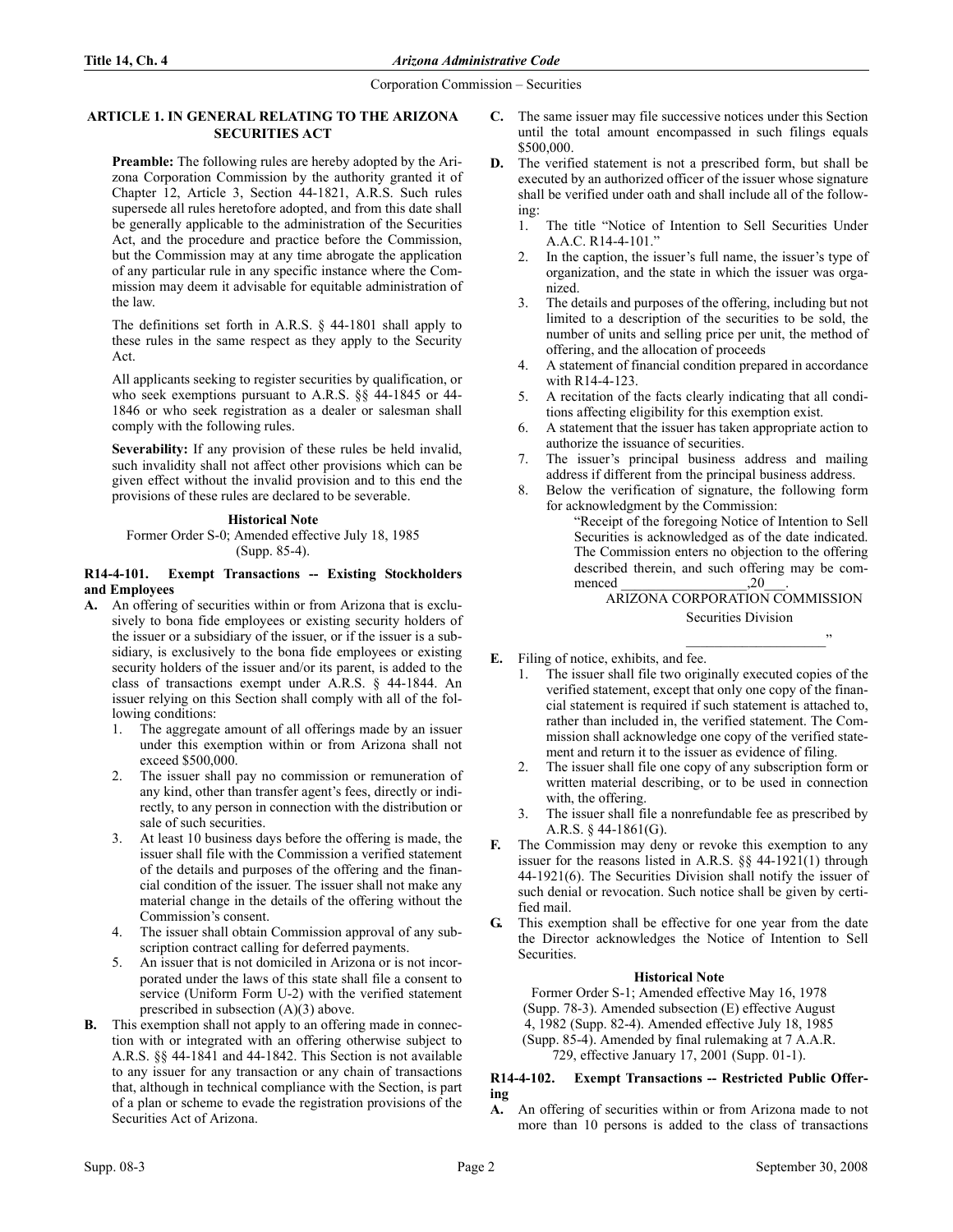# ARTICLE 1. IN GENERAL RELATING TO THE ARIZONA SECURITIES ACT

Preamble: The following rules are hereby adopted by the Arizona Corporation Commission by the authority granted it of Chapter 12, Article 3, Section 44-1821, A.R.S. Such rules supersede all rules heretofore adopted, and from this date shall be generally applicable to the administration of the Securities Act, and the procedure and practice before the Commission, but the Commission may at any time abrogate the application of any particular rule in any specific instance where the Commission may deem it advisable for equitable administration of the law.

The definitions set forth in A.R.S. § 44-1801 shall apply to these rules in the same respect as they apply to the Security Act.

All applicants seeking to register securities by qualification, or who seek exemptions pursuant to A.R.S. §§ 44-1845 or 44- 1846 or who seek registration as a dealer or salesman shall comply with the following rules.

Severability: If any provision of these rules be held invalid, such invalidity shall not affect other provisions which can be given effect without the invalid provision and to this end the provisions of these rules are declared to be severable.

# **Historical Note**

Former Order S-0; Amended effective July 18, 1985 (Supp. 85-4).

## R14-4-101. Exempt Transactions -- Existing Stockholders and Employees

- A. An offering of securities within or from Arizona that is exclusively to bona fide employees or existing security holders of the issuer or a subsidiary of the issuer, or if the issuer is a subsidiary, is exclusively to the bona fide employees or existing security holders of the issuer and/or its parent, is added to the class of transactions exempt under A.R.S. § 44-1844. An issuer relying on this Section shall comply with all of the following conditions:
	- 1. The aggregate amount of all offerings made by an issuer under this exemption within or from Arizona shall not exceed \$500,000.
	- 2. The issuer shall pay no commission or remuneration of any kind, other than transfer agent's fees, directly or indirectly, to any person in connection with the distribution or sale of such securities.
	- 3. At least 10 business days before the offering is made, the issuer shall file with the Commission a verified statement of the details and purposes of the offering and the financial condition of the issuer. The issuer shall not make any material change in the details of the offering without the Commission's consent.
	- The issuer shall obtain Commission approval of any subscription contract calling for deferred payments.
	- 5. An issuer that is not domiciled in Arizona or is not incorporated under the laws of this state shall file a consent to service (Uniform Form U-2) with the verified statement prescribed in subsection (A)(3) above.
- B. This exemption shall not apply to an offering made in connection with or integrated with an offering otherwise subject to A.R.S. §§ 44-1841 and 44-1842. This Section is not available to any issuer for any transaction or any chain of transactions that, although in technical compliance with the Section, is part of a plan or scheme to evade the registration provisions of the Securities Act of Arizona.
- C. The same issuer may file successive notices under this Section until the total amount encompassed in such filings equals \$500,000.
- D. The verified statement is not a prescribed form, but shall be executed by an authorized officer of the issuer whose signature shall be verified under oath and shall include all of the following:
	- 1. The title "Notice of Intention to Sell Securities Under A.A.C. R14-4-101."
	- 2. In the caption, the issuer's full name, the issuer's type of organization, and the state in which the issuer was organized.
	- 3. The details and purposes of the offering, including but not limited to a description of the securities to be sold, the number of units and selling price per unit, the method of offering, and the allocation of proceeds
	- 4. A statement of financial condition prepared in accordance with R14-4-123.
	- 5. A recitation of the facts clearly indicating that all conditions affecting eligibility for this exemption exist.
	- 6. A statement that the issuer has taken appropriate action to authorize the issuance of securities.
	- 7. The issuer's principal business address and mailing address if different from the principal business address.
	- 8. Below the verification of signature, the following form for acknowledgment by the Commission:
		- "Receipt of the foregoing Notice of Intention to Sell Securities is acknowledged as of the date indicated. The Commission enters no objection to the offering described therein, and such offering may be commenced \_\_\_\_\_\_\_\_\_\_\_\_\_\_\_\_\_\_,20\_\_\_.

# ARIZONA CORPORATION COMMISSION

Securities Division \_\_\_\_\_\_\_\_\_\_\_\_\_\_\_\_\_\_\_\_"

- E. Filing of notice, exhibits, and fee.
	- 1. The issuer shall file two originally executed copies of the verified statement, except that only one copy of the financial statement is required if such statement is attached to, rather than included in, the verified statement. The Commission shall acknowledge one copy of the verified statement and return it to the issuer as evidence of filing.
	- The issuer shall file one copy of any subscription form or written material describing, or to be used in connection with, the offering.
	- 3. The issuer shall file a nonrefundable fee as prescribed by A.R.S. § 44-1861(G).
- F. The Commission may deny or revoke this exemption to any issuer for the reasons listed in A.R.S. §§ 44-1921(1) through 44-1921(6). The Securities Division shall notify the issuer of such denial or revocation. Such notice shall be given by certified mail.
- G. This exemption shall be effective for one year from the date the Director acknowledges the Notice of Intention to Sell Securities.

## **Historical Note**

Former Order S-1; Amended effective May 16, 1978 (Supp. 78-3). Amended subsection (E) effective August 4, 1982 (Supp. 82-4). Amended effective July 18, 1985 (Supp. 85-4). Amended by final rulemaking at 7 A.A.R. 729, effective January 17, 2001 (Supp. 01-1).

## R14-4-102. Exempt Transactions -- Restricted Public Offering

A. An offering of securities within or from Arizona made to not more than 10 persons is added to the class of transactions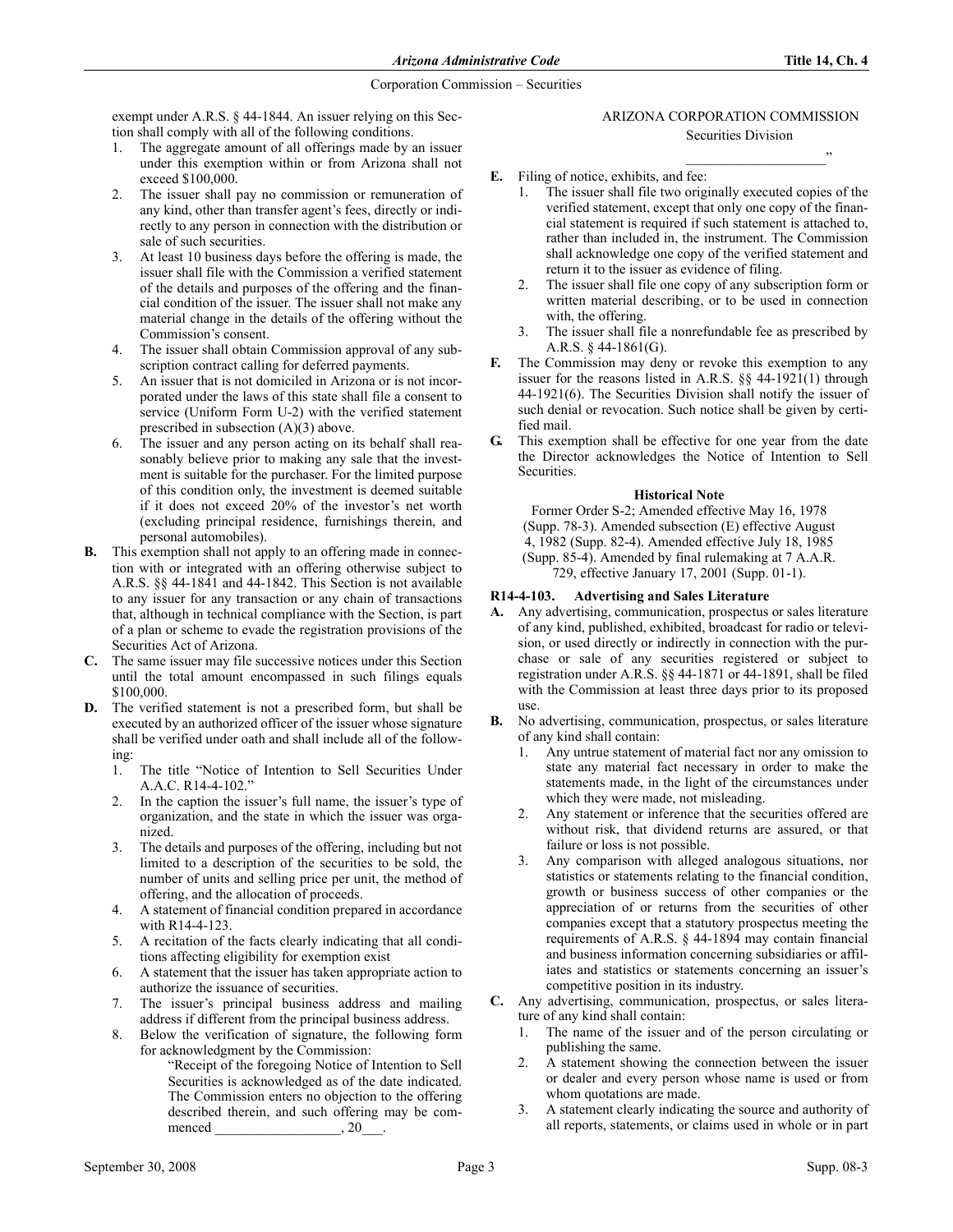exempt under A.R.S. § 44-1844. An issuer relying on this Section shall comply with all of the following conditions.

- 1. The aggregate amount of all offerings made by an issuer under this exemption within or from Arizona shall not exceed \$100,000.
- 2. The issuer shall pay no commission or remuneration of any kind, other than transfer agent's fees, directly or indirectly to any person in connection with the distribution or sale of such securities.
- 3. At least 10 business days before the offering is made, the issuer shall file with the Commission a verified statement of the details and purposes of the offering and the financial condition of the issuer. The issuer shall not make any material change in the details of the offering without the Commission's consent.
- 4. The issuer shall obtain Commission approval of any subscription contract calling for deferred payments.
- 5. An issuer that is not domiciled in Arizona or is not incorporated under the laws of this state shall file a consent to service (Uniform Form U-2) with the verified statement prescribed in subsection (A)(3) above.
- 6. The issuer and any person acting on its behalf shall reasonably believe prior to making any sale that the investment is suitable for the purchaser. For the limited purpose of this condition only, the investment is deemed suitable if it does not exceed 20% of the investor's net worth (excluding principal residence, furnishings therein, and personal automobiles).
- B. This exemption shall not apply to an offering made in connection with or integrated with an offering otherwise subject to A.R.S. §§ 44-1841 and 44-1842. This Section is not available to any issuer for any transaction or any chain of transactions that, although in technical compliance with the Section, is part of a plan or scheme to evade the registration provisions of the Securities Act of Arizona.
- C. The same issuer may file successive notices under this Section until the total amount encompassed in such filings equals \$100,000.
- D. The verified statement is not a prescribed form, but shall be executed by an authorized officer of the issuer whose signature shall be verified under oath and shall include all of the following:
	- 1. The title "Notice of Intention to Sell Securities Under A.A.C. R14-4-102."
	- 2. In the caption the issuer's full name, the issuer's type of organization, and the state in which the issuer was organized.
	- 3. The details and purposes of the offering, including but not limited to a description of the securities to be sold, the number of units and selling price per unit, the method of offering, and the allocation of proceeds.
	- 4. A statement of financial condition prepared in accordance with R14-4-123.
	- 5. A recitation of the facts clearly indicating that all conditions affecting eligibility for exemption exist
	- 6. A statement that the issuer has taken appropriate action to authorize the issuance of securities.
	- 7. The issuer's principal business address and mailing address if different from the principal business address.
	- 8. Below the verification of signature, the following form for acknowledgment by the Commission:
		- "Receipt of the foregoing Notice of Intention to Sell Securities is acknowledged as of the date indicated. The Commission enters no objection to the offering described therein, and such offering may be com-<br>menced  $\frac{20}{\sqrt{2}}$ . menced \_\_\_\_\_\_\_\_\_\_\_\_\_\_\_\_\_\_, 20\_\_\_.

# ARIZONA CORPORATION COMMISSION Securities Division

\_\_\_\_\_\_\_\_\_\_\_\_\_\_\_\_\_\_\_\_"

- E. Filing of notice, exhibits, and fee:
	- 1. The issuer shall file two originally executed copies of the verified statement, except that only one copy of the financial statement is required if such statement is attached to, rather than included in, the instrument. The Commission shall acknowledge one copy of the verified statement and return it to the issuer as evidence of filing.
	- 2. The issuer shall file one copy of any subscription form or written material describing, or to be used in connection with, the offering.
	- 3. The issuer shall file a nonrefundable fee as prescribed by A.R.S. § 44-1861(G).
- F. The Commission may deny or revoke this exemption to any issuer for the reasons listed in A.R.S.  $\S$ § 44-1921(1) through 44-1921(6). The Securities Division shall notify the issuer of such denial or revocation. Such notice shall be given by certified mail.
- G. This exemption shall be effective for one year from the date the Director acknowledges the Notice of Intention to Sell Securities.

# **Historical Note**

Former Order S-2; Amended effective May 16, 1978 (Supp. 78-3). Amended subsection (E) effective August 4, 1982 (Supp. 82-4). Amended effective July 18, 1985 (Supp. 85-4). Amended by final rulemaking at 7 A.A.R. 729, effective January 17, 2001 (Supp. 01-1).

# R14-4-103. Advertising and Sales Literature

- A. Any advertising, communication, prospectus or sales literature of any kind, published, exhibited, broadcast for radio or television, or used directly or indirectly in connection with the purchase or sale of any securities registered or subject to registration under A.R.S. §§ 44-1871 or 44-1891, shall be filed with the Commission at least three days prior to its proposed use.
- B. No advertising, communication, prospectus, or sales literature of any kind shall contain:
	- 1. Any untrue statement of material fact nor any omission to state any material fact necessary in order to make the statements made, in the light of the circumstances under which they were made, not misleading.
	- 2. Any statement or inference that the securities offered are without risk, that dividend returns are assured, or that failure or loss is not possible.
	- 3. Any comparison with alleged analogous situations, nor statistics or statements relating to the financial condition, growth or business success of other companies or the appreciation of or returns from the securities of other companies except that a statutory prospectus meeting the requirements of A.R.S. § 44-1894 may contain financial and business information concerning subsidiaries or affiliates and statistics or statements concerning an issuer's competitive position in its industry.
- C. Any advertising, communication, prospectus, or sales literature of any kind shall contain:
	- 1. The name of the issuer and of the person circulating or publishing the same.
	- 2. A statement showing the connection between the issuer or dealer and every person whose name is used or from whom quotations are made.
	- 3. A statement clearly indicating the source and authority of all reports, statements, or claims used in whole or in part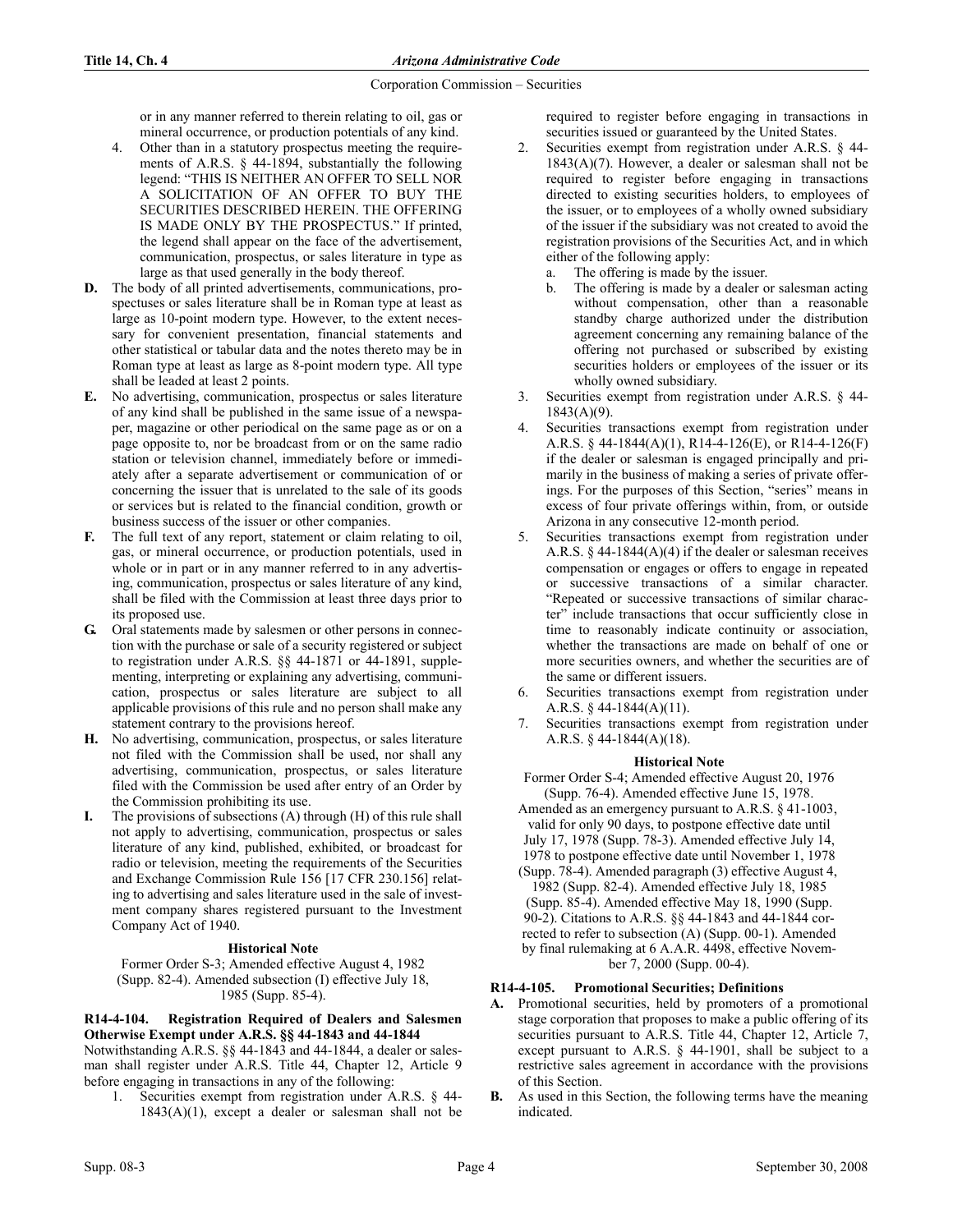or in any manner referred to therein relating to oil, gas or mineral occurrence, or production potentials of any kind.

- 4. Other than in a statutory prospectus meeting the requirements of A.R.S. § 44-1894, substantially the following legend: "THIS IS NEITHER AN OFFER TO SELL NOR A SOLICITATION OF AN OFFER TO BUY THE SECURITIES DESCRIBED HEREIN. THE OFFERING IS MADE ONLY BY THE PROSPECTUS." If printed, the legend shall appear on the face of the advertisement, communication, prospectus, or sales literature in type as large as that used generally in the body thereof.
- D. The body of all printed advertisements, communications, prospectuses or sales literature shall be in Roman type at least as large as 10-point modern type. However, to the extent necessary for convenient presentation, financial statements and other statistical or tabular data and the notes thereto may be in Roman type at least as large as 8-point modern type. All type shall be leaded at least 2 points.
- E. No advertising, communication, prospectus or sales literature of any kind shall be published in the same issue of a newspaper, magazine or other periodical on the same page as or on a page opposite to, nor be broadcast from or on the same radio station or television channel, immediately before or immediately after a separate advertisement or communication of or concerning the issuer that is unrelated to the sale of its goods or services but is related to the financial condition, growth or business success of the issuer or other companies.
- F. The full text of any report, statement or claim relating to oil, gas, or mineral occurrence, or production potentials, used in whole or in part or in any manner referred to in any advertising, communication, prospectus or sales literature of any kind, shall be filed with the Commission at least three days prior to its proposed use.
- G. Oral statements made by salesmen or other persons in connection with the purchase or sale of a security registered or subject to registration under A.R.S. §§ 44-1871 or 44-1891, supplementing, interpreting or explaining any advertising, communication, prospectus or sales literature are subject to all applicable provisions of this rule and no person shall make any statement contrary to the provisions hereof.
- H. No advertising, communication, prospectus, or sales literature not filed with the Commission shall be used, nor shall any advertising, communication, prospectus, or sales literature filed with the Commission be used after entry of an Order by the Commission prohibiting its use.
- The provisions of subsections  $(A)$  through  $(H)$  of this rule shall not apply to advertising, communication, prospectus or sales literature of any kind, published, exhibited, or broadcast for radio or television, meeting the requirements of the Securities and Exchange Commission Rule 156 [17 CFR 230.156] relating to advertising and sales literature used in the sale of investment company shares registered pursuant to the Investment Company Act of 1940.

## **Historical Note**

Former Order S-3; Amended effective August 4, 1982 (Supp. 82-4). Amended subsection (I) effective July 18, 1985 (Supp. 85-4).

# R14-4-104. Registration Required of Dealers and Salesmen Otherwise Exempt under A.R.S. §§ 44-1843 and 44-1844

Notwithstanding A.R.S. §§ 44-1843 and 44-1844, a dealer or salesman shall register under A.R.S. Title 44, Chapter 12, Article 9 before engaging in transactions in any of the following:

Securities exempt from registration under A.R.S. § 44- $1843(A)(1)$ , except a dealer or salesman shall not be required to register before engaging in transactions in securities issued or guaranteed by the United States.

- 2. Securities exempt from registration under A.R.S. § 44-  $1843(A)(7)$ . However, a dealer or salesman shall not be required to register before engaging in transactions directed to existing securities holders, to employees of the issuer, or to employees of a wholly owned subsidiary of the issuer if the subsidiary was not created to avoid the registration provisions of the Securities Act, and in which either of the following apply:
	- a. The offering is made by the issuer.
	- b. The offering is made by a dealer or salesman acting without compensation, other than a reasonable standby charge authorized under the distribution agreement concerning any remaining balance of the offering not purchased or subscribed by existing securities holders or employees of the issuer or its wholly owned subsidiary.
- 3. Securities exempt from registration under A.R.S. § 44-  $1843(A)(9)$ .
- 4. Securities transactions exempt from registration under A.R.S. § 44-1844(A)(1), R14-4-126(E), or R14-4-126(F) if the dealer or salesman is engaged principally and primarily in the business of making a series of private offerings. For the purposes of this Section, "series" means in excess of four private offerings within, from, or outside Arizona in any consecutive 12-month period.
- 5. Securities transactions exempt from registration under A.R.S. § 44-1844(A)(4) if the dealer or salesman receives compensation or engages or offers to engage in repeated or successive transactions of a similar character. "Repeated or successive transactions of similar character" include transactions that occur sufficiently close in time to reasonably indicate continuity or association, whether the transactions are made on behalf of one or more securities owners, and whether the securities are of the same or different issuers.
- 6. Securities transactions exempt from registration under A.R.S. § 44-1844(A)(11).
- 7. Securities transactions exempt from registration under A.R.S. § 44-1844(A)(18).

# **Historical Note**

Former Order S-4; Amended effective August 20, 1976 (Supp. 76-4). Amended effective June 15, 1978.

Amended as an emergency pursuant to A.R.S. § 41-1003, valid for only 90 days, to postpone effective date until July 17, 1978 (Supp. 78-3). Amended effective July 14, 1978 to postpone effective date until November 1, 1978 (Supp. 78-4). Amended paragraph (3) effective August 4, 1982 (Supp. 82-4). Amended effective July 18, 1985 (Supp. 85-4). Amended effective May 18, 1990 (Supp. 90-2). Citations to A.R.S. §§ 44-1843 and 44-1844 corrected to refer to subsection (A) (Supp. 00-1). Amended by final rulemaking at 6 A.A.R. 4498, effective November 7, 2000 (Supp. 00-4).

## R14-4-105. Promotional Securities; Definitions

- A. Promotional securities, held by promoters of a promotional stage corporation that proposes to make a public offering of its securities pursuant to A.R.S. Title 44, Chapter 12, Article 7, except pursuant to A.R.S. § 44-1901, shall be subject to a restrictive sales agreement in accordance with the provisions of this Section.
- B. As used in this Section, the following terms have the meaning indicated.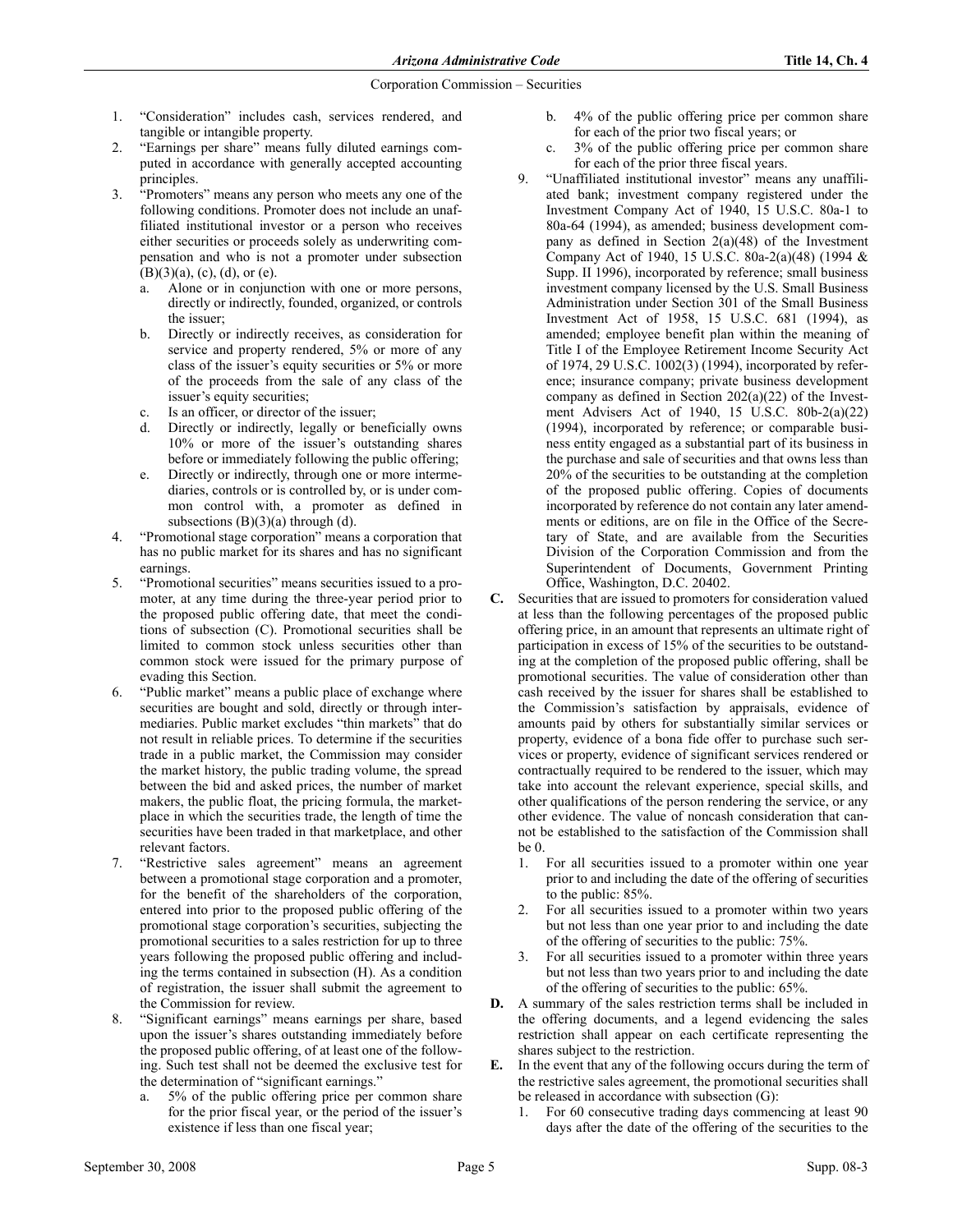- 1. "Consideration" includes cash, services rendered, and tangible or intangible property.
- 2. "Earnings per share" means fully diluted earnings computed in accordance with generally accepted accounting principles.
- 3. "Promoters" means any person who meets any one of the following conditions. Promoter does not include an unaffiliated institutional investor or a person who receives either securities or proceeds solely as underwriting compensation and who is not a promoter under subsection  $(B)(3)(a)$ ,  $(c)$ ,  $(d)$ , or  $(e)$ .
	- a. Alone or in conjunction with one or more persons, directly or indirectly, founded, organized, or controls the issuer;
	- b. Directly or indirectly receives, as consideration for service and property rendered, 5% or more of any class of the issuer's equity securities or 5% or more of the proceeds from the sale of any class of the issuer's equity securities;
	- c. Is an officer, or director of the issuer;
	- d. Directly or indirectly, legally or beneficially owns 10% or more of the issuer's outstanding shares before or immediately following the public offering;
	- e. Directly or indirectly, through one or more intermediaries, controls or is controlled by, or is under common control with, a promoter as defined in subsections  $(B)(3)(a)$  through  $(d)$ .
- 4. "Promotional stage corporation" means a corporation that has no public market for its shares and has no significant earnings.
- 5. "Promotional securities" means securities issued to a promoter, at any time during the three-year period prior to the proposed public offering date, that meet the conditions of subsection (C). Promotional securities shall be limited to common stock unless securities other than common stock were issued for the primary purpose of evading this Section.
- 6. "Public market" means a public place of exchange where securities are bought and sold, directly or through intermediaries. Public market excludes "thin markets" that do not result in reliable prices. To determine if the securities trade in a public market, the Commission may consider the market history, the public trading volume, the spread between the bid and asked prices, the number of market makers, the public float, the pricing formula, the marketplace in which the securities trade, the length of time the securities have been traded in that marketplace, and other relevant factors.
- 7. "Restrictive sales agreement" means an agreement between a promotional stage corporation and a promoter, for the benefit of the shareholders of the corporation, entered into prior to the proposed public offering of the promotional stage corporation's securities, subjecting the promotional securities to a sales restriction for up to three years following the proposed public offering and including the terms contained in subsection (H). As a condition of registration, the issuer shall submit the agreement to the Commission for review.
- 8. "Significant earnings" means earnings per share, based upon the issuer's shares outstanding immediately before the proposed public offering, of at least one of the following. Such test shall not be deemed the exclusive test for the determination of "significant earnings."
	- a. 5% of the public offering price per common share for the prior fiscal year, or the period of the issuer's existence if less than one fiscal year;
- b. 4% of the public offering price per common share for each of the prior two fiscal years; or
- c. 3% of the public offering price per common share for each of the prior three fiscal years.
- 9. "Unaffiliated institutional investor" means any unaffiliated bank; investment company registered under the Investment Company Act of 1940, 15 U.S.C. 80a-1 to 80a-64 (1994), as amended; business development company as defined in Section  $2(a)(48)$  of the Investment Company Act of 1940, 15 U.S.C. 80a-2(a)(48) (1994 & Supp. II 1996), incorporated by reference; small business investment company licensed by the U.S. Small Business Administration under Section 301 of the Small Business Investment Act of 1958, 15 U.S.C. 681 (1994), as amended; employee benefit plan within the meaning of Title I of the Employee Retirement Income Security Act of 1974, 29 U.S.C. 1002(3) (1994), incorporated by reference; insurance company; private business development company as defined in Section 202(a)(22) of the Investment Advisers Act of 1940, 15 U.S.C. 80b-2(a)(22) (1994), incorporated by reference; or comparable business entity engaged as a substantial part of its business in the purchase and sale of securities and that owns less than 20% of the securities to be outstanding at the completion of the proposed public offering. Copies of documents incorporated by reference do not contain any later amendments or editions, are on file in the Office of the Secretary of State, and are available from the Securities Division of the Corporation Commission and from the Superintendent of Documents, Government Printing Office, Washington, D.C. 20402.
- C. Securities that are issued to promoters for consideration valued at less than the following percentages of the proposed public offering price, in an amount that represents an ultimate right of participation in excess of 15% of the securities to be outstanding at the completion of the proposed public offering, shall be promotional securities. The value of consideration other than cash received by the issuer for shares shall be established to the Commission's satisfaction by appraisals, evidence of amounts paid by others for substantially similar services or property, evidence of a bona fide offer to purchase such services or property, evidence of significant services rendered or contractually required to be rendered to the issuer, which may take into account the relevant experience, special skills, and other qualifications of the person rendering the service, or any other evidence. The value of noncash consideration that cannot be established to the satisfaction of the Commission shall be 0.
	- 1. For all securities issued to a promoter within one year prior to and including the date of the offering of securities to the public: 85%.
	- 2. For all securities issued to a promoter within two years but not less than one year prior to and including the date of the offering of securities to the public: 75%.
	- 3. For all securities issued to a promoter within three years but not less than two years prior to and including the date of the offering of securities to the public: 65%.
- D. A summary of the sales restriction terms shall be included in the offering documents, and a legend evidencing the sales restriction shall appear on each certificate representing the shares subject to the restriction.
- E. In the event that any of the following occurs during the term of the restrictive sales agreement, the promotional securities shall be released in accordance with subsection (G):
	- 1. For 60 consecutive trading days commencing at least 90 days after the date of the offering of the securities to the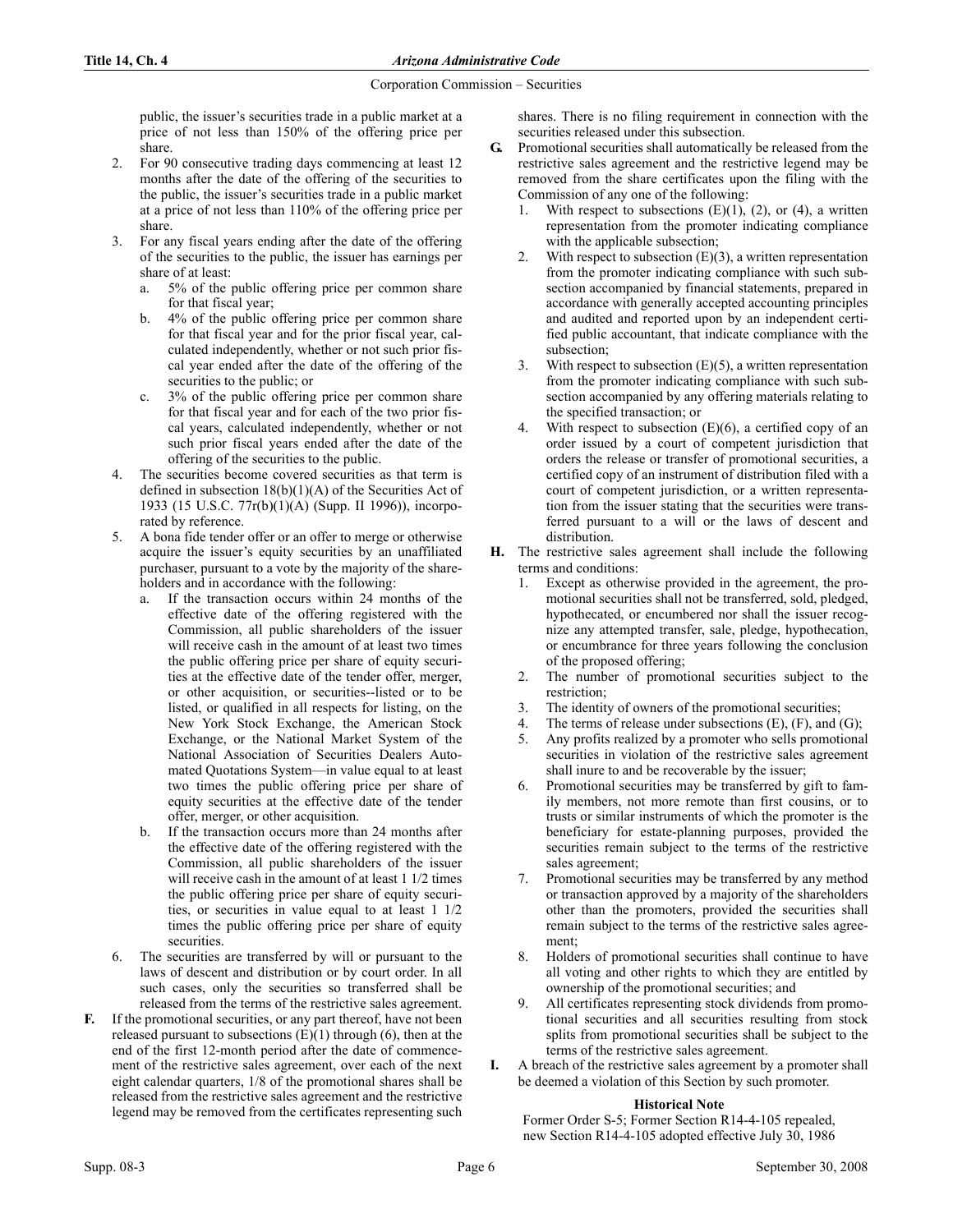public, the issuer's securities trade in a public market at a price of not less than 150% of the offering price per share.

- 2. For 90 consecutive trading days commencing at least 12 months after the date of the offering of the securities to the public, the issuer's securities trade in a public market at a price of not less than 110% of the offering price per share.
- 3. For any fiscal years ending after the date of the offering of the securities to the public, the issuer has earnings per share of at least:
	- a. 5% of the public offering price per common share for that fiscal year;
	- b. 4% of the public offering price per common share for that fiscal year and for the prior fiscal year, calculated independently, whether or not such prior fiscal year ended after the date of the offering of the securities to the public; or
	- c. 3% of the public offering price per common share for that fiscal year and for each of the two prior fiscal years, calculated independently, whether or not such prior fiscal years ended after the date of the offering of the securities to the public.
- 4. The securities become covered securities as that term is defined in subsection  $18(b)(1)(A)$  of the Securities Act of 1933 (15 U.S.C. 77r(b)(1)(A) (Supp. II 1996)), incorporated by reference.
- 5. A bona fide tender offer or an offer to merge or otherwise acquire the issuer's equity securities by an unaffiliated purchaser, pursuant to a vote by the majority of the shareholders and in accordance with the following:
	- If the transaction occurs within 24 months of the effective date of the offering registered with the Commission, all public shareholders of the issuer will receive cash in the amount of at least two times the public offering price per share of equity securities at the effective date of the tender offer, merger, or other acquisition, or securities--listed or to be listed, or qualified in all respects for listing, on the New York Stock Exchange, the American Stock Exchange, or the National Market System of the National Association of Securities Dealers Automated Quotations System—in value equal to at least two times the public offering price per share of equity securities at the effective date of the tender offer, merger, or other acquisition.
	- b. If the transaction occurs more than 24 months after the effective date of the offering registered with the Commission, all public shareholders of the issuer will receive cash in the amount of at least 1 1/2 times the public offering price per share of equity securities, or securities in value equal to at least 1 1/2 times the public offering price per share of equity securities.
- The securities are transferred by will or pursuant to the laws of descent and distribution or by court order. In all such cases, only the securities so transferred shall be released from the terms of the restrictive sales agreement.
- F. If the promotional securities, or any part thereof, have not been released pursuant to subsections  $(E)(1)$  through  $(6)$ , then at the end of the first 12-month period after the date of commencement of the restrictive sales agreement, over each of the next eight calendar quarters, 1/8 of the promotional shares shall be released from the restrictive sales agreement and the restrictive legend may be removed from the certificates representing such

shares. There is no filing requirement in connection with the securities released under this subsection.

- G. Promotional securities shall automatically be released from the restrictive sales agreement and the restrictive legend may be removed from the share certificates upon the filing with the Commission of any one of the following:
	- 1. With respect to subsections  $(E)(1)$ ,  $(2)$ , or  $(4)$ , a written representation from the promoter indicating compliance with the applicable subsection;
	- 2. With respect to subsection  $(E)(3)$ , a written representation from the promoter indicating compliance with such subsection accompanied by financial statements, prepared in accordance with generally accepted accounting principles and audited and reported upon by an independent certified public accountant, that indicate compliance with the subsection;
	- With respect to subsection  $(E)(5)$ , a written representation from the promoter indicating compliance with such subsection accompanied by any offering materials relating to the specified transaction; or
	- 4. With respect to subsection (E)(6), a certified copy of an order issued by a court of competent jurisdiction that orders the release or transfer of promotional securities, a certified copy of an instrument of distribution filed with a court of competent jurisdiction, or a written representation from the issuer stating that the securities were transferred pursuant to a will or the laws of descent and distribution.
- H. The restrictive sales agreement shall include the following terms and conditions:
	- 1. Except as otherwise provided in the agreement, the promotional securities shall not be transferred, sold, pledged, hypothecated, or encumbered nor shall the issuer recognize any attempted transfer, sale, pledge, hypothecation, or encumbrance for three years following the conclusion of the proposed offering;
	- 2. The number of promotional securities subject to the restriction;
	- 3. The identity of owners of the promotional securities;
	- 4. The terms of release under subsections (E), (F), and (G);
	- 5. Any profits realized by a promoter who sells promotional securities in violation of the restrictive sales agreement shall inure to and be recoverable by the issuer;
	- 6. Promotional securities may be transferred by gift to family members, not more remote than first cousins, or to trusts or similar instruments of which the promoter is the beneficiary for estate-planning purposes, provided the securities remain subject to the terms of the restrictive sales agreement;
	- Promotional securities may be transferred by any method or transaction approved by a majority of the shareholders other than the promoters, provided the securities shall remain subject to the terms of the restrictive sales agreement;
	- 8. Holders of promotional securities shall continue to have all voting and other rights to which they are entitled by ownership of the promotional securities; and
	- 9. All certificates representing stock dividends from promotional securities and all securities resulting from stock splits from promotional securities shall be subject to the terms of the restrictive sales agreement.
- I. A breach of the restrictive sales agreement by a promoter shall be deemed a violation of this Section by such promoter.

## **Historical Note**

Former Order S-5; Former Section R14-4-105 repealed, new Section R14-4-105 adopted effective July 30, 1986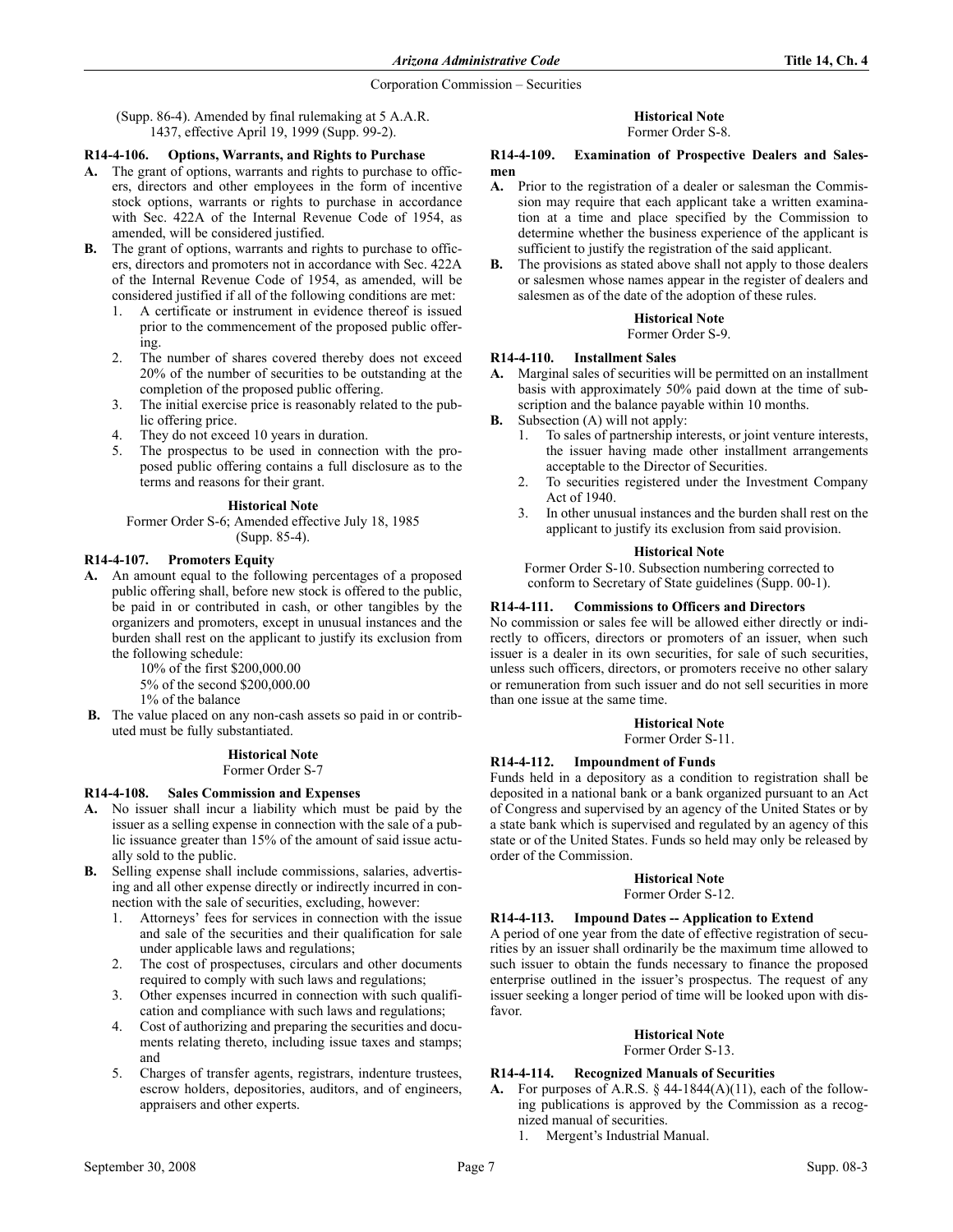(Supp. 86-4). Amended by final rulemaking at 5 A.A.R. 1437, effective April 19, 1999 (Supp. 99-2).

# R14-4-106. Options, Warrants, and Rights to Purchase

- A. The grant of options, warrants and rights to purchase to officers, directors and other employees in the form of incentive stock options, warrants or rights to purchase in accordance with Sec. 422A of the Internal Revenue Code of 1954, as amended, will be considered justified.
- B. The grant of options, warrants and rights to purchase to officers, directors and promoters not in accordance with Sec. 422A of the Internal Revenue Code of 1954, as amended, will be considered justified if all of the following conditions are met:
	- 1. A certificate or instrument in evidence thereof is issued prior to the commencement of the proposed public offering.
	- 2. The number of shares covered thereby does not exceed 20% of the number of securities to be outstanding at the completion of the proposed public offering.
	- 3. The initial exercise price is reasonably related to the public offering price.
	- 4. They do not exceed 10 years in duration.
	- 5. The prospectus to be used in connection with the proposed public offering contains a full disclosure as to the terms and reasons for their grant.

## **Historical Note**

Former Order S-6; Amended effective July 18, 1985 (Supp. 85-4).

#### R14-4-107. Promoters Equity

A. An amount equal to the following percentages of a proposed public offering shall, before new stock is offered to the public, be paid in or contributed in cash, or other tangibles by the organizers and promoters, except in unusual instances and the burden shall rest on the applicant to justify its exclusion from the following schedule:

10% of the first \$200,000.00

5% of the second \$200,000.00

1% of the balance

B. The value placed on any non-cash assets so paid in or contributed must be fully substantiated.

# **Historical Note**

Former Order S-7

# R14-4-108. Sales Commission and Expenses

- A. No issuer shall incur a liability which must be paid by the issuer as a selling expense in connection with the sale of a public issuance greater than 15% of the amount of said issue actually sold to the public.
- B. Selling expense shall include commissions, salaries, advertising and all other expense directly or indirectly incurred in connection with the sale of securities, excluding, however:
	- 1. Attorneys' fees for services in connection with the issue and sale of the securities and their qualification for sale under applicable laws and regulations;
	- 2. The cost of prospectuses, circulars and other documents required to comply with such laws and regulations;
	- 3. Other expenses incurred in connection with such qualification and compliance with such laws and regulations;
	- Cost of authorizing and preparing the securities and documents relating thereto, including issue taxes and stamps; and
	- 5. Charges of transfer agents, registrars, indenture trustees, escrow holders, depositories, auditors, and of engineers, appraisers and other experts.

# **Historical Note**

Former Order S-8.

#### R14-4-109. Examination of Prospective Dealers and Salesmen

- A. Prior to the registration of a dealer or salesman the Commission may require that each applicant take a written examination at a time and place specified by the Commission to determine whether the business experience of the applicant is sufficient to justify the registration of the said applicant.
- B. The provisions as stated above shall not apply to those dealers or salesmen whose names appear in the register of dealers and salesmen as of the date of the adoption of these rules.

# **Historical Note**

Former Order S-9.

## R14-4-110. Installment Sales

- A. Marginal sales of securities will be permitted on an installment basis with approximately 50% paid down at the time of subscription and the balance payable within 10 months.
- B. Subsection (A) will not apply:
	- 1. To sales of partnership interests, or joint venture interests, the issuer having made other installment arrangements acceptable to the Director of Securities.
	- 2. To securities registered under the Investment Company Act of 1940.
	- 3. In other unusual instances and the burden shall rest on the applicant to justify its exclusion from said provision.

#### **Historical Note**

Former Order S-10. Subsection numbering corrected to conform to Secretary of State guidelines (Supp. 00-1).

# R14-4-111. Commissions to Officers and Directors

No commission or sales fee will be allowed either directly or indirectly to officers, directors or promoters of an issuer, when such issuer is a dealer in its own securities, for sale of such securities, unless such officers, directors, or promoters receive no other salary or remuneration from such issuer and do not sell securities in more than one issue at the same time.

#### **Historical Note** Former Order S-11.

# R14-4-112. Impoundment of Funds

Funds held in a depository as a condition to registration shall be deposited in a national bank or a bank organized pursuant to an Act of Congress and supervised by an agency of the United States or by a state bank which is supervised and regulated by an agency of this state or of the United States. Funds so held may only be released by order of the Commission.

## **Historical Note**

Former Order S-12.

## R14-4-113. Impound Dates -- Application to Extend

A period of one year from the date of effective registration of securities by an issuer shall ordinarily be the maximum time allowed to such issuer to obtain the funds necessary to finance the proposed enterprise outlined in the issuer's prospectus. The request of any issuer seeking a longer period of time will be looked upon with disfavor.

# **Historical Note**

Former Order S-13.

## R14-4-114. Recognized Manuals of Securities

- A. For purposes of A.R.S.  $\&$  44-1844(A)(11), each of the following publications is approved by the Commission as a recognized manual of securities.
	- 1. Mergent's Industrial Manual.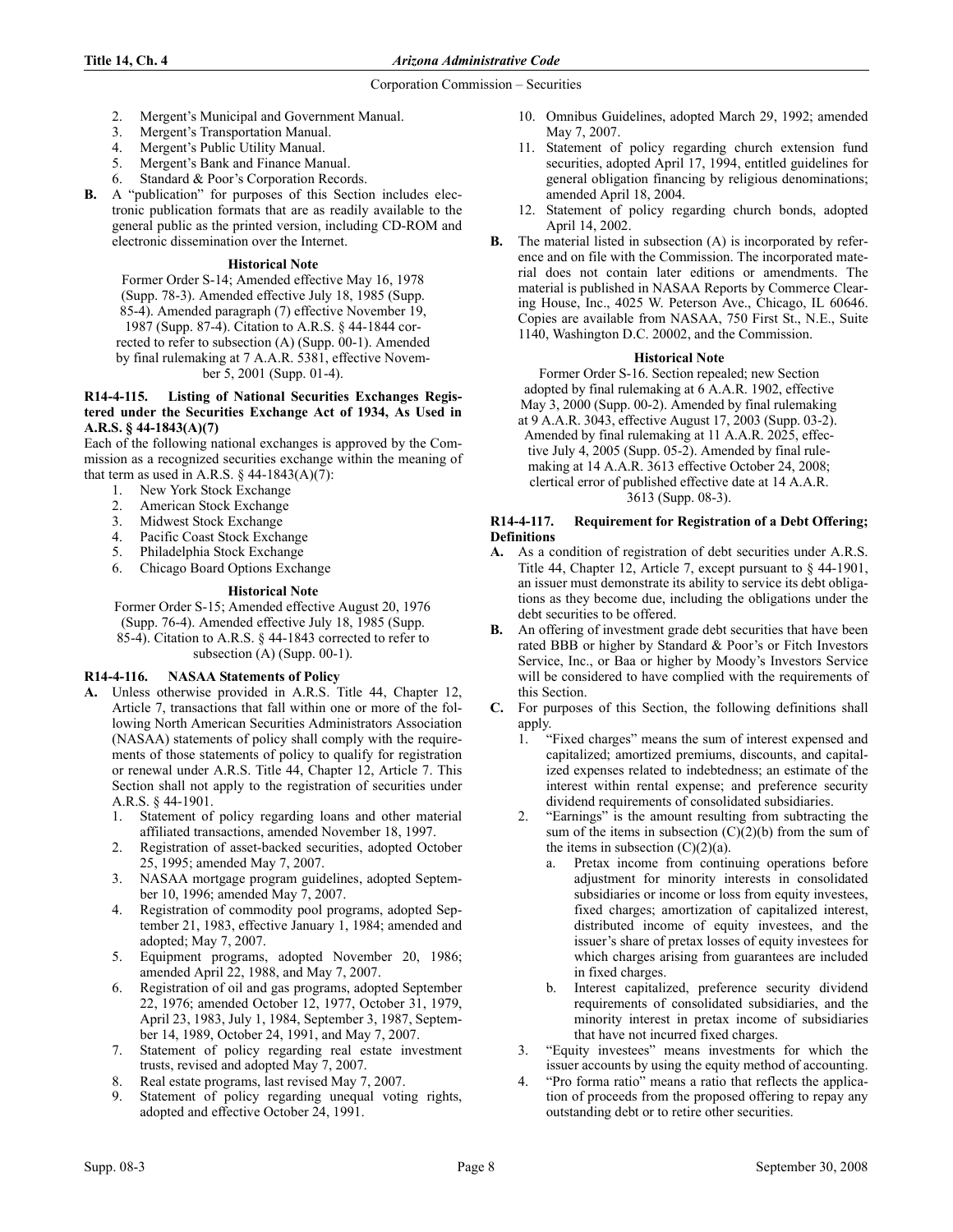- 2. Mergent's Municipal and Government Manual.
- 3. Mergent's Transportation Manual.
- 4. Mergent's Public Utility Manual.
- 5. Mergent's Bank and Finance Manual.
- 6. Standard & Poor's Corporation Records.
- B. A "publication" for purposes of this Section includes electronic publication formats that are as readily available to the general public as the printed version, including CD-ROM and electronic dissemination over the Internet.

# **Historical Note**

Former Order S-14; Amended effective May 16, 1978 (Supp. 78-3). Amended effective July 18, 1985 (Supp. 85-4). Amended paragraph (7) effective November 19, 1987 (Supp. 87-4). Citation to A.R.S. § 44-1844 corrected to refer to subsection (A) (Supp. 00-1). Amended by final rulemaking at 7 A.A.R. 5381, effective November 5, 2001 (Supp. 01-4).

#### R14-4-115. Listing of National Securities Exchanges Registered under the Securities Exchange Act of 1934, As Used in A.R.S. § 44-1843(A)(7)

Each of the following national exchanges is approved by the Commission as a recognized securities exchange within the meaning of that term as used in A.R.S.  $\S$  44-1843(A)(7):

- 1. New York Stock Exchange
- 2. American Stock Exchange
- 3. Midwest Stock Exchange
- 4. Pacific Coast Stock Exchange
- 5. Philadelphia Stock Exchange
- 6. Chicago Board Options Exchange

# **Historical Note**

Former Order S-15; Amended effective August 20, 1976 (Supp. 76-4). Amended effective July 18, 1985 (Supp. 85-4). Citation to A.R.S. § 44-1843 corrected to refer to subsection (A) (Supp. 00-1).

# R14-4-116. NASAA Statements of Policy

- A. Unless otherwise provided in A.R.S. Title 44, Chapter 12, Article 7, transactions that fall within one or more of the following North American Securities Administrators Association (NASAA) statements of policy shall comply with the requirements of those statements of policy to qualify for registration or renewal under A.R.S. Title 44, Chapter 12, Article 7. This Section shall not apply to the registration of securities under A.R.S. § 44-1901.
	- Statement of policy regarding loans and other material affiliated transactions, amended November 18, 1997.
	- 2. Registration of asset-backed securities, adopted October 25, 1995; amended May 7, 2007.
	- 3. NASAA mortgage program guidelines, adopted September 10, 1996; amended May 7, 2007.
	- 4. Registration of commodity pool programs, adopted September 21, 1983, effective January 1, 1984; amended and adopted; May 7, 2007.
	- 5. Equipment programs, adopted November 20, 1986; amended April 22, 1988, and May 7, 2007.
	- 6. Registration of oil and gas programs, adopted September 22, 1976; amended October 12, 1977, October 31, 1979, April 23, 1983, July 1, 1984, September 3, 1987, September 14, 1989, October 24, 1991, and May 7, 2007.
	- 7. Statement of policy regarding real estate investment trusts, revised and adopted May 7, 2007.
	- 8. Real estate programs, last revised May 7, 2007.
	- Statement of policy regarding unequal voting rights, adopted and effective October 24, 1991.
- 10. Omnibus Guidelines, adopted March 29, 1992; amended May 7, 2007.
- 11. Statement of policy regarding church extension fund securities, adopted April 17, 1994, entitled guidelines for general obligation financing by religious denominations; amended April 18, 2004.
- 12. Statement of policy regarding church bonds, adopted April 14, 2002.
- B. The material listed in subsection (A) is incorporated by reference and on file with the Commission. The incorporated material does not contain later editions or amendments. The material is published in NASAA Reports by Commerce Clearing House, Inc., 4025 W. Peterson Ave., Chicago, IL 60646. Copies are available from NASAA, 750 First St., N.E., Suite 1140, Washington D.C. 20002, and the Commission.

## **Historical Note**

Former Order S-16. Section repealed; new Section adopted by final rulemaking at 6 A.A.R. 1902, effective May 3, 2000 (Supp. 00-2). Amended by final rulemaking

at 9 A.A.R. 3043, effective August 17, 2003 (Supp. 03-2). Amended by final rulemaking at 11 A.A.R. 2025, effective July 4, 2005 (Supp. 05-2). Amended by final rulemaking at 14 A.A.R. 3613 effective October 24, 2008; clertical error of published effective date at 14 A.A.R. 3613 (Supp. 08-3).

# R14-4-117. Requirement for Registration of a Debt Offering; Definitions

- A. As a condition of registration of debt securities under A.R.S. Title 44, Chapter 12, Article 7, except pursuant to § 44-1901, an issuer must demonstrate its ability to service its debt obligations as they become due, including the obligations under the debt securities to be offered.
- B. An offering of investment grade debt securities that have been rated BBB or higher by Standard & Poor's or Fitch Investors Service, Inc., or Baa or higher by Moody's Investors Service will be considered to have complied with the requirements of this Section.
- C. For purposes of this Section, the following definitions shall apply.
	- 1. "Fixed charges" means the sum of interest expensed and capitalized; amortized premiums, discounts, and capitalized expenses related to indebtedness; an estimate of the interest within rental expense; and preference security dividend requirements of consolidated subsidiaries.
	- 2. "Earnings" is the amount resulting from subtracting the sum of the items in subsection  $(C)(2)(b)$  from the sum of the items in subsection  $(C)(2)(a)$ .
		- a. Pretax income from continuing operations before adjustment for minority interests in consolidated subsidiaries or income or loss from equity investees, fixed charges; amortization of capitalized interest, distributed income of equity investees, and the issuer's share of pretax losses of equity investees for which charges arising from guarantees are included in fixed charges.
		- b. Interest capitalized, preference security dividend requirements of consolidated subsidiaries, and the minority interest in pretax income of subsidiaries that have not incurred fixed charges.
	- 3. "Equity investees" means investments for which the issuer accounts by using the equity method of accounting.
	- 4. "Pro forma ratio" means a ratio that reflects the application of proceeds from the proposed offering to repay any outstanding debt or to retire other securities.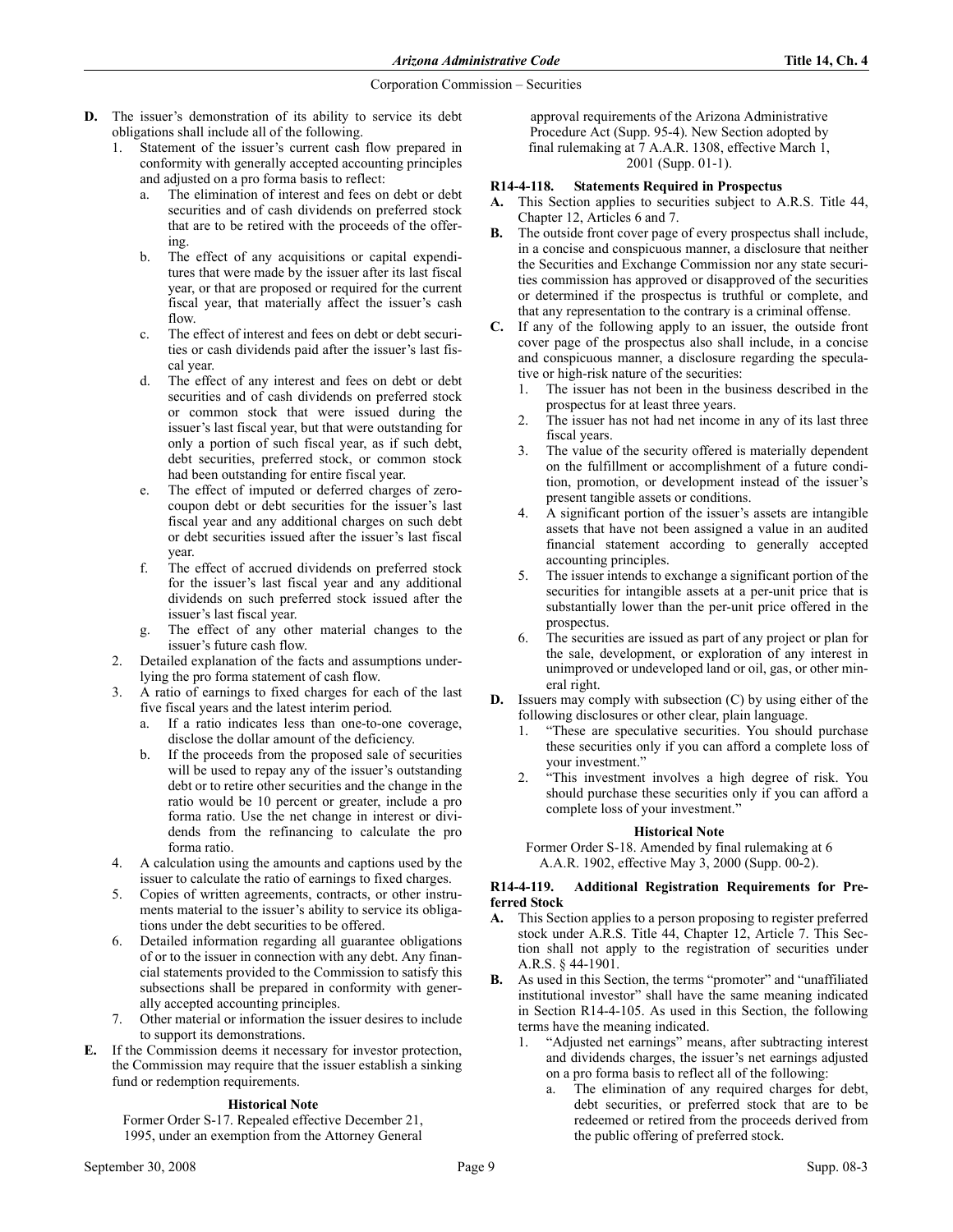- D. The issuer's demonstration of its ability to service its debt obligations shall include all of the following.
	- 1. Statement of the issuer's current cash flow prepared in conformity with generally accepted accounting principles and adjusted on a pro forma basis to reflect:
		- a. The elimination of interest and fees on debt or debt securities and of cash dividends on preferred stock that are to be retired with the proceeds of the offering.
		- b. The effect of any acquisitions or capital expenditures that were made by the issuer after its last fiscal year, or that are proposed or required for the current fiscal year, that materially affect the issuer's cash flow.
		- c. The effect of interest and fees on debt or debt securities or cash dividends paid after the issuer's last fiscal year.
		- d. The effect of any interest and fees on debt or debt securities and of cash dividends on preferred stock or common stock that were issued during the issuer's last fiscal year, but that were outstanding for only a portion of such fiscal year, as if such debt, debt securities, preferred stock, or common stock had been outstanding for entire fiscal year.
		- e. The effect of imputed or deferred charges of zerocoupon debt or debt securities for the issuer's last fiscal year and any additional charges on such debt or debt securities issued after the issuer's last fiscal year.
		- f. The effect of accrued dividends on preferred stock for the issuer's last fiscal year and any additional dividends on such preferred stock issued after the issuer's last fiscal year.
		- g. The effect of any other material changes to the issuer's future cash flow.
	- 2. Detailed explanation of the facts and assumptions underlying the pro forma statement of cash flow.
	- 3. A ratio of earnings to fixed charges for each of the last five fiscal years and the latest interim period.
		- a. If a ratio indicates less than one-to-one coverage, disclose the dollar amount of the deficiency.
		- b. If the proceeds from the proposed sale of securities will be used to repay any of the issuer's outstanding debt or to retire other securities and the change in the ratio would be 10 percent or greater, include a pro forma ratio. Use the net change in interest or dividends from the refinancing to calculate the pro forma ratio.
	- 4. A calculation using the amounts and captions used by the issuer to calculate the ratio of earnings to fixed charges.
	- 5. Copies of written agreements, contracts, or other instruments material to the issuer's ability to service its obligations under the debt securities to be offered.
	- 6. Detailed information regarding all guarantee obligations of or to the issuer in connection with any debt. Any financial statements provided to the Commission to satisfy this subsections shall be prepared in conformity with generally accepted accounting principles.
	- 7. Other material or information the issuer desires to include to support its demonstrations.
- E. If the Commission deems it necessary for investor protection, the Commission may require that the issuer establish a sinking fund or redemption requirements.

## **Historical Note**

Former Order S-17. Repealed effective December 21, 1995, under an exemption from the Attorney General

approval requirements of the Arizona Administrative Procedure Act (Supp. 95-4). New Section adopted by final rulemaking at 7 A.A.R. 1308, effective March 1, 2001 (Supp. 01-1).

# R14-4-118. Statements Required in Prospectus

- A. This Section applies to securities subject to A.R.S. Title 44, Chapter 12, Articles 6 and 7.
- B. The outside front cover page of every prospectus shall include, in a concise and conspicuous manner, a disclosure that neither the Securities and Exchange Commission nor any state securities commission has approved or disapproved of the securities or determined if the prospectus is truthful or complete, and that any representation to the contrary is a criminal offense.
- C. If any of the following apply to an issuer, the outside front cover page of the prospectus also shall include, in a concise and conspicuous manner, a disclosure regarding the speculative or high-risk nature of the securities:
	- 1. The issuer has not been in the business described in the prospectus for at least three years.
	- 2. The issuer has not had net income in any of its last three fiscal years.
	- 3. The value of the security offered is materially dependent on the fulfillment or accomplishment of a future condition, promotion, or development instead of the issuer's present tangible assets or conditions.
	- 4. A significant portion of the issuer's assets are intangible assets that have not been assigned a value in an audited financial statement according to generally accepted accounting principles.
	- 5. The issuer intends to exchange a significant portion of the securities for intangible assets at a per-unit price that is substantially lower than the per-unit price offered in the prospectus.
	- 6. The securities are issued as part of any project or plan for the sale, development, or exploration of any interest in unimproved or undeveloped land or oil, gas, or other mineral right.
- D. Issuers may comply with subsection (C) by using either of the following disclosures or other clear, plain language.
	- 1. "These are speculative securities. You should purchase these securities only if you can afford a complete loss of your investment."
	- 2. "This investment involves a high degree of risk. You should purchase these securities only if you can afford a complete loss of your investment."

## **Historical Note**

Former Order S-18. Amended by final rulemaking at 6 A.A.R. 1902, effective May 3, 2000 (Supp. 00-2).

## R14-4-119. Additional Registration Requirements for Preferred Stock

- A. This Section applies to a person proposing to register preferred stock under A.R.S. Title 44, Chapter 12, Article 7. This Section shall not apply to the registration of securities under A.R.S. § 44-1901.
- B. As used in this Section, the terms "promoter" and "unaffiliated institutional investor" shall have the same meaning indicated in Section R14-4-105. As used in this Section, the following terms have the meaning indicated.
	- "Adjusted net earnings" means, after subtracting interest and dividends charges, the issuer's net earnings adjusted on a pro forma basis to reflect all of the following:
		- a. The elimination of any required charges for debt, debt securities, or preferred stock that are to be redeemed or retired from the proceeds derived from the public offering of preferred stock.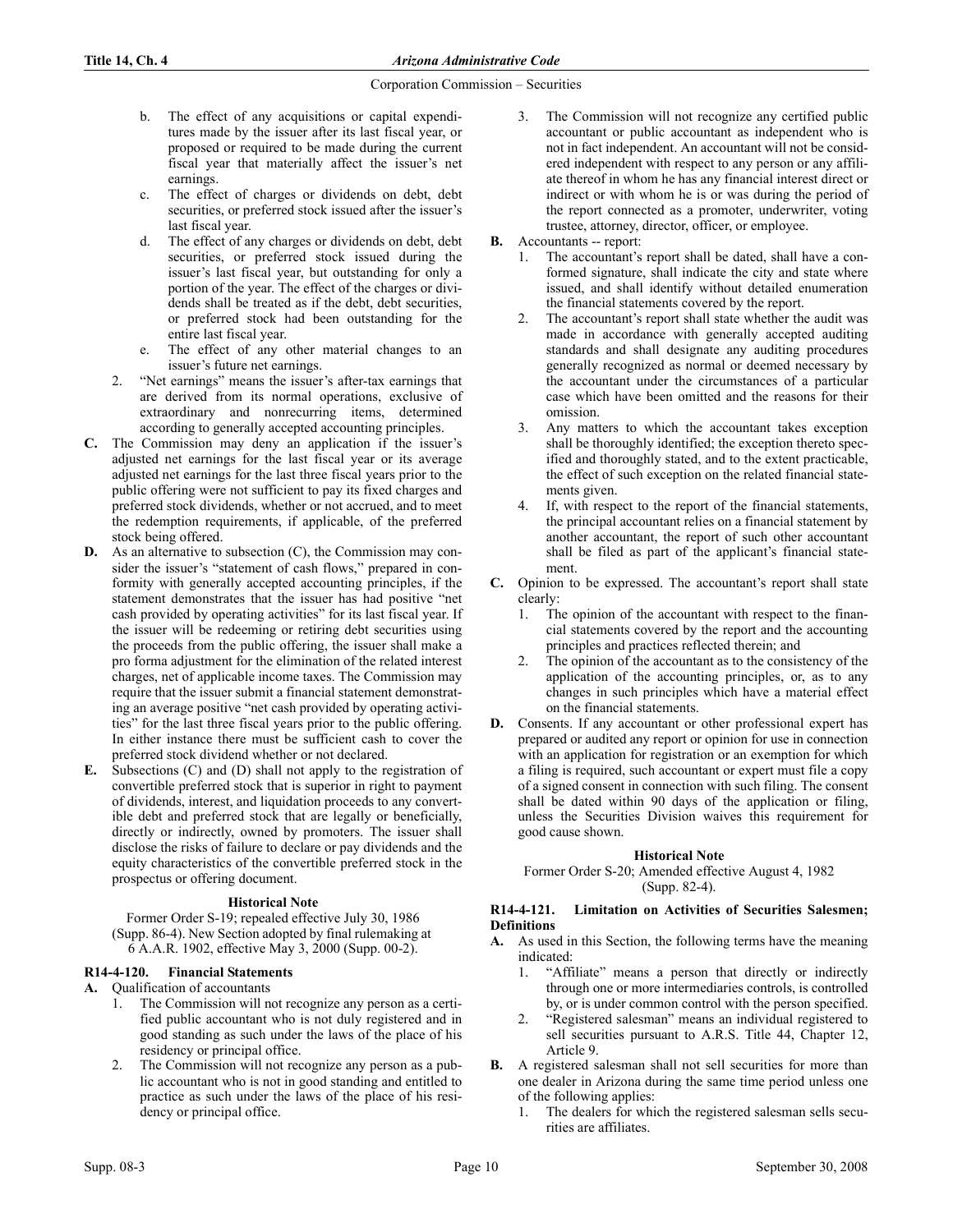- b. The effect of any acquisitions or capital expenditures made by the issuer after its last fiscal year, or proposed or required to be made during the current fiscal year that materially affect the issuer's net earnings.
- c. The effect of charges or dividends on debt, debt securities, or preferred stock issued after the issuer's last fiscal year.
- d. The effect of any charges or dividends on debt, debt securities, or preferred stock issued during the issuer's last fiscal year, but outstanding for only a portion of the year. The effect of the charges or dividends shall be treated as if the debt, debt securities, or preferred stock had been outstanding for the entire last fiscal year.
- e. The effect of any other material changes to an issuer's future net earnings.
- 2. "Net earnings" means the issuer's after-tax earnings that are derived from its normal operations, exclusive of extraordinary and nonrecurring items, determined according to generally accepted accounting principles.
- C. The Commission may deny an application if the issuer's adjusted net earnings for the last fiscal year or its average adjusted net earnings for the last three fiscal years prior to the public offering were not sufficient to pay its fixed charges and preferred stock dividends, whether or not accrued, and to meet the redemption requirements, if applicable, of the preferred stock being offered.
- D. As an alternative to subsection (C), the Commission may consider the issuer's "statement of cash flows," prepared in conformity with generally accepted accounting principles, if the statement demonstrates that the issuer has had positive "net cash provided by operating activities" for its last fiscal year. If the issuer will be redeeming or retiring debt securities using the proceeds from the public offering, the issuer shall make a pro forma adjustment for the elimination of the related interest charges, net of applicable income taxes. The Commission may require that the issuer submit a financial statement demonstrating an average positive "net cash provided by operating activities" for the last three fiscal years prior to the public offering. In either instance there must be sufficient cash to cover the preferred stock dividend whether or not declared.
- E. Subsections (C) and (D) shall not apply to the registration of convertible preferred stock that is superior in right to payment of dividends, interest, and liquidation proceeds to any convertible debt and preferred stock that are legally or beneficially, directly or indirectly, owned by promoters. The issuer shall disclose the risks of failure to declare or pay dividends and the equity characteristics of the convertible preferred stock in the prospectus or offering document.

# **Historical Note**

Former Order S-19; repealed effective July 30, 1986 (Supp. 86-4). New Section adopted by final rulemaking at 6 A.A.R. 1902, effective May 3, 2000 (Supp. 00-2).

# R14-4-120. Financial Statements

- A. Qualification of accountants
	- 1. The Commission will not recognize any person as a certified public accountant who is not duly registered and in good standing as such under the laws of the place of his residency or principal office.
	- 2. The Commission will not recognize any person as a public accountant who is not in good standing and entitled to practice as such under the laws of the place of his residency or principal office.
- 3. The Commission will not recognize any certified public accountant or public accountant as independent who is not in fact independent. An accountant will not be considered independent with respect to any person or any affiliate thereof in whom he has any financial interest direct or indirect or with whom he is or was during the period of the report connected as a promoter, underwriter, voting trustee, attorney, director, officer, or employee.
- B. Accountants -- report:
	- 1. The accountant's report shall be dated, shall have a conformed signature, shall indicate the city and state where issued, and shall identify without detailed enumeration the financial statements covered by the report.
	- 2. The accountant's report shall state whether the audit was made in accordance with generally accepted auditing standards and shall designate any auditing procedures generally recognized as normal or deemed necessary by the accountant under the circumstances of a particular case which have been omitted and the reasons for their omission.
	- 3. Any matters to which the accountant takes exception shall be thoroughly identified; the exception thereto specified and thoroughly stated, and to the extent practicable, the effect of such exception on the related financial statements given.
	- 4. If, with respect to the report of the financial statements, the principal accountant relies on a financial statement by another accountant, the report of such other accountant shall be filed as part of the applicant's financial statement.
- C. Opinion to be expressed. The accountant's report shall state clearly:
	- The opinion of the accountant with respect to the financial statements covered by the report and the accounting principles and practices reflected therein; and
	- The opinion of the accountant as to the consistency of the application of the accounting principles, or, as to any changes in such principles which have a material effect on the financial statements.
- D. Consents. If any accountant or other professional expert has prepared or audited any report or opinion for use in connection with an application for registration or an exemption for which a filing is required, such accountant or expert must file a copy of a signed consent in connection with such filing. The consent shall be dated within 90 days of the application or filing, unless the Securities Division waives this requirement for good cause shown.

# **Historical Note**

Former Order S-20; Amended effective August 4, 1982 (Supp. 82-4).

# R14-4-121. Limitation on Activities of Securities Salesmen; Definitions

- A. As used in this Section, the following terms have the meaning indicated:
	- 1. "Affiliate" means a person that directly or indirectly through one or more intermediaries controls, is controlled by, or is under common control with the person specified.
	- 2. "Registered salesman" means an individual registered to sell securities pursuant to A.R.S. Title 44, Chapter 12, Article 9.
- B. A registered salesman shall not sell securities for more than one dealer in Arizona during the same time period unless one of the following applies:
	- The dealers for which the registered salesman sells securities are affiliates.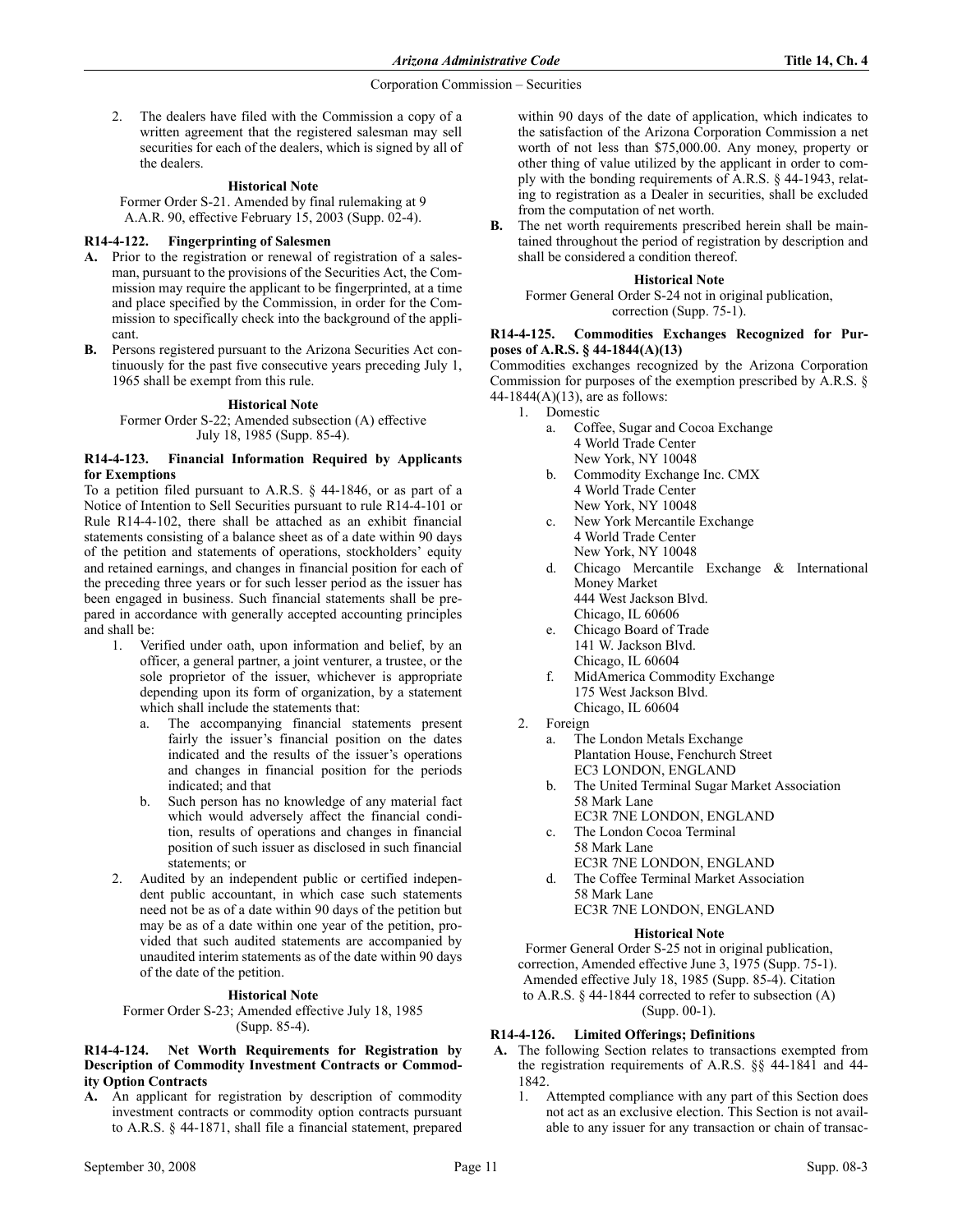2. The dealers have filed with the Commission a copy of a written agreement that the registered salesman may sell securities for each of the dealers, which is signed by all of the dealers.

## **Historical Note**

Former Order S-21. Amended by final rulemaking at 9 A.A.R. 90, effective February 15, 2003 (Supp. 02-4).

## R14-4-122. Fingerprinting of Salesmen

- A. Prior to the registration or renewal of registration of a salesman, pursuant to the provisions of the Securities Act, the Commission may require the applicant to be fingerprinted, at a time and place specified by the Commission, in order for the Commission to specifically check into the background of the applicant.
- B. Persons registered pursuant to the Arizona Securities Act continuously for the past five consecutive years preceding July 1, 1965 shall be exempt from this rule.

## **Historical Note**

Former Order S-22; Amended subsection (A) effective July 18, 1985 (Supp. 85-4).

#### R14-4-123. Financial Information Required by Applicants for Exemptions

To a petition filed pursuant to A.R.S. § 44-1846, or as part of a Notice of Intention to Sell Securities pursuant to rule R14-4-101 or Rule R14-4-102, there shall be attached as an exhibit financial statements consisting of a balance sheet as of a date within 90 days of the petition and statements of operations, stockholders' equity and retained earnings, and changes in financial position for each of the preceding three years or for such lesser period as the issuer has been engaged in business. Such financial statements shall be prepared in accordance with generally accepted accounting principles and shall be:

- 1. Verified under oath, upon information and belief, by an officer, a general partner, a joint venturer, a trustee, or the sole proprietor of the issuer, whichever is appropriate depending upon its form of organization, by a statement which shall include the statements that:
	- a. The accompanying financial statements present fairly the issuer's financial position on the dates indicated and the results of the issuer's operations and changes in financial position for the periods indicated; and that
	- b. Such person has no knowledge of any material fact which would adversely affect the financial condition, results of operations and changes in financial position of such issuer as disclosed in such financial statements; or
- 2. Audited by an independent public or certified independent public accountant, in which case such statements need not be as of a date within 90 days of the petition but may be as of a date within one year of the petition, provided that such audited statements are accompanied by unaudited interim statements as of the date within 90 days of the date of the petition.

## **Historical Note**

Former Order S-23; Amended effective July 18, 1985 (Supp. 85-4).

## R14-4-124. Net Worth Requirements for Registration by Description of Commodity Investment Contracts or Commodity Option Contracts

A. An applicant for registration by description of commodity investment contracts or commodity option contracts pursuant to A.R.S. § 44-1871, shall file a financial statement, prepared

B. The net worth requirements prescribed herein shall be maintained throughout the period of registration by description and shall be considered a condition thereof.

#### **Historical Note**

Former General Order S-24 not in original publication, correction (Supp. 75-1).

## R14-4-125. Commodities Exchanges Recognized for Purposes of A.R.S. § 44-1844(A)(13)

Commodities exchanges recognized by the Arizona Corporation Commission for purposes of the exemption prescribed by A.R.S. § 44-1844(A)(13), are as follows:

- 1. Domestic
	- a. Coffee, Sugar and Cocoa Exchange 4 World Trade Center
	- New York, NY 10048 b. Commodity Exchange Inc. CMX 4 World Trade Center New York, NY 10048
	- c. New York Mercantile Exchange 4 World Trade Center New York, NY 10048
	- d. Chicago Mercantile Exchange & International Money Market 444 West Jackson Blvd. Chicago, IL 60606
	- e. Chicago Board of Trade 141 W. Jackson Blvd. Chicago, IL 60604
	- f. MidAmerica Commodity Exchange 175 West Jackson Blvd. Chicago, IL 60604
- 2. Foreign
	- a. The London Metals Exchange Plantation House, Fenchurch Street EC3 LONDON, ENGLAND
	- b. The United Terminal Sugar Market Association 58 Mark Lane
	- EC3R 7NE LONDON, ENGLAND c. The London Cocoa Terminal
		- 58 Mark Lane EC3R 7NE LONDON, ENGLAND
	- The Coffee Terminal Market Association 58 Mark Lane EC3R 7NE LONDON, ENGLAND

## **Historical Note**

Former General Order S-25 not in original publication, correction, Amended effective June 3, 1975 (Supp. 75-1). Amended effective July 18, 1985 (Supp. 85-4). Citation to A.R.S. § 44-1844 corrected to refer to subsection (A) (Supp. 00-1).

# R14-4-126. Limited Offerings; Definitions

- A. The following Section relates to transactions exempted from the registration requirements of A.R.S. §§ 44-1841 and 44- 1842.
	- 1. Attempted compliance with any part of this Section does not act as an exclusive election. This Section is not available to any issuer for any transaction or chain of transac-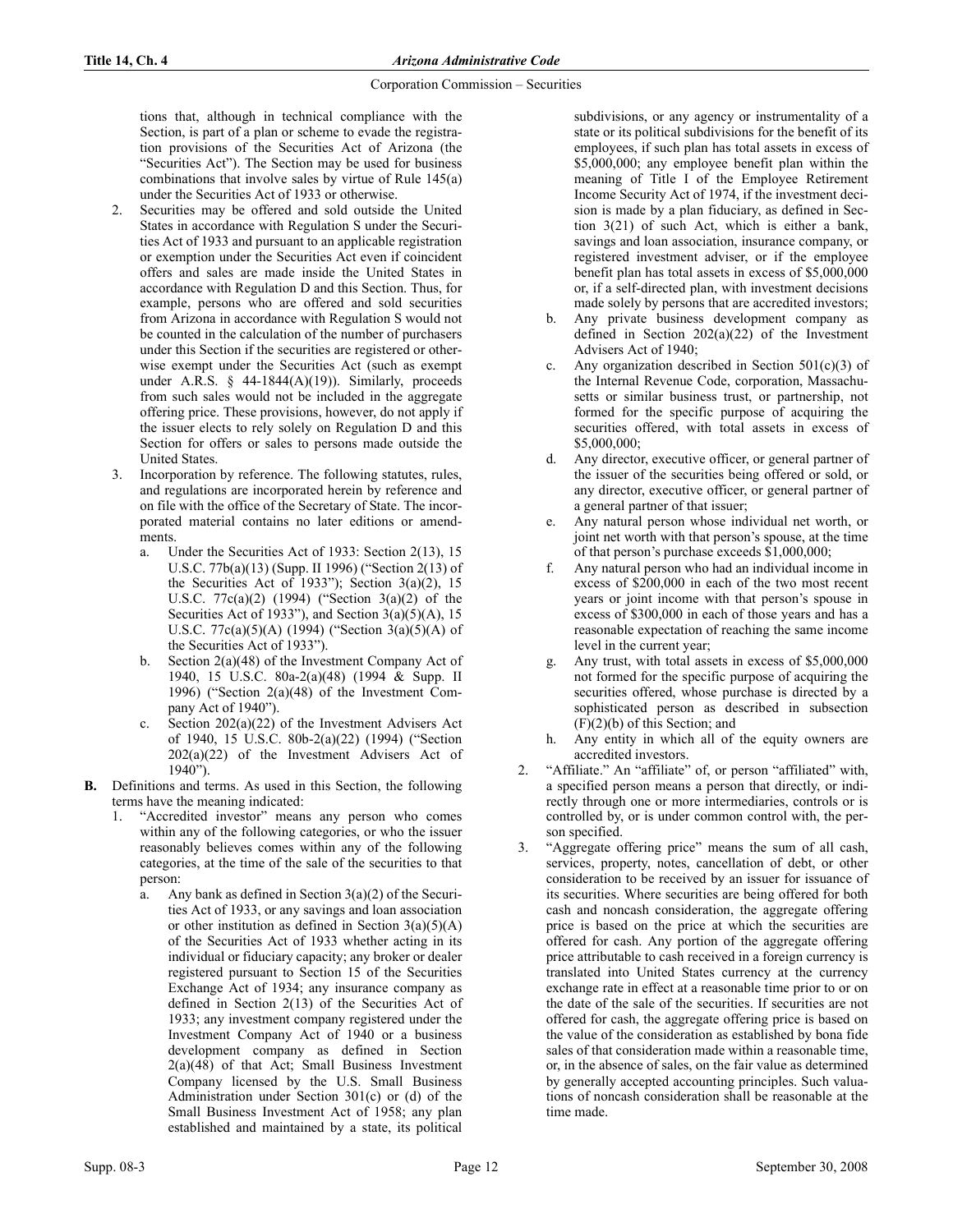tions that, although in technical compliance with the Section, is part of a plan or scheme to evade the registration provisions of the Securities Act of Arizona (the "Securities Act"). The Section may be used for business combinations that involve sales by virtue of Rule 145(a) under the Securities Act of 1933 or otherwise.

- 2. Securities may be offered and sold outside the United States in accordance with Regulation S under the Securities Act of 1933 and pursuant to an applicable registration or exemption under the Securities Act even if coincident offers and sales are made inside the United States in accordance with Regulation D and this Section. Thus, for example, persons who are offered and sold securities from Arizona in accordance with Regulation S would not be counted in the calculation of the number of purchasers under this Section if the securities are registered or otherwise exempt under the Securities Act (such as exempt under A.R.S.  $\S$  44-1844(A)(19)). Similarly, proceeds from such sales would not be included in the aggregate offering price. These provisions, however, do not apply if the issuer elects to rely solely on Regulation D and this Section for offers or sales to persons made outside the United States.
- 3. Incorporation by reference. The following statutes, rules, and regulations are incorporated herein by reference and on file with the office of the Secretary of State. The incorporated material contains no later editions or amendments.
	- a. Under the Securities Act of 1933: Section 2(13), 15 U.S.C. 77b(a)(13) (Supp. II 1996) ("Section 2(13) of the Securities Act of 1933"); Section  $3(a)(2)$ , 15 U.S.C. 77c(a)(2) (1994) ("Section 3(a)(2) of the Securities Act of 1933"), and Section  $3(a)(5)(A)$ , 15 U.S.C. 77c(a)(5)(A) (1994) ("Section 3(a)(5)(A) of the Securities Act of 1933").
	- b. Section  $2(a)(48)$  of the Investment Company Act of 1940, 15 U.S.C. 80a-2(a)(48) (1994 & Supp. II 1996) ("Section 2(a)(48) of the Investment Company Act of 1940").
	- c. Section 202(a)(22) of the Investment Advisers Act of 1940, 15 U.S.C. 80b-2(a)(22) (1994) ("Section  $202(a)(22)$  of the Investment Advisers Act of 1940").
- B. Definitions and terms. As used in this Section, the following terms have the meaning indicated:
	- "Accredited investor" means any person who comes within any of the following categories, or who the issuer reasonably believes comes within any of the following categories, at the time of the sale of the securities to that person:
		- a. Any bank as defined in Section  $3(a)(2)$  of the Securities Act of 1933, or any savings and loan association or other institution as defined in Section  $3(a)(5)(A)$ of the Securities Act of 1933 whether acting in its individual or fiduciary capacity; any broker or dealer registered pursuant to Section 15 of the Securities Exchange Act of 1934; any insurance company as defined in Section 2(13) of the Securities Act of 1933; any investment company registered under the Investment Company Act of 1940 or a business development company as defined in Section  $2(a)(48)$  of that Act; Small Business Investment Company licensed by the U.S. Small Business Administration under Section 301(c) or (d) of the Small Business Investment Act of 1958; any plan established and maintained by a state, its political

subdivisions, or any agency or instrumentality of a state or its political subdivisions for the benefit of its employees, if such plan has total assets in excess of \$5,000,000; any employee benefit plan within the meaning of Title I of the Employee Retirement Income Security Act of 1974, if the investment decision is made by a plan fiduciary, as defined in Section 3(21) of such Act, which is either a bank, savings and loan association, insurance company, or registered investment adviser, or if the employee benefit plan has total assets in excess of \$5,000,000 or, if a self-directed plan, with investment decisions made solely by persons that are accredited investors;

- b. Any private business development company as defined in Section 202(a)(22) of the Investment Advisers Act of 1940;
- c. Any organization described in Section  $501(c)(3)$  of the Internal Revenue Code, corporation, Massachusetts or similar business trust, or partnership, not formed for the specific purpose of acquiring the securities offered, with total assets in excess of \$5,000,000;
- d. Any director, executive officer, or general partner of the issuer of the securities being offered or sold, or any director, executive officer, or general partner of a general partner of that issuer;
- e. Any natural person whose individual net worth, or joint net worth with that person's spouse, at the time of that person's purchase exceeds \$1,000,000;
- f. Any natural person who had an individual income in excess of \$200,000 in each of the two most recent years or joint income with that person's spouse in excess of \$300,000 in each of those years and has a reasonable expectation of reaching the same income level in the current year;
- g. Any trust, with total assets in excess of \$5,000,000 not formed for the specific purpose of acquiring the securities offered, whose purchase is directed by a sophisticated person as described in subsection (F)(2)(b) of this Section; and
- h. Any entity in which all of the equity owners are accredited investors.
- 2. "Affiliate." An "affiliate" of, or person "affiliated" with, a specified person means a person that directly, or indirectly through one or more intermediaries, controls or is controlled by, or is under common control with, the person specified.
- 3. "Aggregate offering price" means the sum of all cash, services, property, notes, cancellation of debt, or other consideration to be received by an issuer for issuance of its securities. Where securities are being offered for both cash and noncash consideration, the aggregate offering price is based on the price at which the securities are offered for cash. Any portion of the aggregate offering price attributable to cash received in a foreign currency is translated into United States currency at the currency exchange rate in effect at a reasonable time prior to or on the date of the sale of the securities. If securities are not offered for cash, the aggregate offering price is based on the value of the consideration as established by bona fide sales of that consideration made within a reasonable time, or, in the absence of sales, on the fair value as determined by generally accepted accounting principles. Such valuations of noncash consideration shall be reasonable at the time made.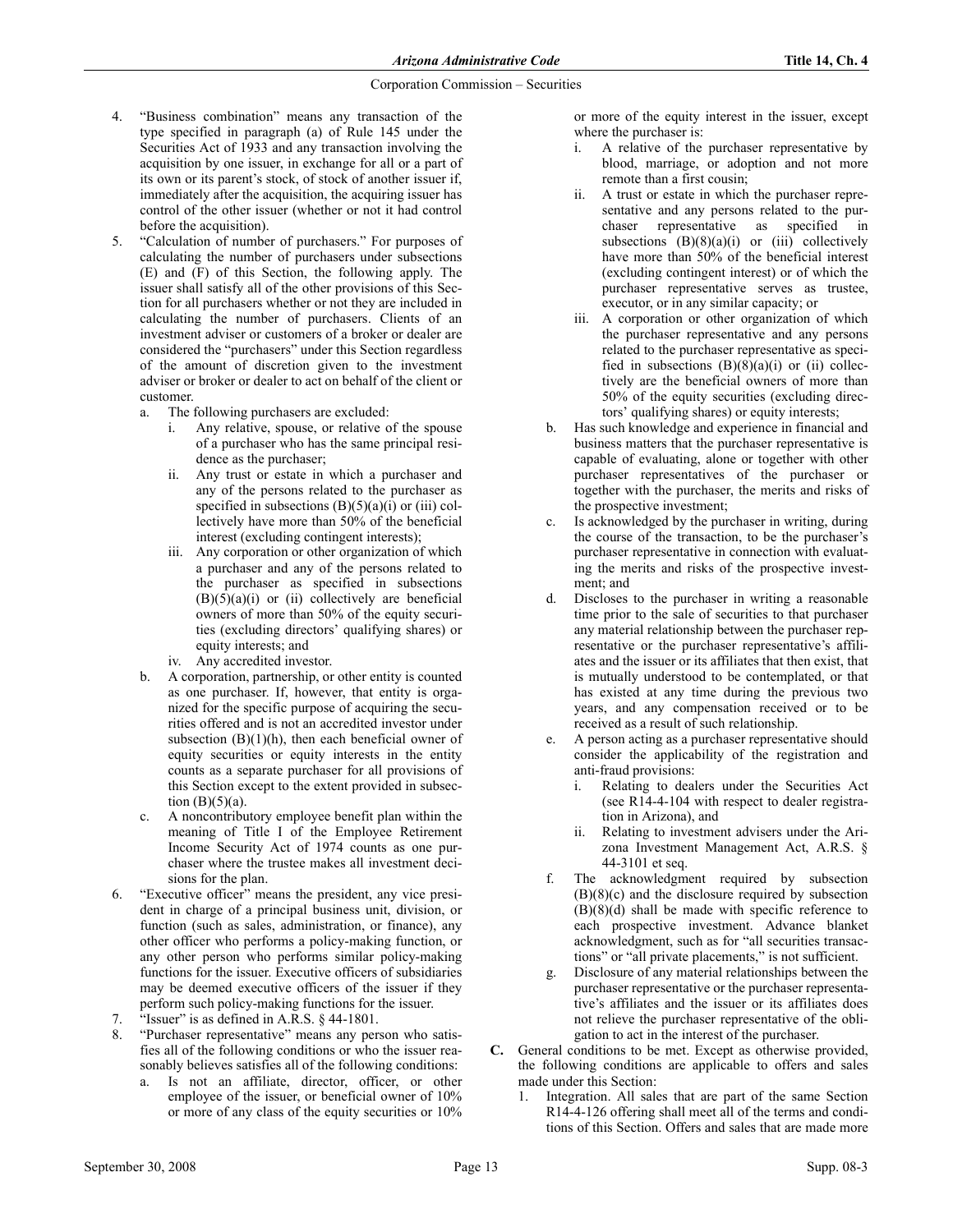- 4. "Business combination" means any transaction of the type specified in paragraph (a) of Rule 145 under the Securities Act of 1933 and any transaction involving the acquisition by one issuer, in exchange for all or a part of its own or its parent's stock, of stock of another issuer if, immediately after the acquisition, the acquiring issuer has control of the other issuer (whether or not it had control before the acquisition).
- 5. "Calculation of number of purchasers." For purposes of calculating the number of purchasers under subsections (E) and (F) of this Section, the following apply. The issuer shall satisfy all of the other provisions of this Section for all purchasers whether or not they are included in calculating the number of purchasers. Clients of an investment adviser or customers of a broker or dealer are considered the "purchasers" under this Section regardless of the amount of discretion given to the investment adviser or broker or dealer to act on behalf of the client or customer.
	- a. The following purchasers are excluded:
		- i. Any relative, spouse, or relative of the spouse of a purchaser who has the same principal residence as the purchaser;
		- ii. Any trust or estate in which a purchaser and any of the persons related to the purchaser as specified in subsections  $(B)(5)(a)(i)$  or (iii) collectively have more than 50% of the beneficial interest (excluding contingent interests);
		- iii. Any corporation or other organization of which a purchaser and any of the persons related to the purchaser as specified in subsections  $(B)(5)(a)(i)$  or  $(ii)$  collectively are beneficial owners of more than 50% of the equity securities (excluding directors' qualifying shares) or equity interests; and
		- iv. Any accredited investor.
	- b. A corporation, partnership, or other entity is counted as one purchaser. If, however, that entity is organized for the specific purpose of acquiring the securities offered and is not an accredited investor under subsection  $(B)(1)(h)$ , then each beneficial owner of equity securities or equity interests in the entity counts as a separate purchaser for all provisions of this Section except to the extent provided in subsection  $(B)(5)(a)$ .
	- c. A noncontributory employee benefit plan within the meaning of Title I of the Employee Retirement Income Security Act of 1974 counts as one purchaser where the trustee makes all investment decisions for the plan.
- 6. "Executive officer" means the president, any vice president in charge of a principal business unit, division, or function (such as sales, administration, or finance), any other officer who performs a policy-making function, or any other person who performs similar policy-making functions for the issuer. Executive officers of subsidiaries may be deemed executive officers of the issuer if they perform such policy-making functions for the issuer.
- 7. "Issuer" is as defined in A.R.S. § 44-1801.
- 8. "Purchaser representative" means any person who satisfies all of the following conditions or who the issuer reasonably believes satisfies all of the following conditions:
	- a. Is not an affiliate, director, officer, or other employee of the issuer, or beneficial owner of 10% or more of any class of the equity securities or 10%

or more of the equity interest in the issuer, except where the purchaser is:

- i. A relative of the purchaser representative by blood, marriage, or adoption and not more remote than a first cousin;
- ii. A trust or estate in which the purchaser representative and any persons related to the purchaser representative as specified in subsections  $(B)(8)(a)(i)$  or  $(iii)$  collectively have more than 50% of the beneficial interest (excluding contingent interest) or of which the purchaser representative serves as trustee, executor, or in any similar capacity; or
- iii. A corporation or other organization of which the purchaser representative and any persons related to the purchaser representative as specified in subsections  $(B)(8)(a)(i)$  or  $(ii)$  collectively are the beneficial owners of more than 50% of the equity securities (excluding directors' qualifying shares) or equity interests;
- b. Has such knowledge and experience in financial and business matters that the purchaser representative is capable of evaluating, alone or together with other purchaser representatives of the purchaser or together with the purchaser, the merits and risks of the prospective investment;
- c. Is acknowledged by the purchaser in writing, during the course of the transaction, to be the purchaser's purchaser representative in connection with evaluating the merits and risks of the prospective investment; and
- d. Discloses to the purchaser in writing a reasonable time prior to the sale of securities to that purchaser any material relationship between the purchaser representative or the purchaser representative's affiliates and the issuer or its affiliates that then exist, that is mutually understood to be contemplated, or that has existed at any time during the previous two years, and any compensation received or to be received as a result of such relationship.
- e. A person acting as a purchaser representative should consider the applicability of the registration and anti-fraud provisions:
	- i. Relating to dealers under the Securities Act (see R14-4-104 with respect to dealer registration in Arizona), and
	- ii. Relating to investment advisers under the Arizona Investment Management Act, A.R.S. § 44-3101 et seq.
- f. The acknowledgment required by subsection  $(B)(8)(c)$  and the disclosure required by subsection  $(B)(8)(d)$  shall be made with specific reference to each prospective investment. Advance blanket acknowledgment, such as for "all securities transactions" or "all private placements," is not sufficient.
- g. Disclosure of any material relationships between the purchaser representative or the purchaser representative's affiliates and the issuer or its affiliates does not relieve the purchaser representative of the obligation to act in the interest of the purchaser.
- C. General conditions to be met. Except as otherwise provided, the following conditions are applicable to offers and sales made under this Section:
	- 1. Integration. All sales that are part of the same Section R14-4-126 offering shall meet all of the terms and conditions of this Section. Offers and sales that are made more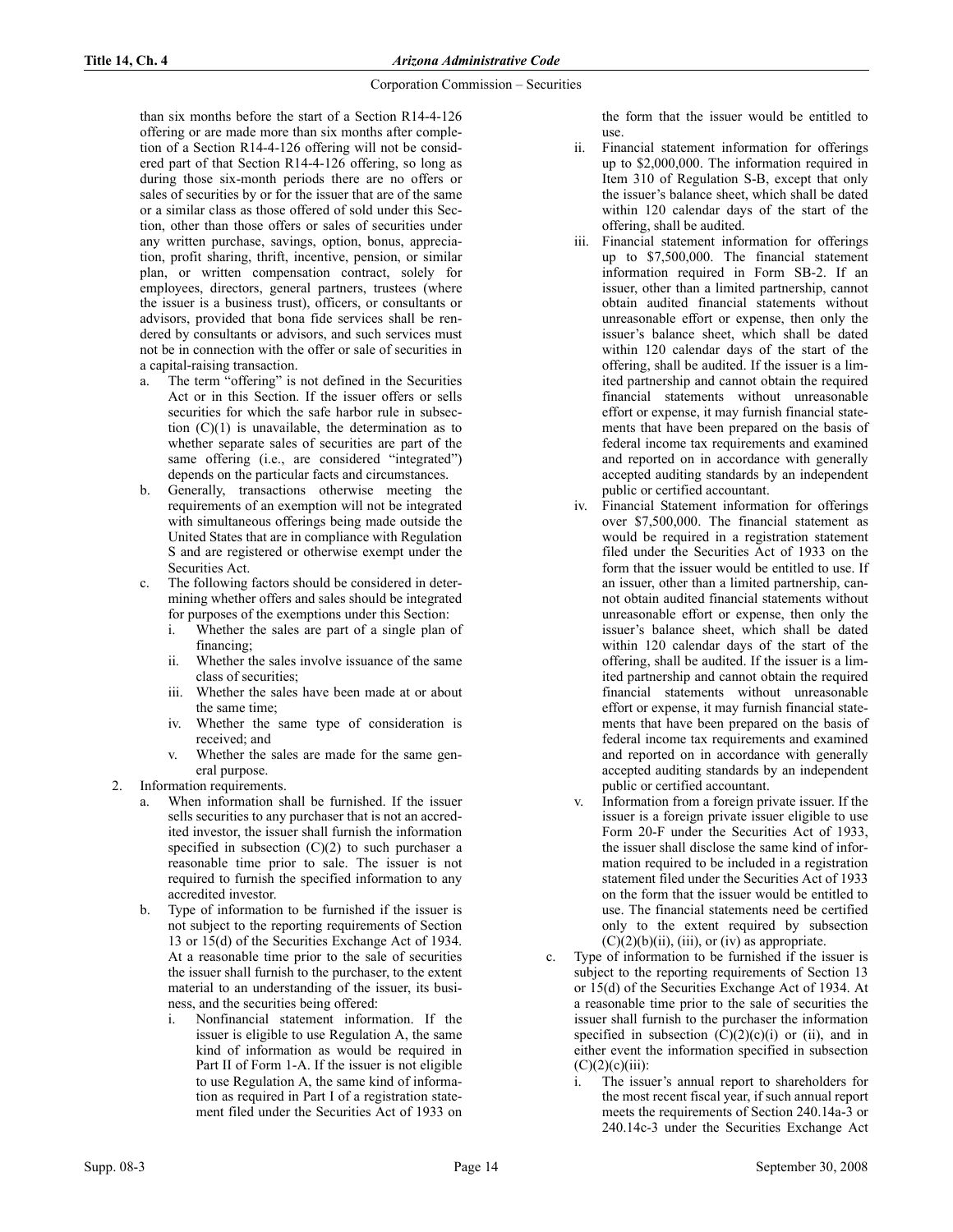than six months before the start of a Section R14-4-126 offering or are made more than six months after completion of a Section R14-4-126 offering will not be considered part of that Section R14-4-126 offering, so long as during those six-month periods there are no offers or sales of securities by or for the issuer that are of the same or a similar class as those offered of sold under this Section, other than those offers or sales of securities under any written purchase, savings, option, bonus, appreciation, profit sharing, thrift, incentive, pension, or similar plan, or written compensation contract, solely for employees, directors, general partners, trustees (where the issuer is a business trust), officers, or consultants or advisors, provided that bona fide services shall be rendered by consultants or advisors, and such services must not be in connection with the offer or sale of securities in a capital-raising transaction.

- a. The term "offering" is not defined in the Securities Act or in this Section. If the issuer offers or sells securities for which the safe harbor rule in subsection  $(C)(1)$  is unavailable, the determination as to whether separate sales of securities are part of the same offering (i.e., are considered "integrated") depends on the particular facts and circumstances.
- b. Generally, transactions otherwise meeting the requirements of an exemption will not be integrated with simultaneous offerings being made outside the United States that are in compliance with Regulation S and are registered or otherwise exempt under the Securities Act.
- c. The following factors should be considered in determining whether offers and sales should be integrated for purposes of the exemptions under this Section:
	- i. Whether the sales are part of a single plan of financing;
	- ii. Whether the sales involve issuance of the same class of securities;
	- iii. Whether the sales have been made at or about the same time;
	- iv. Whether the same type of consideration is received; and
	- v. Whether the sales are made for the same general purpose.
- 2. Information requirements.
	- When information shall be furnished. If the issuer sells securities to any purchaser that is not an accredited investor, the issuer shall furnish the information specified in subsection  $(C)(2)$  to such purchaser a reasonable time prior to sale. The issuer is not required to furnish the specified information to any accredited investor.
	- b. Type of information to be furnished if the issuer is not subject to the reporting requirements of Section 13 or 15(d) of the Securities Exchange Act of 1934. At a reasonable time prior to the sale of securities the issuer shall furnish to the purchaser, to the extent material to an understanding of the issuer, its business, and the securities being offered:
		- i. Nonfinancial statement information. If the issuer is eligible to use Regulation A, the same kind of information as would be required in Part II of Form 1-A. If the issuer is not eligible to use Regulation A, the same kind of information as required in Part I of a registration statement filed under the Securities Act of 1933 on

the form that the issuer would be entitled to use.

- ii. Financial statement information for offerings up to \$2,000,000. The information required in Item 310 of Regulation S-B, except that only the issuer's balance sheet, which shall be dated within 120 calendar days of the start of the offering, shall be audited.
- iii. Financial statement information for offerings up to \$7,500,000. The financial statement information required in Form SB-2. If an issuer, other than a limited partnership, cannot obtain audited financial statements without unreasonable effort or expense, then only the issuer's balance sheet, which shall be dated within 120 calendar days of the start of the offering, shall be audited. If the issuer is a limited partnership and cannot obtain the required financial statements without unreasonable effort or expense, it may furnish financial statements that have been prepared on the basis of federal income tax requirements and examined and reported on in accordance with generally accepted auditing standards by an independent public or certified accountant.
- iv. Financial Statement information for offerings over \$7,500,000. The financial statement as would be required in a registration statement filed under the Securities Act of 1933 on the form that the issuer would be entitled to use. If an issuer, other than a limited partnership, cannot obtain audited financial statements without unreasonable effort or expense, then only the issuer's balance sheet, which shall be dated within 120 calendar days of the start of the offering, shall be audited. If the issuer is a limited partnership and cannot obtain the required financial statements without unreasonable effort or expense, it may furnish financial statements that have been prepared on the basis of federal income tax requirements and examined and reported on in accordance with generally accepted auditing standards by an independent public or certified accountant.
- Information from a foreign private issuer. If the issuer is a foreign private issuer eligible to use Form 20-F under the Securities Act of 1933, the issuer shall disclose the same kind of information required to be included in a registration statement filed under the Securities Act of 1933 on the form that the issuer would be entitled to use. The financial statements need be certified only to the extent required by subsection  $(C)(2)(b)(ii)$ , (iii), or (iv) as appropriate.
- Type of information to be furnished if the issuer is subject to the reporting requirements of Section 13 or 15(d) of the Securities Exchange Act of 1934. At a reasonable time prior to the sale of securities the issuer shall furnish to the purchaser the information specified in subsection  $(C)(2)(c)(i)$  or (ii), and in either event the information specified in subsection  $(C)(2)(c)(iii)$ :
	- i. The issuer's annual report to shareholders for the most recent fiscal year, if such annual report meets the requirements of Section 240.14a-3 or 240.14c-3 under the Securities Exchange Act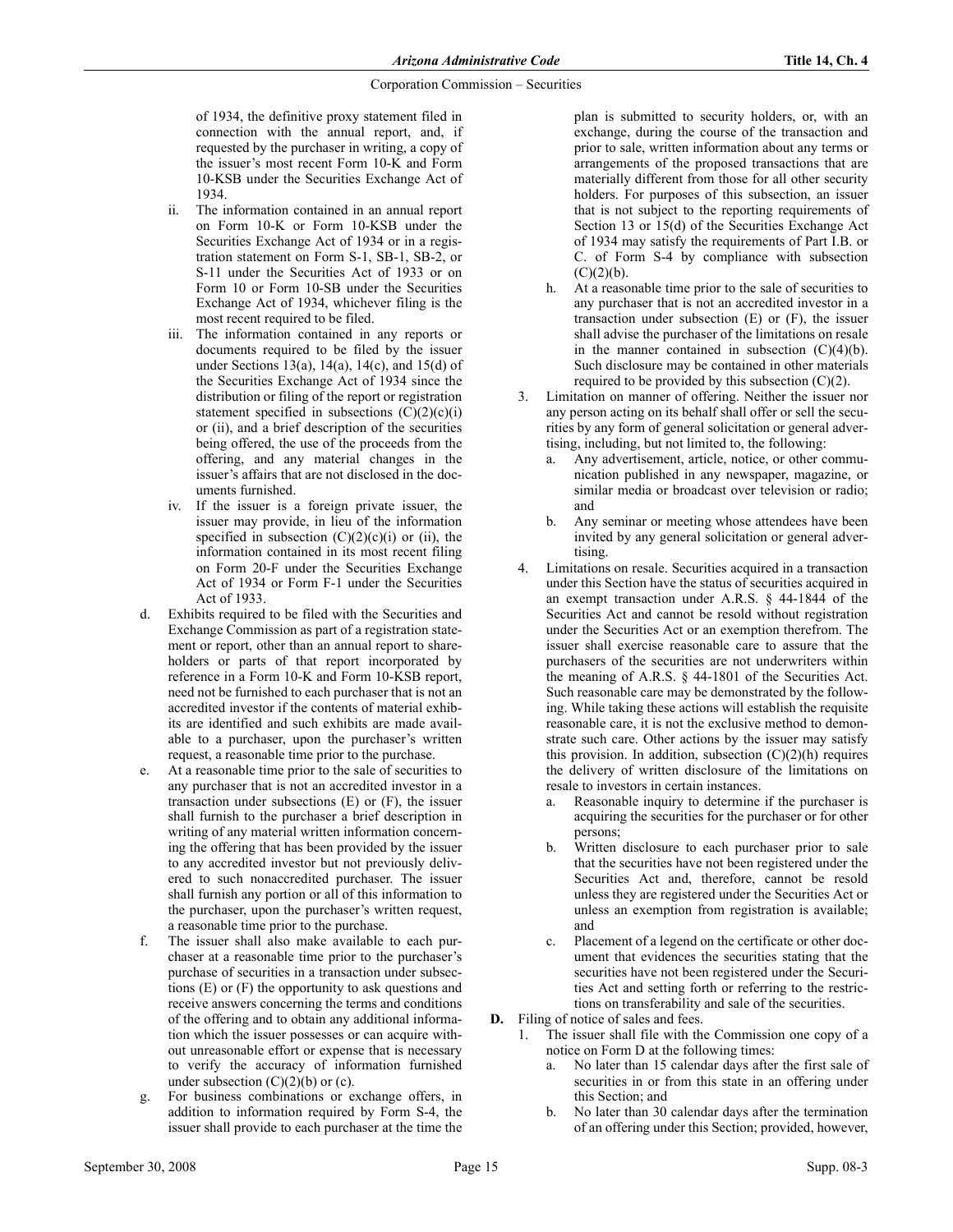of 1934, the definitive proxy statement filed in connection with the annual report, and, if requested by the purchaser in writing, a copy of the issuer's most recent Form 10-K and Form 10-KSB under the Securities Exchange Act of 1934.

- ii. The information contained in an annual report on Form 10-K or Form 10-KSB under the Securities Exchange Act of 1934 or in a registration statement on Form S-1, SB-1, SB-2, or S-11 under the Securities Act of 1933 or on Form 10 or Form 10-SB under the Securities Exchange Act of 1934, whichever filing is the most recent required to be filed.
- iii. The information contained in any reports or documents required to be filed by the issuer under Sections 13(a), 14(a), 14(c), and 15(d) of the Securities Exchange Act of 1934 since the distribution or filing of the report or registration statement specified in subsections  $(C)(2)(c)(i)$ or (ii), and a brief description of the securities being offered, the use of the proceeds from the offering, and any material changes in the issuer's affairs that are not disclosed in the documents furnished.
- iv. If the issuer is a foreign private issuer, the issuer may provide, in lieu of the information specified in subsection  $(C)(2)(c)(i)$  or (ii), the information contained in its most recent filing on Form 20-F under the Securities Exchange Act of 1934 or Form F-1 under the Securities Act of 1933.
- d. Exhibits required to be filed with the Securities and Exchange Commission as part of a registration statement or report, other than an annual report to shareholders or parts of that report incorporated by reference in a Form 10-K and Form 10-KSB report, need not be furnished to each purchaser that is not an accredited investor if the contents of material exhibits are identified and such exhibits are made available to a purchaser, upon the purchaser's written request, a reasonable time prior to the purchase.
- e. At a reasonable time prior to the sale of securities to any purchaser that is not an accredited investor in a transaction under subsections  $(E)$  or  $(F)$ , the issuer shall furnish to the purchaser a brief description in writing of any material written information concerning the offering that has been provided by the issuer to any accredited investor but not previously delivered to such nonaccredited purchaser. The issuer shall furnish any portion or all of this information to the purchaser, upon the purchaser's written request, a reasonable time prior to the purchase.
- f. The issuer shall also make available to each purchaser at a reasonable time prior to the purchaser's purchase of securities in a transaction under subsections (E) or (F) the opportunity to ask questions and receive answers concerning the terms and conditions of the offering and to obtain any additional information which the issuer possesses or can acquire without unreasonable effort or expense that is necessary to verify the accuracy of information furnished under subsection  $(C)(2)(b)$  or  $(c)$ .
- g. For business combinations or exchange offers, in addition to information required by Form S-4, the issuer shall provide to each purchaser at the time the

plan is submitted to security holders, or, with an exchange, during the course of the transaction and prior to sale, written information about any terms or arrangements of the proposed transactions that are materially different from those for all other security holders. For purposes of this subsection, an issuer that is not subject to the reporting requirements of Section 13 or 15(d) of the Securities Exchange Act of 1934 may satisfy the requirements of Part I.B. or C. of Form S-4 by compliance with subsection  $(C)(2)(b)$ .

- h. At a reasonable time prior to the sale of securities to any purchaser that is not an accredited investor in a transaction under subsection (E) or (F), the issuer shall advise the purchaser of the limitations on resale in the manner contained in subsection  $(C)(4)(b)$ . Such disclosure may be contained in other materials required to be provided by this subsection  $(C)(2)$ .
- 3. Limitation on manner of offering. Neither the issuer nor any person acting on its behalf shall offer or sell the securities by any form of general solicitation or general advertising, including, but not limited to, the following:
	- Any advertisement, article, notice, or other communication published in any newspaper, magazine, or similar media or broadcast over television or radio; and
	- b. Any seminar or meeting whose attendees have been invited by any general solicitation or general advertising.
- 4. Limitations on resale. Securities acquired in a transaction under this Section have the status of securities acquired in an exempt transaction under A.R.S. § 44-1844 of the Securities Act and cannot be resold without registration under the Securities Act or an exemption therefrom. The issuer shall exercise reasonable care to assure that the purchasers of the securities are not underwriters within the meaning of A.R.S. § 44-1801 of the Securities Act. Such reasonable care may be demonstrated by the following. While taking these actions will establish the requisite reasonable care, it is not the exclusive method to demonstrate such care. Other actions by the issuer may satisfy this provision. In addition, subsection  $(C)(2)(h)$  requires the delivery of written disclosure of the limitations on resale to investors in certain instances.
	- Reasonable inquiry to determine if the purchaser is acquiring the securities for the purchaser or for other persons;
	- b. Written disclosure to each purchaser prior to sale that the securities have not been registered under the Securities Act and, therefore, cannot be resold unless they are registered under the Securities Act or unless an exemption from registration is available; and
	- c. Placement of a legend on the certificate or other document that evidences the securities stating that the securities have not been registered under the Securities Act and setting forth or referring to the restrictions on transferability and sale of the securities.

D. Filing of notice of sales and fees.

- 1. The issuer shall file with the Commission one copy of a notice on Form D at the following times:
	- a. No later than 15 calendar days after the first sale of securities in or from this state in an offering under this Section; and
	- b. No later than 30 calendar days after the termination of an offering under this Section; provided, however,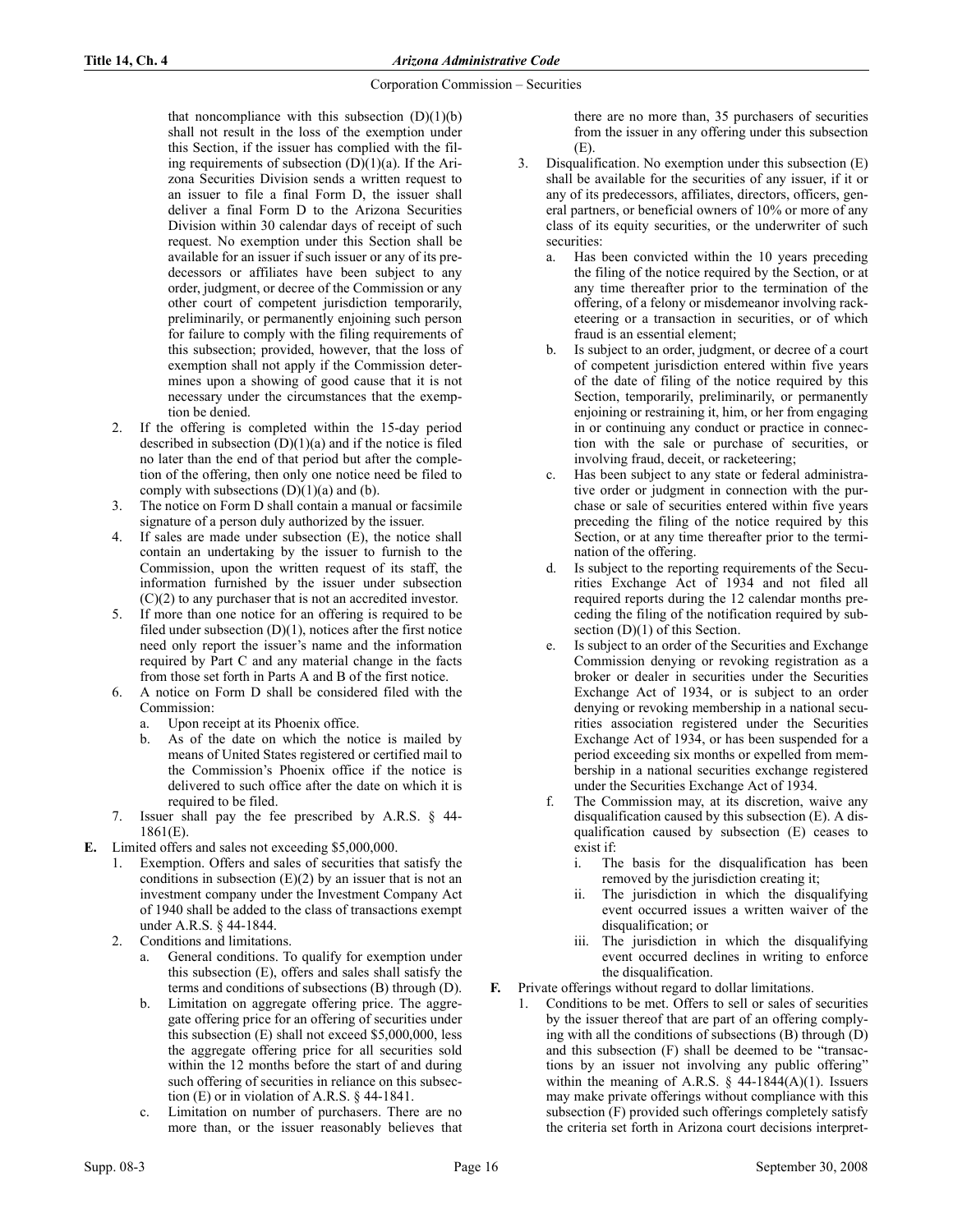that noncompliance with this subsection  $(D)(1)(b)$ shall not result in the loss of the exemption under this Section, if the issuer has complied with the filing requirements of subsection  $(D)(1)(a)$ . If the Arizona Securities Division sends a written request to an issuer to file a final Form D, the issuer shall deliver a final Form D to the Arizona Securities Division within 30 calendar days of receipt of such request. No exemption under this Section shall be available for an issuer if such issuer or any of its predecessors or affiliates have been subject to any order, judgment, or decree of the Commission or any other court of competent jurisdiction temporarily, preliminarily, or permanently enjoining such person for failure to comply with the filing requirements of this subsection; provided, however, that the loss of exemption shall not apply if the Commission determines upon a showing of good cause that it is not necessary under the circumstances that the exemption be denied.

- 2. If the offering is completed within the 15-day period described in subsection  $(D)(1)(a)$  and if the notice is filed no later than the end of that period but after the completion of the offering, then only one notice need be filed to comply with subsections  $(D)(1)(a)$  and  $(b)$ .
- The notice on Form D shall contain a manual or facsimile signature of a person duly authorized by the issuer.
- If sales are made under subsection  $(E)$ , the notice shall contain an undertaking by the issuer to furnish to the Commission, upon the written request of its staff, the information furnished by the issuer under subsection (C)(2) to any purchaser that is not an accredited investor.
- If more than one notice for an offering is required to be filed under subsection  $(D)(1)$ , notices after the first notice need only report the issuer's name and the information required by Part C and any material change in the facts from those set forth in Parts A and B of the first notice.
- 6. A notice on Form D shall be considered filed with the Commission:
	- a. Upon receipt at its Phoenix office.
	- b. As of the date on which the notice is mailed by means of United States registered or certified mail to the Commission's Phoenix office if the notice is delivered to such office after the date on which it is required to be filed.
- Issuer shall pay the fee prescribed by A.R.S.  $\S$  44-1861(E).
- E. Limited offers and sales not exceeding \$5,000,000.
	- 1. Exemption. Offers and sales of securities that satisfy the conditions in subsection  $(E)(2)$  by an issuer that is not an investment company under the Investment Company Act of 1940 shall be added to the class of transactions exempt under A.R.S. § 44-1844.
	- 2. Conditions and limitations.
		- General conditions. To qualify for exemption under this subsection (E), offers and sales shall satisfy the terms and conditions of subsections (B) through (D).
		- b. Limitation on aggregate offering price. The aggregate offering price for an offering of securities under this subsection (E) shall not exceed \$5,000,000, less the aggregate offering price for all securities sold within the 12 months before the start of and during such offering of securities in reliance on this subsection (E) or in violation of A.R.S. § 44-1841.
		- Limitation on number of purchasers. There are no more than, or the issuer reasonably believes that

there are no more than, 35 purchasers of securities from the issuer in any offering under this subsection  $(E)$ 

- 3. Disqualification. No exemption under this subsection (E) shall be available for the securities of any issuer, if it or any of its predecessors, affiliates, directors, officers, general partners, or beneficial owners of 10% or more of any class of its equity securities, or the underwriter of such securities:
	- a. Has been convicted within the 10 years preceding the filing of the notice required by the Section, or at any time thereafter prior to the termination of the offering, of a felony or misdemeanor involving racketeering or a transaction in securities, or of which fraud is an essential element;
	- b. Is subject to an order, judgment, or decree of a court of competent jurisdiction entered within five years of the date of filing of the notice required by this Section, temporarily, preliminarily, or permanently enjoining or restraining it, him, or her from engaging in or continuing any conduct or practice in connection with the sale or purchase of securities, or involving fraud, deceit, or racketeering;
	- c. Has been subject to any state or federal administrative order or judgment in connection with the purchase or sale of securities entered within five years preceding the filing of the notice required by this Section, or at any time thereafter prior to the termination of the offering.
	- d. Is subject to the reporting requirements of the Securities Exchange Act of 1934 and not filed all required reports during the 12 calendar months preceding the filing of the notification required by subsection  $(D)(1)$  of this Section.
	- e. Is subject to an order of the Securities and Exchange Commission denying or revoking registration as a broker or dealer in securities under the Securities Exchange Act of 1934, or is subject to an order denying or revoking membership in a national securities association registered under the Securities Exchange Act of 1934, or has been suspended for a period exceeding six months or expelled from membership in a national securities exchange registered under the Securities Exchange Act of 1934.
	- f. The Commission may, at its discretion, waive any disqualification caused by this subsection (E). A disqualification caused by subsection (E) ceases to exist if:
		- i. The basis for the disqualification has been removed by the jurisdiction creating it;
		- The jurisdiction in which the disqualifying event occurred issues a written waiver of the disqualification; or
		- iii. The jurisdiction in which the disqualifying event occurred declines in writing to enforce the disqualification.
- F. Private offerings without regard to dollar limitations.
	- 1. Conditions to be met. Offers to sell or sales of securities by the issuer thereof that are part of an offering complying with all the conditions of subsections (B) through (D) and this subsection (F) shall be deemed to be "transactions by an issuer not involving any public offering" within the meaning of A.R.S.  $\S$  44-1844(A)(1). Issuers may make private offerings without compliance with this subsection (F) provided such offerings completely satisfy the criteria set forth in Arizona court decisions interpret-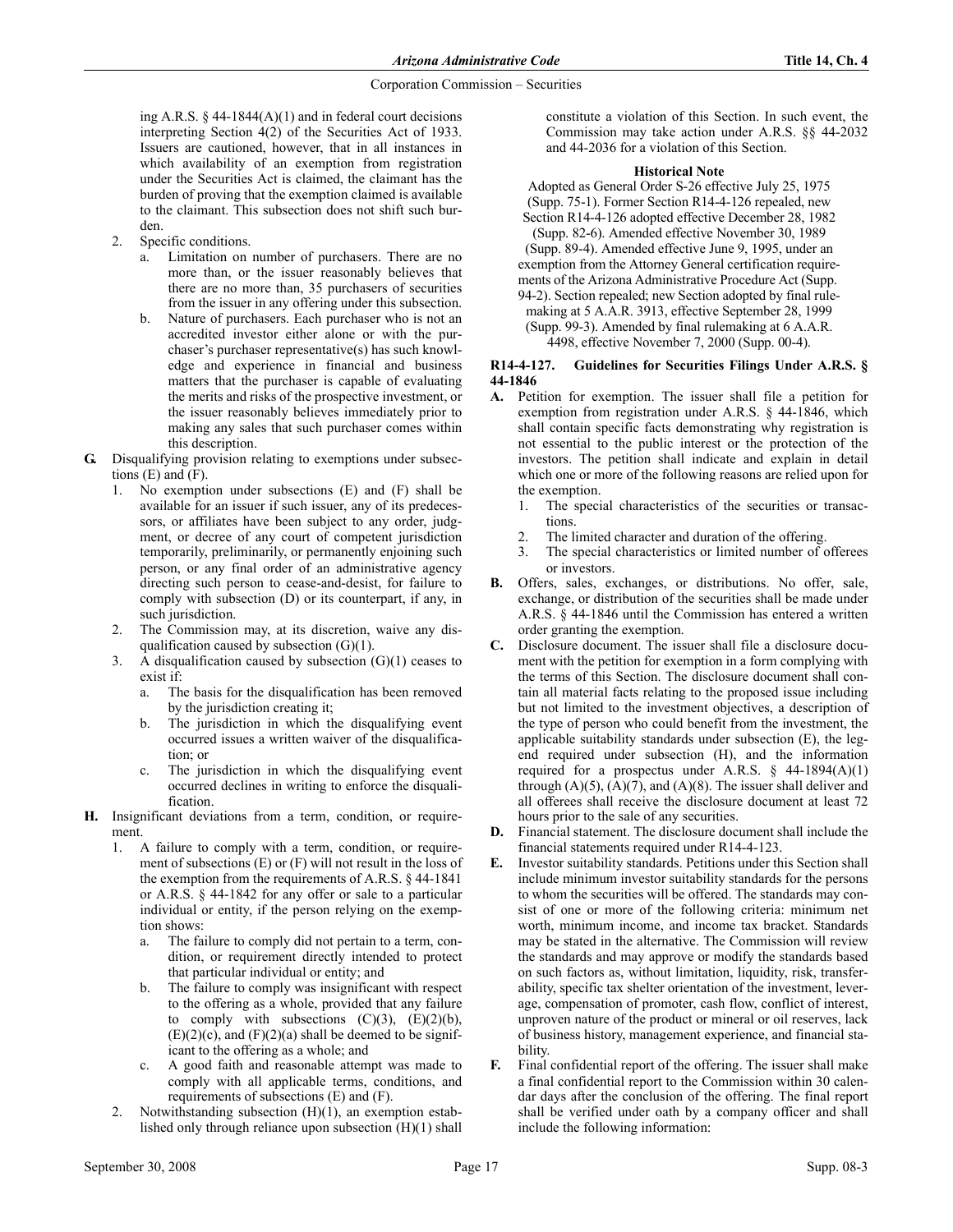ing A.R.S. § 44-1844(A)(1) and in federal court decisions interpreting Section 4(2) of the Securities Act of 1933. Issuers are cautioned, however, that in all instances in which availability of an exemption from registration under the Securities Act is claimed, the claimant has the burden of proving that the exemption claimed is available to the claimant. This subsection does not shift such burden.

- 2. Specific conditions.
	- a. Limitation on number of purchasers. There are no more than, or the issuer reasonably believes that there are no more than, 35 purchasers of securities from the issuer in any offering under this subsection.
	- b. Nature of purchasers. Each purchaser who is not an accredited investor either alone or with the purchaser's purchaser representative(s) has such knowledge and experience in financial and business matters that the purchaser is capable of evaluating the merits and risks of the prospective investment, or the issuer reasonably believes immediately prior to making any sales that such purchaser comes within this description.
- G. Disqualifying provision relating to exemptions under subsections  $(E)$  and  $(F)$ .
	- 1. No exemption under subsections (E) and (F) shall be available for an issuer if such issuer, any of its predecessors, or affiliates have been subject to any order, judgment, or decree of any court of competent jurisdiction temporarily, preliminarily, or permanently enjoining such person, or any final order of an administrative agency directing such person to cease-and-desist, for failure to comply with subsection (D) or its counterpart, if any, in such jurisdiction.
	- 2. The Commission may, at its discretion, waive any disqualification caused by subsection (G)(1).
	- 3. A disqualification caused by subsection (G)(1) ceases to exist if:
		- a. The basis for the disqualification has been removed by the jurisdiction creating it;
		- b. The jurisdiction in which the disqualifying event occurred issues a written waiver of the disqualification; or
		- c. The jurisdiction in which the disqualifying event occurred declines in writing to enforce the disqualification.
- H. Insignificant deviations from a term, condition, or requirement.
	- 1. A failure to comply with a term, condition, or requirement of subsections (E) or (F) will not result in the loss of the exemption from the requirements of A.R.S. § 44-1841 or A.R.S. § 44-1842 for any offer or sale to a particular individual or entity, if the person relying on the exemption shows:
		- a. The failure to comply did not pertain to a term, condition, or requirement directly intended to protect that particular individual or entity; and
		- b. The failure to comply was insignificant with respect to the offering as a whole, provided that any failure to comply with subsections  $(C)(3)$ ,  $(E)(2)(b)$ ,  $(E)(2)(c)$ , and  $(F)(2)(a)$  shall be deemed to be significant to the offering as a whole; and
		- c. A good faith and reasonable attempt was made to comply with all applicable terms, conditions, and requirements of subsections (E) and (F).
	- 2. Notwithstanding subsection (H)(1), an exemption established only through reliance upon subsection (H)(1) shall

constitute a violation of this Section. In such event, the Commission may take action under A.R.S. §§ 44-2032 and 44-2036 for a violation of this Section.

## **Historical Note**

Adopted as General Order S-26 effective July 25, 1975 (Supp. 75-1). Former Section R14-4-126 repealed, new Section R14-4-126 adopted effective December 28, 1982 (Supp. 82-6). Amended effective November 30, 1989 (Supp. 89-4). Amended effective June 9, 1995, under an exemption from the Attorney General certification requirements of the Arizona Administrative Procedure Act (Supp. 94-2). Section repealed; new Section adopted by final rulemaking at 5 A.A.R. 3913, effective September 28, 1999 (Supp. 99-3). Amended by final rulemaking at 6 A.A.R. 4498, effective November 7, 2000 (Supp. 00-4).

# R14-4-127. Guidelines for Securities Filings Under A.R.S. § 44-1846

- A. Petition for exemption. The issuer shall file a petition for exemption from registration under A.R.S. § 44-1846, which shall contain specific facts demonstrating why registration is not essential to the public interest or the protection of the investors. The petition shall indicate and explain in detail which one or more of the following reasons are relied upon for the exemption.
	- 1. The special characteristics of the securities or transactions.
	- 2. The limited character and duration of the offering.
	- 3. The special characteristics or limited number of offerees or investors.
- B. Offers, sales, exchanges, or distributions. No offer, sale, exchange, or distribution of the securities shall be made under A.R.S. § 44-1846 until the Commission has entered a written order granting the exemption.
- C. Disclosure document. The issuer shall file a disclosure document with the petition for exemption in a form complying with the terms of this Section. The disclosure document shall contain all material facts relating to the proposed issue including but not limited to the investment objectives, a description of the type of person who could benefit from the investment, the applicable suitability standards under subsection (E), the legend required under subsection (H), and the information required for a prospectus under A.R.S.  $\S$  44-1894(A)(1) through  $(A)(5)$ ,  $(A)(7)$ , and  $(A)(8)$ . The issuer shall deliver and all offerees shall receive the disclosure document at least 72 hours prior to the sale of any securities.
- D. Financial statement. The disclosure document shall include the financial statements required under R14-4-123.
- E. Investor suitability standards. Petitions under this Section shall include minimum investor suitability standards for the persons to whom the securities will be offered. The standards may consist of one or more of the following criteria: minimum net worth, minimum income, and income tax bracket. Standards may be stated in the alternative. The Commission will review the standards and may approve or modify the standards based on such factors as, without limitation, liquidity, risk, transferability, specific tax shelter orientation of the investment, leverage, compensation of promoter, cash flow, conflict of interest, unproven nature of the product or mineral or oil reserves, lack of business history, management experience, and financial stability.
- F. Final confidential report of the offering. The issuer shall make a final confidential report to the Commission within 30 calendar days after the conclusion of the offering. The final report shall be verified under oath by a company officer and shall include the following information: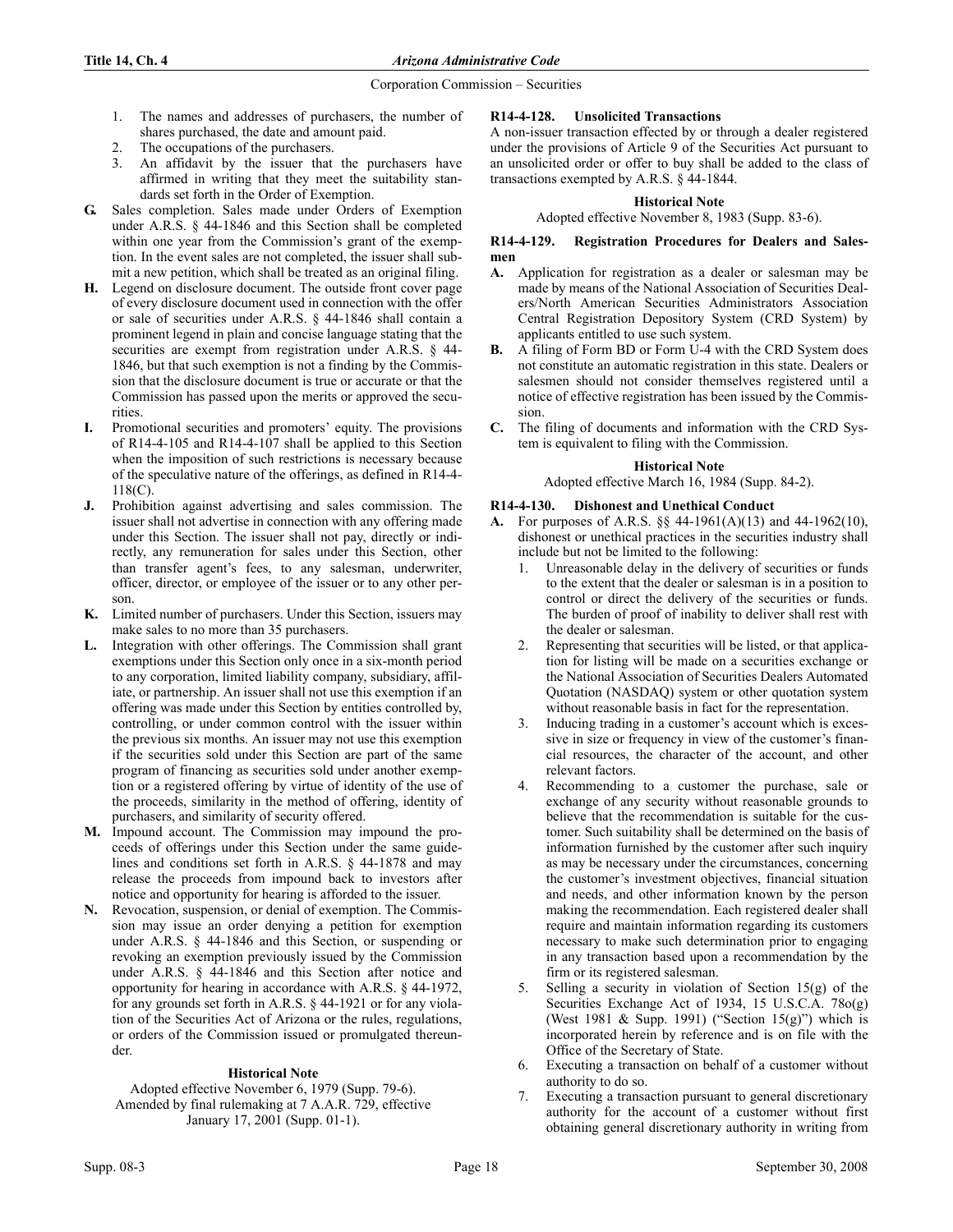- 1. The names and addresses of purchasers, the number of shares purchased, the date and amount paid.
- 2. The occupations of the purchasers.
- 3. An affidavit by the issuer that the purchasers have affirmed in writing that they meet the suitability standards set forth in the Order of Exemption.
- G. Sales completion. Sales made under Orders of Exemption under A.R.S. § 44-1846 and this Section shall be completed within one year from the Commission's grant of the exemption. In the event sales are not completed, the issuer shall submit a new petition, which shall be treated as an original filing.
- H. Legend on disclosure document. The outside front cover page of every disclosure document used in connection with the offer or sale of securities under A.R.S. § 44-1846 shall contain a prominent legend in plain and concise language stating that the securities are exempt from registration under A.R.S. § 44-1846, but that such exemption is not a finding by the Commission that the disclosure document is true or accurate or that the Commission has passed upon the merits or approved the securities.
- I. Promotional securities and promoters' equity. The provisions of R14-4-105 and R14-4-107 shall be applied to this Section when the imposition of such restrictions is necessary because of the speculative nature of the offerings, as defined in R14-4- 118(C).
- J. Prohibition against advertising and sales commission. The issuer shall not advertise in connection with any offering made under this Section. The issuer shall not pay, directly or indirectly, any remuneration for sales under this Section, other than transfer agent's fees, to any salesman, underwriter, officer, director, or employee of the issuer or to any other person.
- K. Limited number of purchasers. Under this Section, issuers may make sales to no more than 35 purchasers.
- L. Integration with other offerings. The Commission shall grant exemptions under this Section only once in a six-month period to any corporation, limited liability company, subsidiary, affiliate, or partnership. An issuer shall not use this exemption if an offering was made under this Section by entities controlled by, controlling, or under common control with the issuer within the previous six months. An issuer may not use this exemption if the securities sold under this Section are part of the same program of financing as securities sold under another exemption or a registered offering by virtue of identity of the use of the proceeds, similarity in the method of offering, identity of purchasers, and similarity of security offered.
- M. Impound account. The Commission may impound the proceeds of offerings under this Section under the same guidelines and conditions set forth in A.R.S. § 44-1878 and may release the proceeds from impound back to investors after notice and opportunity for hearing is afforded to the issuer.
- . Revocation, suspension, or denial of exemption. The Commission may issue an order denying a petition for exemption under A.R.S. § 44-1846 and this Section, or suspending or revoking an exemption previously issued by the Commission under A.R.S. § 44-1846 and this Section after notice and opportunity for hearing in accordance with A.R.S. § 44-1972, for any grounds set forth in A.R.S. § 44-1921 or for any violation of the Securities Act of Arizona or the rules, regulations, or orders of the Commission issued or promulgated thereunder.

# **Historical Note**

Adopted effective November 6, 1979 (Supp. 79-6). Amended by final rulemaking at 7 A.A.R. 729, effective January 17, 2001 (Supp. 01-1).

# R14-4-128. Unsolicited Transactions

A non-issuer transaction effected by or through a dealer registered under the provisions of Article 9 of the Securities Act pursuant to an unsolicited order or offer to buy shall be added to the class of transactions exempted by A.R.S. § 44-1844.

#### **Historical Note**

Adopted effective November 8, 1983 (Supp. 83-6).

## R14-4-129. Registration Procedures for Dealers and Salesmen

- A. Application for registration as a dealer or salesman may be made by means of the National Association of Securities Dealers/North American Securities Administrators Association Central Registration Depository System (CRD System) by applicants entitled to use such system.
- B. A filing of Form BD or Form U-4 with the CRD System does not constitute an automatic registration in this state. Dealers or salesmen should not consider themselves registered until a notice of effective registration has been issued by the Commission.
- C. The filing of documents and information with the CRD System is equivalent to filing with the Commission.

# **Historical Note**

# Adopted effective March 16, 1984 (Supp. 84-2).

# R14-4-130. Dishonest and Unethical Conduct

- A. For purposes of A.R.S. §§ 44-1961(A)(13) and 44-1962(10), dishonest or unethical practices in the securities industry shall include but not be limited to the following:
	- 1. Unreasonable delay in the delivery of securities or funds to the extent that the dealer or salesman is in a position to control or direct the delivery of the securities or funds. The burden of proof of inability to deliver shall rest with the dealer or salesman.
	- 2. Representing that securities will be listed, or that application for listing will be made on a securities exchange or the National Association of Securities Dealers Automated Quotation (NASDAQ) system or other quotation system without reasonable basis in fact for the representation.
	- 3. Inducing trading in a customer's account which is excessive in size or frequency in view of the customer's financial resources, the character of the account, and other relevant factors.
	- 4. Recommending to a customer the purchase, sale or exchange of any security without reasonable grounds to believe that the recommendation is suitable for the customer. Such suitability shall be determined on the basis of information furnished by the customer after such inquiry as may be necessary under the circumstances, concerning the customer's investment objectives, financial situation and needs, and other information known by the person making the recommendation. Each registered dealer shall require and maintain information regarding its customers necessary to make such determination prior to engaging in any transaction based upon a recommendation by the firm or its registered salesman.
	- 5. Selling a security in violation of Section 15(g) of the Securities Exchange Act of 1934, 15 U.S.C.A. 78o(g) (West 1981 & Supp. 1991) ("Section 15(g)") which is incorporated herein by reference and is on file with the Office of the Secretary of State.
	- 6. Executing a transaction on behalf of a customer without authority to do so.
	- 7. Executing a transaction pursuant to general discretionary authority for the account of a customer without first obtaining general discretionary authority in writing from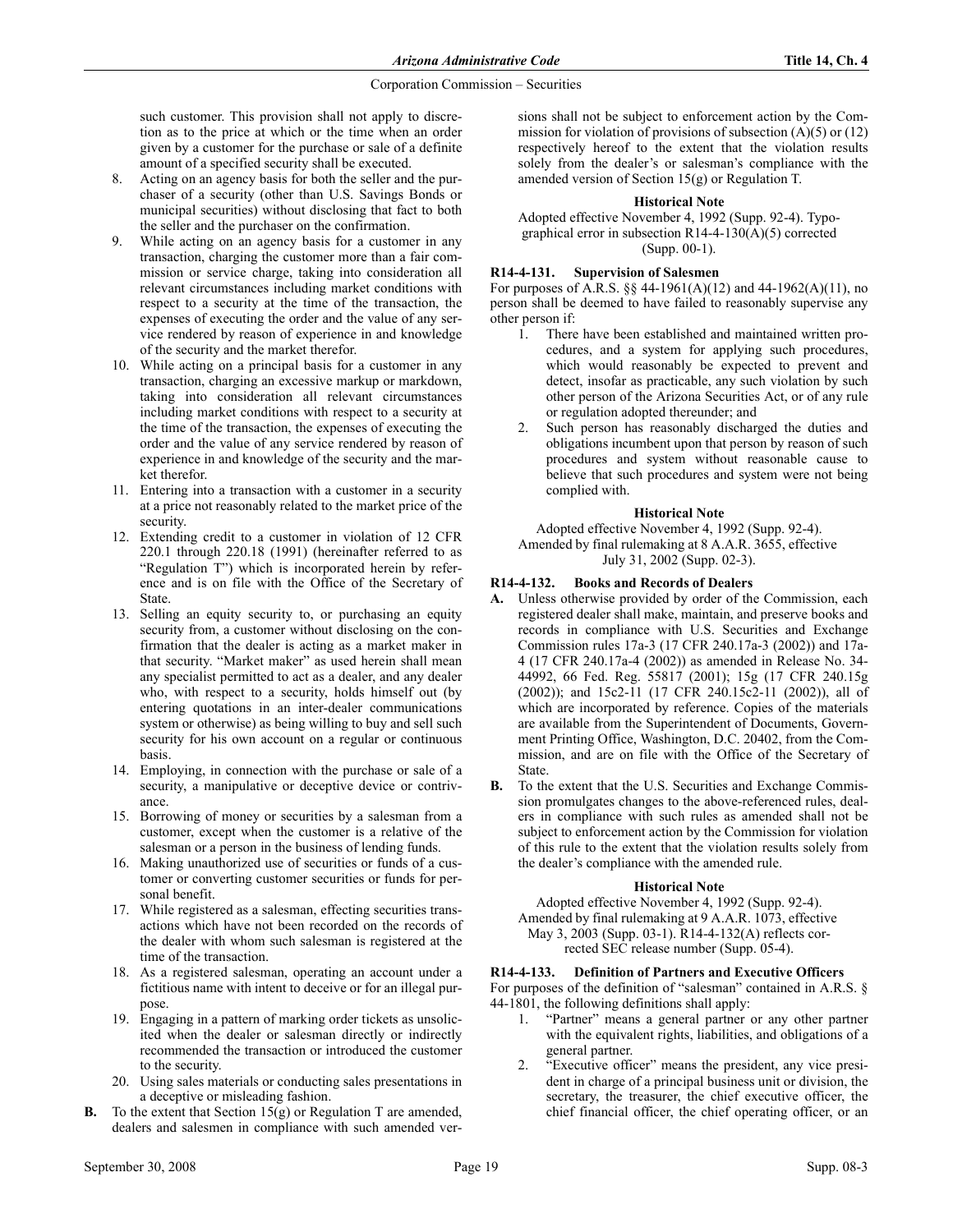such customer. This provision shall not apply to discretion as to the price at which or the time when an order given by a customer for the purchase or sale of a definite amount of a specified security shall be executed.

- 8. Acting on an agency basis for both the seller and the purchaser of a security (other than U.S. Savings Bonds or municipal securities) without disclosing that fact to both the seller and the purchaser on the confirmation.
- While acting on an agency basis for a customer in any transaction, charging the customer more than a fair commission or service charge, taking into consideration all relevant circumstances including market conditions with respect to a security at the time of the transaction, the expenses of executing the order and the value of any service rendered by reason of experience in and knowledge of the security and the market therefor.
- 10. While acting on a principal basis for a customer in any transaction, charging an excessive markup or markdown, taking into consideration all relevant circumstances including market conditions with respect to a security at the time of the transaction, the expenses of executing the order and the value of any service rendered by reason of experience in and knowledge of the security and the market therefor.
- 11. Entering into a transaction with a customer in a security at a price not reasonably related to the market price of the security.
- 12. Extending credit to a customer in violation of 12 CFR 220.1 through 220.18 (1991) (hereinafter referred to as "Regulation T") which is incorporated herein by reference and is on file with the Office of the Secretary of State.
- 13. Selling an equity security to, or purchasing an equity security from, a customer without disclosing on the confirmation that the dealer is acting as a market maker in that security. "Market maker" as used herein shall mean any specialist permitted to act as a dealer, and any dealer who, with respect to a security, holds himself out (by entering quotations in an inter-dealer communications system or otherwise) as being willing to buy and sell such security for his own account on a regular or continuous basis.
- 14. Employing, in connection with the purchase or sale of a security, a manipulative or deceptive device or contrivance.
- 15. Borrowing of money or securities by a salesman from a customer, except when the customer is a relative of the salesman or a person in the business of lending funds.
- 16. Making unauthorized use of securities or funds of a customer or converting customer securities or funds for personal benefit.
- 17. While registered as a salesman, effecting securities transactions which have not been recorded on the records of the dealer with whom such salesman is registered at the time of the transaction.
- 18. As a registered salesman, operating an account under a fictitious name with intent to deceive or for an illegal purpose.
- 19. Engaging in a pattern of marking order tickets as unsolicited when the dealer or salesman directly or indirectly recommended the transaction or introduced the customer to the security.
- 20. Using sales materials or conducting sales presentations in a deceptive or misleading fashion.
- **B.** To the extent that Section  $15(g)$  or Regulation T are amended, dealers and salesmen in compliance with such amended ver-

sions shall not be subject to enforcement action by the Commission for violation of provisions of subsection (A)(5) or (12) respectively hereof to the extent that the violation results solely from the dealer's or salesman's compliance with the amended version of Section 15(g) or Regulation T.

## **Historical Note**

Adopted effective November 4, 1992 (Supp. 92-4). Typographical error in subsection R14-4-130(A)(5) corrected (Supp. 00-1).

# R14-4-131. Supervision of Salesmen

For purposes of A.R.S. §§ 44-1961(A)(12) and 44-1962(A)(11), no person shall be deemed to have failed to reasonably supervise any other person if:

- 1. There have been established and maintained written procedures, and a system for applying such procedures, which would reasonably be expected to prevent and detect, insofar as practicable, any such violation by such other person of the Arizona Securities Act, or of any rule or regulation adopted thereunder; and
- 2. Such person has reasonably discharged the duties and obligations incumbent upon that person by reason of such procedures and system without reasonable cause to believe that such procedures and system were not being complied with.

# **Historical Note**

Adopted effective November 4, 1992 (Supp. 92-4). Amended by final rulemaking at 8 A.A.R. 3655, effective July 31, 2002 (Supp. 02-3).

# R14-4-132. Books and Records of Dealers

- A. Unless otherwise provided by order of the Commission, each registered dealer shall make, maintain, and preserve books and records in compliance with U.S. Securities and Exchange Commission rules 17a-3 (17 CFR 240.17a-3 (2002)) and 17a-4 (17 CFR 240.17a-4 (2002)) as amended in Release No. 34- 44992, 66 Fed. Reg. 55817 (2001); 15g (17 CFR 240.15g (2002)); and 15c2-11 (17 CFR 240.15c2-11 (2002)), all of which are incorporated by reference. Copies of the materials are available from the Superintendent of Documents, Government Printing Office, Washington, D.C. 20402, from the Commission, and are on file with the Office of the Secretary of State.
- B. To the extent that the U.S. Securities and Exchange Commission promulgates changes to the above-referenced rules, dealers in compliance with such rules as amended shall not be subject to enforcement action by the Commission for violation of this rule to the extent that the violation results solely from the dealer's compliance with the amended rule.

# **Historical Note**

Adopted effective November 4, 1992 (Supp. 92-4). Amended by final rulemaking at 9 A.A.R. 1073, effective May 3, 2003 (Supp. 03-1). R14-4-132(A) reflects corrected SEC release number (Supp. 05-4).

# R14-4-133. Definition of Partners and Executive Officers

For purposes of the definition of "salesman" contained in A.R.S. § 44-1801, the following definitions shall apply:

- 1. "Partner" means a general partner or any other partner with the equivalent rights, liabilities, and obligations of a general partner.
- 2. "Executive officer" means the president, any vice president in charge of a principal business unit or division, the secretary, the treasurer, the chief executive officer, the chief financial officer, the chief operating officer, or an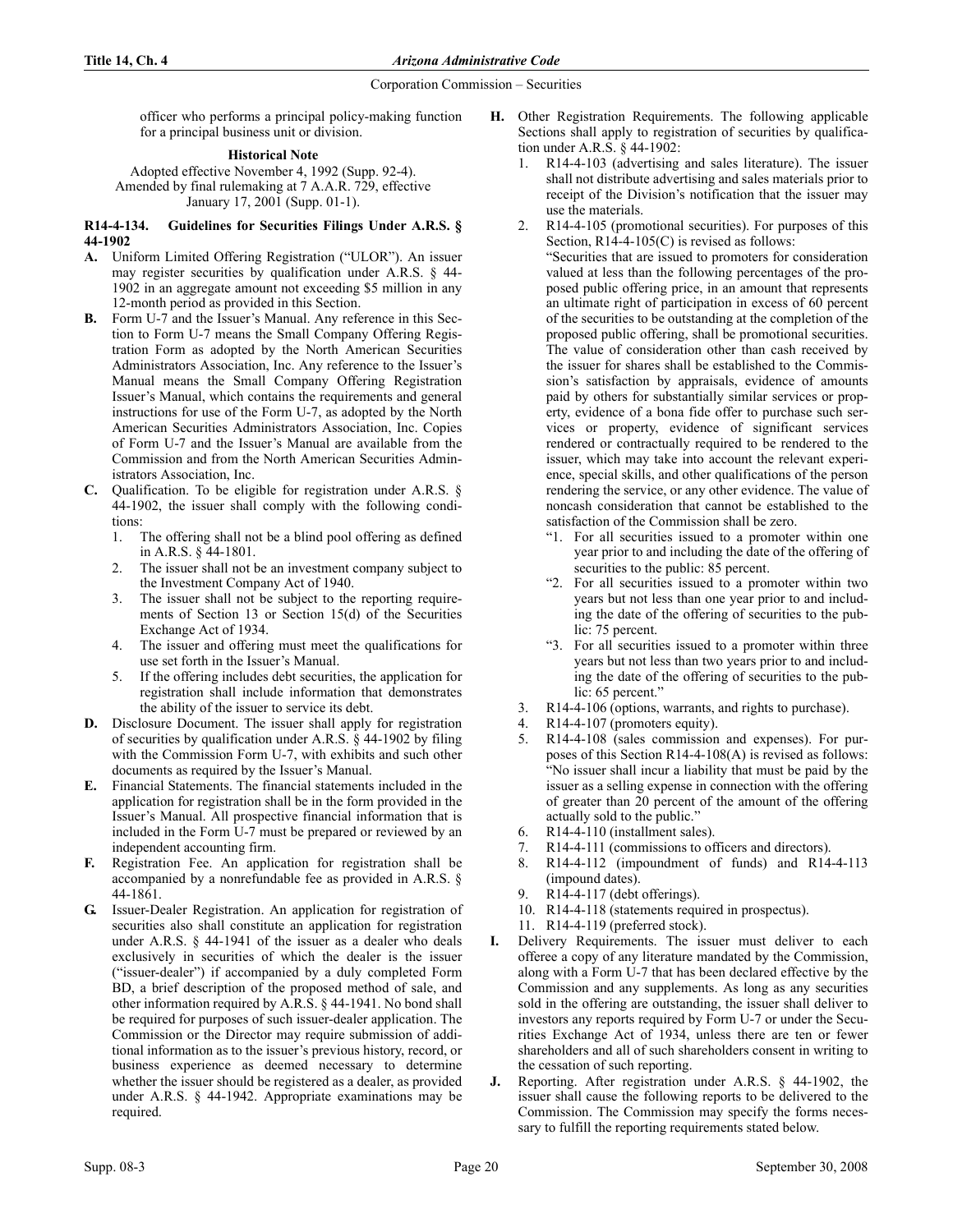officer who performs a principal policy-making function for a principal business unit or division.

## **Historical Note**

Adopted effective November 4, 1992 (Supp. 92-4). Amended by final rulemaking at 7 A.A.R. 729, effective January 17, 2001 (Supp. 01-1).

# R14-4-134. Guidelines for Securities Filings Under A.R.S. § 44-1902

- A. Uniform Limited Offering Registration ("ULOR"). An issuer may register securities by qualification under A.R.S. § 44- 1902 in an aggregate amount not exceeding \$5 million in any 12-month period as provided in this Section.
- B. Form U-7 and the Issuer's Manual. Any reference in this Section to Form U-7 means the Small Company Offering Registration Form as adopted by the North American Securities Administrators Association, Inc. Any reference to the Issuer's Manual means the Small Company Offering Registration Issuer's Manual, which contains the requirements and general instructions for use of the Form U-7, as adopted by the North American Securities Administrators Association, Inc. Copies of Form U-7 and the Issuer's Manual are available from the Commission and from the North American Securities Administrators Association, Inc.
- C. Qualification. To be eligible for registration under A.R.S. § 44-1902, the issuer shall comply with the following conditions:
	- 1. The offering shall not be a blind pool offering as defined in A.R.S. § 44-1801.
	- 2. The issuer shall not be an investment company subject to the Investment Company Act of 1940.
	- 3. The issuer shall not be subject to the reporting requirements of Section 13 or Section 15(d) of the Securities Exchange Act of 1934.
	- 4. The issuer and offering must meet the qualifications for use set forth in the Issuer's Manual.
	- 5. If the offering includes debt securities, the application for registration shall include information that demonstrates the ability of the issuer to service its debt.
- D. Disclosure Document. The issuer shall apply for registration of securities by qualification under A.R.S. § 44-1902 by filing with the Commission Form U-7, with exhibits and such other documents as required by the Issuer's Manual.
- E. Financial Statements. The financial statements included in the application for registration shall be in the form provided in the Issuer's Manual. All prospective financial information that is included in the Form U-7 must be prepared or reviewed by an independent accounting firm.
- F. Registration Fee. An application for registration shall be accompanied by a nonrefundable fee as provided in A.R.S. § 44-1861.
- G. Issuer-Dealer Registration. An application for registration of securities also shall constitute an application for registration under A.R.S. § 44-1941 of the issuer as a dealer who deals exclusively in securities of which the dealer is the issuer ("issuer-dealer") if accompanied by a duly completed Form BD, a brief description of the proposed method of sale, and other information required by A.R.S. § 44-1941. No bond shall be required for purposes of such issuer-dealer application. The Commission or the Director may require submission of additional information as to the issuer's previous history, record, or business experience as deemed necessary to determine whether the issuer should be registered as a dealer, as provided under A.R.S. § 44-1942. Appropriate examinations may be required.
- H. Other Registration Requirements. The following applicable Sections shall apply to registration of securities by qualification under A.R.S. § 44-1902:
	- R14-4-103 (advertising and sales literature). The issuer shall not distribute advertising and sales materials prior to receipt of the Division's notification that the issuer may use the materials.
		- R14-4-105 (promotional securities). For purposes of this Section, R14-4-105(C) is revised as follows: "Securities that are issued to promoters for consideration valued at less than the following percentages of the proposed public offering price, in an amount that represents an ultimate right of participation in excess of 60 percent of the securities to be outstanding at the completion of the proposed public offering, shall be promotional securities. The value of consideration other than cash received by the issuer for shares shall be established to the Commission's satisfaction by appraisals, evidence of amounts paid by others for substantially similar services or property, evidence of a bona fide offer to purchase such services or property, evidence of significant services rendered or contractually required to be rendered to the issuer, which may take into account the relevant experience, special skills, and other qualifications of the person rendering the service, or any other evidence. The value of noncash consideration that cannot be established to the satisfaction of the Commission shall be zero.
			- "1. For all securities issued to a promoter within one year prior to and including the date of the offering of securities to the public: 85 percent.
			- "2. For all securities issued to a promoter within two years but not less than one year prior to and including the date of the offering of securities to the public: 75 percent.
			- "3. For all securities issued to a promoter within three years but not less than two years prior to and including the date of the offering of securities to the public: 65 percent."
	- 3. R14-4-106 (options, warrants, and rights to purchase).
	- 4. R14-4-107 (promoters equity).
	- 5. R14-4-108 (sales commission and expenses). For purposes of this Section R14-4-108(A) is revised as follows: "No issuer shall incur a liability that must be paid by the issuer as a selling expense in connection with the offering of greater than 20 percent of the amount of the offering actually sold to the public."
	- 6. R14-4-110 (installment sales).
	- 7. R14-4-111 (commissions to officers and directors).
	- 8. R14-4-112 (impoundment of funds) and R14-4-113 (impound dates).
	- $R14-4-117$  (debt offerings).
	- 10. R14-4-118 (statements required in prospectus).
	- 11. R14-4-119 (preferred stock).
- Delivery Requirements. The issuer must deliver to each offeree a copy of any literature mandated by the Commission, along with a Form U-7 that has been declared effective by the Commission and any supplements. As long as any securities sold in the offering are outstanding, the issuer shall deliver to investors any reports required by Form U-7 or under the Securities Exchange Act of 1934, unless there are ten or fewer shareholders and all of such shareholders consent in writing to the cessation of such reporting.
- J. Reporting. After registration under A.R.S. § 44-1902, the issuer shall cause the following reports to be delivered to the Commission. The Commission may specify the forms necessary to fulfill the reporting requirements stated below.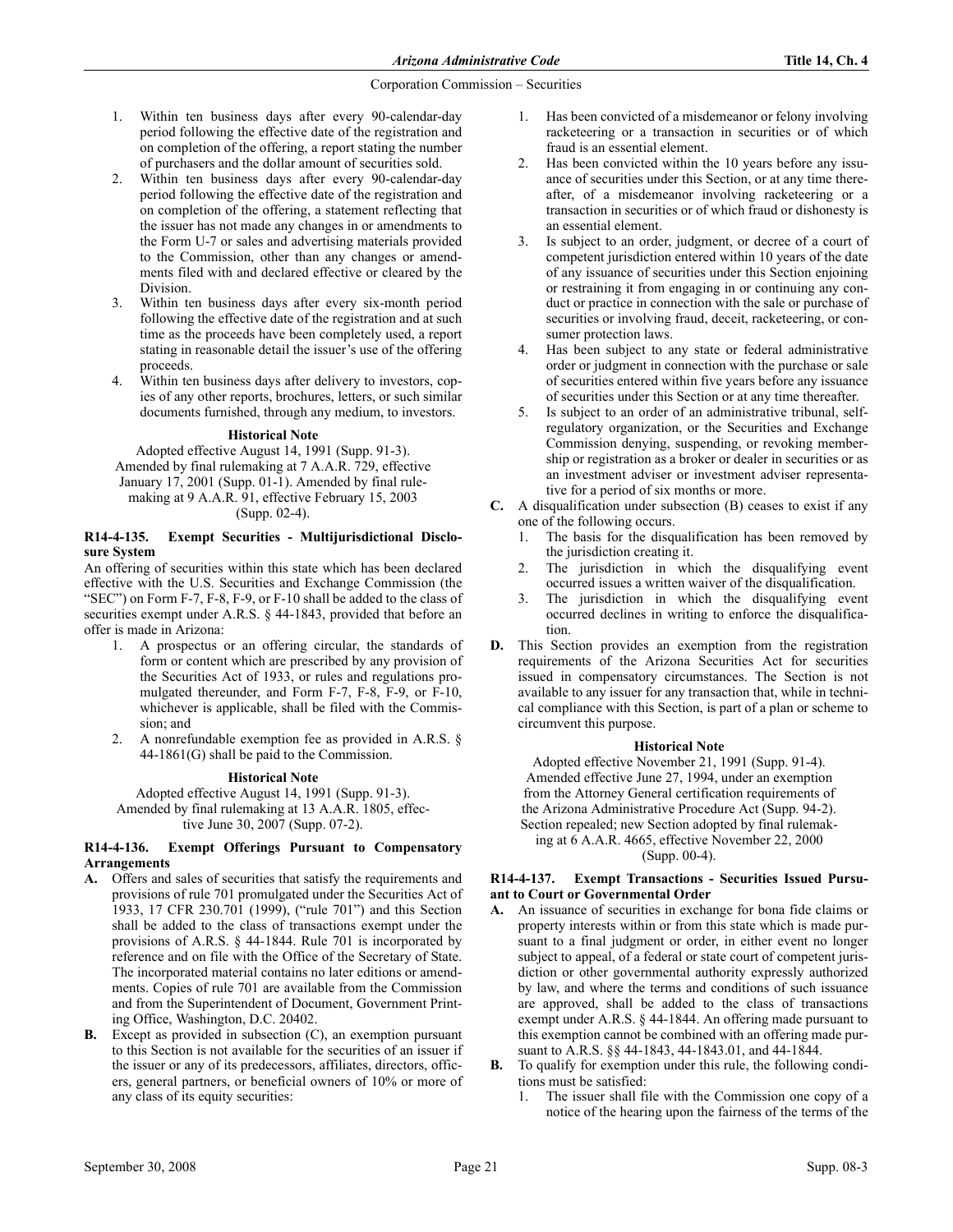- 1. Within ten business days after every 90-calendar-day period following the effective date of the registration and on completion of the offering, a report stating the number of purchasers and the dollar amount of securities sold.
- 2. Within ten business days after every 90-calendar-day period following the effective date of the registration and on completion of the offering, a statement reflecting that the issuer has not made any changes in or amendments to the Form U-7 or sales and advertising materials provided to the Commission, other than any changes or amendments filed with and declared effective or cleared by the Division.
- Within ten business days after every six-month period following the effective date of the registration and at such time as the proceeds have been completely used, a report stating in reasonable detail the issuer's use of the offering proceeds.
- 4. Within ten business days after delivery to investors, copies of any other reports, brochures, letters, or such similar documents furnished, through any medium, to investors.

#### **Historical Note**

Adopted effective August 14, 1991 (Supp. 91-3). Amended by final rulemaking at 7 A.A.R. 729, effective January 17, 2001 (Supp. 01-1). Amended by final rulemaking at 9 A.A.R. 91, effective February 15, 2003 (Supp. 02-4).

#### R14-4-135. Exempt Securities - Multijurisdictional Disclosure System

An offering of securities within this state which has been declared effective with the U.S. Securities and Exchange Commission (the "SEC") on Form F-7, F-8, F-9, or F-10 shall be added to the class of securities exempt under A.R.S. § 44-1843, provided that before an offer is made in Arizona:

- 1. A prospectus or an offering circular, the standards of form or content which are prescribed by any provision of the Securities Act of 1933, or rules and regulations promulgated thereunder, and Form F-7, F-8, F-9, or F-10, whichever is applicable, shall be filed with the Commission; and
- 2. A nonrefundable exemption fee as provided in A.R.S. § 44-1861(G) shall be paid to the Commission.

## **Historical Note**

Adopted effective August 14, 1991 (Supp. 91-3). Amended by final rulemaking at 13 A.A.R. 1805, effective June 30, 2007 (Supp. 07-2).

#### R14-4-136. Exempt Offerings Pursuant to Compensatory Arrangements

- A. Offers and sales of securities that satisfy the requirements and provisions of rule 701 promulgated under the Securities Act of 1933, 17 CFR 230.701 (1999), ("rule 701") and this Section shall be added to the class of transactions exempt under the provisions of A.R.S. § 44-1844. Rule 701 is incorporated by reference and on file with the Office of the Secretary of State. The incorporated material contains no later editions or amendments. Copies of rule 701 are available from the Commission and from the Superintendent of Document, Government Printing Office, Washington, D.C. 20402.
- **B.** Except as provided in subsection (C), an exemption pursuant to this Section is not available for the securities of an issuer if the issuer or any of its predecessors, affiliates, directors, officers, general partners, or beneficial owners of 10% or more of any class of its equity securities:
- 1. Has been convicted of a misdemeanor or felony involving racketeering or a transaction in securities or of which fraud is an essential element.
- 2. Has been convicted within the 10 years before any issuance of securities under this Section, or at any time thereafter, of a misdemeanor involving racketeering or a transaction in securities or of which fraud or dishonesty is an essential element.
- 3. Is subject to an order, judgment, or decree of a court of competent jurisdiction entered within 10 years of the date of any issuance of securities under this Section enjoining or restraining it from engaging in or continuing any conduct or practice in connection with the sale or purchase of securities or involving fraud, deceit, racketeering, or consumer protection laws.
- 4. Has been subject to any state or federal administrative order or judgment in connection with the purchase or sale of securities entered within five years before any issuance of securities under this Section or at any time thereafter.
- 5. Is subject to an order of an administrative tribunal, selfregulatory organization, or the Securities and Exchange Commission denying, suspending, or revoking membership or registration as a broker or dealer in securities or as an investment adviser or investment adviser representative for a period of six months or more.
- C. A disqualification under subsection (B) ceases to exist if any one of the following occurs.
	- 1. The basis for the disqualification has been removed by the jurisdiction creating it.
	- 2. The jurisdiction in which the disqualifying event occurred issues a written waiver of the disqualification.
	- 3. The jurisdiction in which the disqualifying event occurred declines in writing to enforce the disqualification.
- D. This Section provides an exemption from the registration requirements of the Arizona Securities Act for securities issued in compensatory circumstances. The Section is not available to any issuer for any transaction that, while in technical compliance with this Section, is part of a plan or scheme to circumvent this purpose.

## **Historical Note**

Adopted effective November 21, 1991 (Supp. 91-4). Amended effective June 27, 1994, under an exemption from the Attorney General certification requirements of the Arizona Administrative Procedure Act (Supp. 94-2). Section repealed; new Section adopted by final rulemaking at 6 A.A.R. 4665, effective November 22, 2000 (Supp. 00-4).

## R14-4-137. Exempt Transactions - Securities Issued Pursuant to Court or Governmental Order

- A. An issuance of securities in exchange for bona fide claims or property interests within or from this state which is made pursuant to a final judgment or order, in either event no longer subject to appeal, of a federal or state court of competent jurisdiction or other governmental authority expressly authorized by law, and where the terms and conditions of such issuance are approved, shall be added to the class of transactions exempt under A.R.S. § 44-1844. An offering made pursuant to this exemption cannot be combined with an offering made pursuant to A.R.S. §§ 44-1843, 44-1843.01, and 44-1844.
- B. To qualify for exemption under this rule, the following conditions must be satisfied:
	- The issuer shall file with the Commission one copy of a notice of the hearing upon the fairness of the terms of the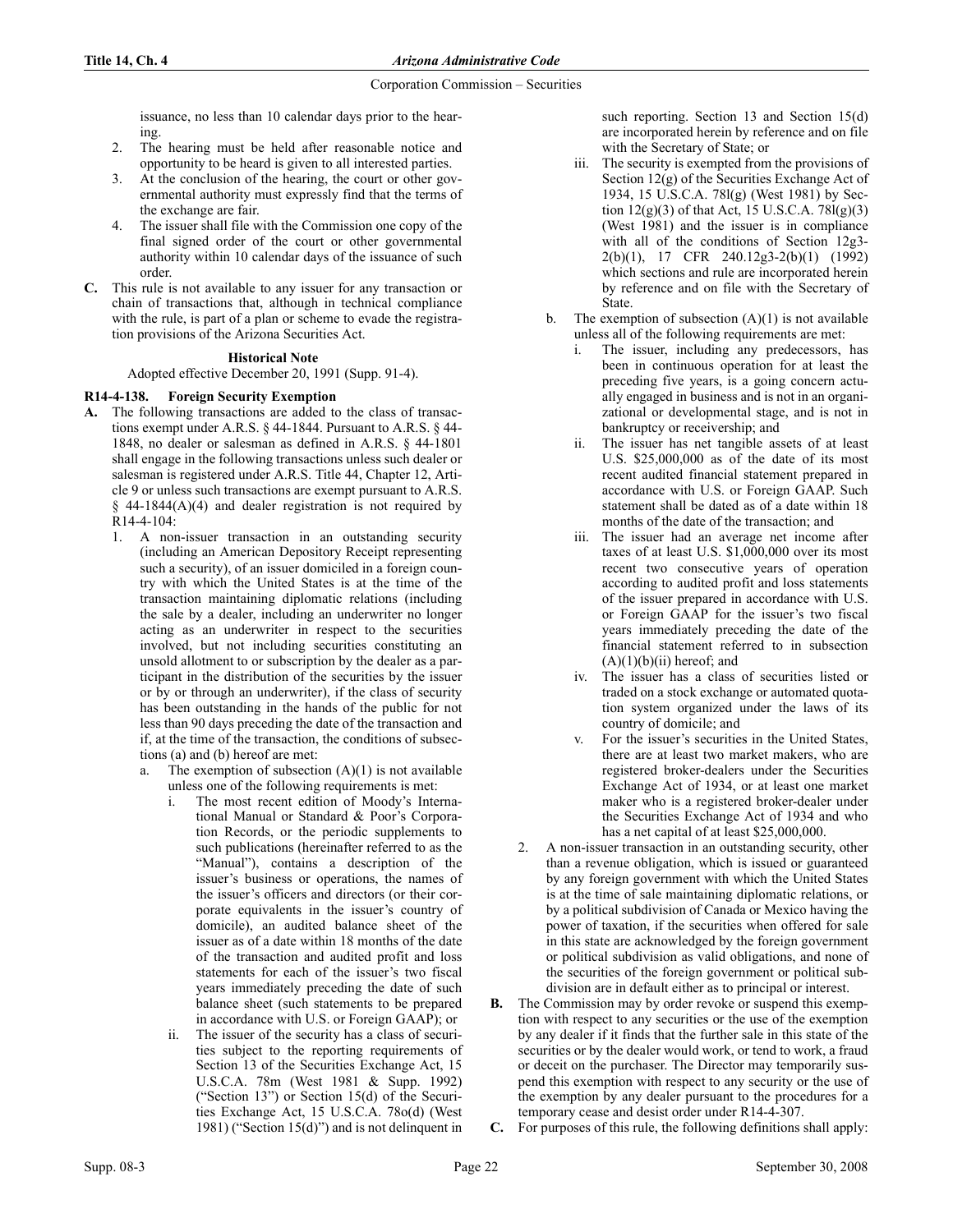issuance, no less than 10 calendar days prior to the hearing.

- 2. The hearing must be held after reasonable notice and opportunity to be heard is given to all interested parties.
- 3. At the conclusion of the hearing, the court or other governmental authority must expressly find that the terms of the exchange are fair.
- 4. The issuer shall file with the Commission one copy of the final signed order of the court or other governmental authority within 10 calendar days of the issuance of such order.
- C. This rule is not available to any issuer for any transaction or chain of transactions that, although in technical compliance with the rule, is part of a plan or scheme to evade the registration provisions of the Arizona Securities Act.

# **Historical Note**

Adopted effective December 20, 1991 (Supp. 91-4).

# R14-4-138. Foreign Security Exemption

- A. The following transactions are added to the class of transactions exempt under A.R.S. § 44-1844. Pursuant to A.R.S. § 44- 1848, no dealer or salesman as defined in A.R.S. § 44-1801 shall engage in the following transactions unless such dealer or salesman is registered under A.R.S. Title 44, Chapter 12, Article 9 or unless such transactions are exempt pursuant to A.R.S.  $§$  44-1844(A)(4) and dealer registration is not required by R14-4-104:
	- 1. A non-issuer transaction in an outstanding security (including an American Depository Receipt representing such a security), of an issuer domiciled in a foreign country with which the United States is at the time of the transaction maintaining diplomatic relations (including the sale by a dealer, including an underwriter no longer acting as an underwriter in respect to the securities involved, but not including securities constituting an unsold allotment to or subscription by the dealer as a participant in the distribution of the securities by the issuer or by or through an underwriter), if the class of security has been outstanding in the hands of the public for not less than 90 days preceding the date of the transaction and if, at the time of the transaction, the conditions of subsections (a) and (b) hereof are met:
		- a. The exemption of subsection  $(A)(1)$  is not available unless one of the following requirements is met:
			- i. The most recent edition of Moody's International Manual or Standard & Poor's Corporation Records, or the periodic supplements to such publications (hereinafter referred to as the "Manual"), contains a description of the issuer's business or operations, the names of the issuer's officers and directors (or their corporate equivalents in the issuer's country of domicile), an audited balance sheet of the issuer as of a date within 18 months of the date of the transaction and audited profit and loss statements for each of the issuer's two fiscal years immediately preceding the date of such balance sheet (such statements to be prepared in accordance with U.S. or Foreign GAAP); or
			- ii. The issuer of the security has a class of securities subject to the reporting requirements of Section 13 of the Securities Exchange Act, 15 U.S.C.A. 78m (West 1981 & Supp. 1992) ("Section 13") or Section 15(d) of the Securities Exchange Act, 15 U.S.C.A. 78o(d) (West 1981) ("Section 15(d)") and is not delinquent in

such reporting. Section 13 and Section 15(d) are incorporated herein by reference and on file with the Secretary of State; or

- iii. The security is exempted from the provisions of Section 12(g) of the Securities Exchange Act of 1934, 15 U.S.C.A. 78l(g) (West 1981) by Section  $12(g)(3)$  of that Act, 15 U.S.C.A. 78 $I(g)(3)$ (West 1981) and the issuer is in compliance with all of the conditions of Section 12g3- 2(b)(1), 17 CFR 240.12g3-2(b)(1) (1992) which sections and rule are incorporated herein by reference and on file with the Secretary of State.
- b. The exemption of subsection  $(A)(1)$  is not available unless all of the following requirements are met:
	- i. The issuer, including any predecessors, has been in continuous operation for at least the preceding five years, is a going concern actually engaged in business and is not in an organizational or developmental stage, and is not in bankruptcy or receivership; and
	- ii. The issuer has net tangible assets of at least U.S. \$25,000,000 as of the date of its most recent audited financial statement prepared in accordance with U.S. or Foreign GAAP. Such statement shall be dated as of a date within 18 months of the date of the transaction; and
	- iii. The issuer had an average net income after taxes of at least U.S. \$1,000,000 over its most recent two consecutive years of operation according to audited profit and loss statements of the issuer prepared in accordance with U.S. or Foreign GAAP for the issuer's two fiscal years immediately preceding the date of the financial statement referred to in subsection  $(A)(1)(b)(ii)$  hereof; and
	- iv. The issuer has a class of securities listed or traded on a stock exchange or automated quotation system organized under the laws of its country of domicile; and
	- v. For the issuer's securities in the United States, there are at least two market makers, who are registered broker-dealers under the Securities Exchange Act of 1934, or at least one market maker who is a registered broker-dealer under the Securities Exchange Act of 1934 and who has a net capital of at least \$25,000,000.
- 2. A non-issuer transaction in an outstanding security, other than a revenue obligation, which is issued or guaranteed by any foreign government with which the United States is at the time of sale maintaining diplomatic relations, or by a political subdivision of Canada or Mexico having the power of taxation, if the securities when offered for sale in this state are acknowledged by the foreign government or political subdivision as valid obligations, and none of the securities of the foreign government or political subdivision are in default either as to principal or interest.
- B. The Commission may by order revoke or suspend this exemption with respect to any securities or the use of the exemption by any dealer if it finds that the further sale in this state of the securities or by the dealer would work, or tend to work, a fraud or deceit on the purchaser. The Director may temporarily suspend this exemption with respect to any security or the use of the exemption by any dealer pursuant to the procedures for a temporary cease and desist order under R14-4-307.
- C. For purposes of this rule, the following definitions shall apply: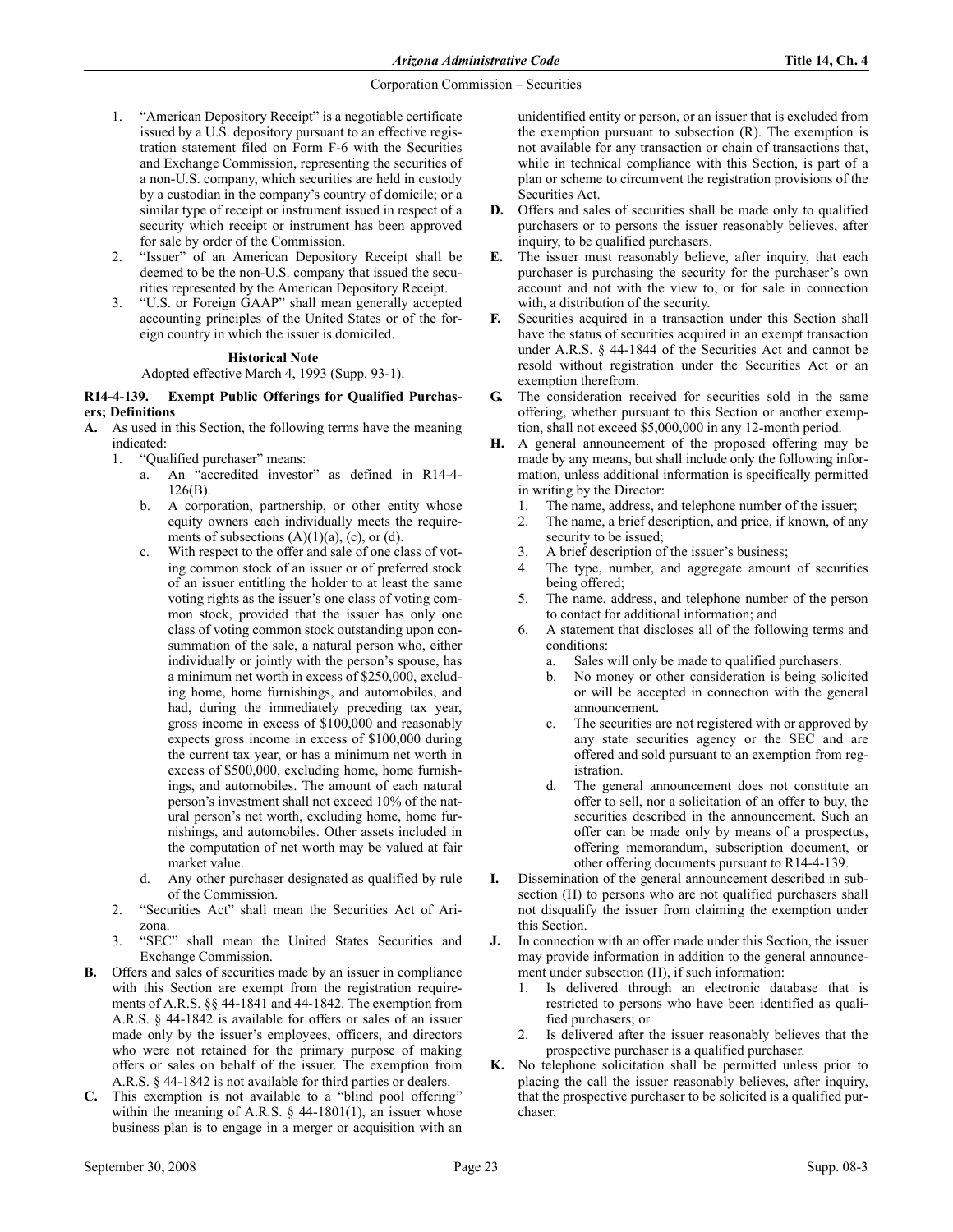- 1. "American Depository Receipt" is a negotiable certificate issued by a U.S. depository pursuant to an effective registration statement filed on Form F-6 with the Securities and Exchange Commission, representing the securities of a non-U.S. company, which securities are held in custody by a custodian in the company's country of domicile; or a similar type of receipt or instrument issued in respect of a security which receipt or instrument has been approved for sale by order of the Commission.
- 2. "Issuer" of an American Depository Receipt shall be deemed to be the non-U.S. company that issued the securities represented by the American Depository Receipt.
- 3. "U.S. or Foreign GAAP" shall mean generally accepted accounting principles of the United States or of the foreign country in which the issuer is domiciled.

## **Historical Note**

Adopted effective March 4, 1993 (Supp. 93-1).

# R14-4-139. Exempt Public Offerings for Qualified Purchasers; Definitions

- A. As used in this Section, the following terms have the meaning indicated:
	- 1. "Qualified purchaser" means:
		- a. An "accredited investor" as defined in R14-4- 126(B).
		- b. A corporation, partnership, or other entity whose equity owners each individually meets the requirements of subsections  $(A)(1)(a)$ ,  $(c)$ , or  $(d)$ .
		- c. With respect to the offer and sale of one class of voting common stock of an issuer or of preferred stock of an issuer entitling the holder to at least the same voting rights as the issuer's one class of voting common stock, provided that the issuer has only one class of voting common stock outstanding upon consummation of the sale, a natural person who, either individually or jointly with the person's spouse, has a minimum net worth in excess of \$250,000, excluding home, home furnishings, and automobiles, and had, during the immediately preceding tax year, gross income in excess of \$100,000 and reasonably expects gross income in excess of \$100,000 during the current tax year, or has a minimum net worth in excess of \$500,000, excluding home, home furnishings, and automobiles. The amount of each natural person's investment shall not exceed 10% of the natural person's net worth, excluding home, home furnishings, and automobiles. Other assets included in the computation of net worth may be valued at fair market value.
		- Any other purchaser designated as qualified by rule of the Commission.
	- 2. "Securities Act" shall mean the Securities Act of Arizona.
	- 3. "SEC" shall mean the United States Securities and Exchange Commission.
- B. Offers and sales of securities made by an issuer in compliance with this Section are exempt from the registration requirements of A.R.S. §§ 44-1841 and 44-1842. The exemption from A.R.S. § 44-1842 is available for offers or sales of an issuer made only by the issuer's employees, officers, and directors who were not retained for the primary purpose of making offers or sales on behalf of the issuer. The exemption from A.R.S. § 44-1842 is not available for third parties or dealers.
- C. This exemption is not available to a "blind pool offering" within the meaning of A.R.S.  $\S$  44-1801(1), an issuer whose business plan is to engage in a merger or acquisition with an

unidentified entity or person, or an issuer that is excluded from the exemption pursuant to subsection (R). The exemption is not available for any transaction or chain of transactions that, while in technical compliance with this Section, is part of a plan or scheme to circumvent the registration provisions of the Securities Act.

- D. Offers and sales of securities shall be made only to qualified purchasers or to persons the issuer reasonably believes, after inquiry, to be qualified purchasers.
- E. The issuer must reasonably believe, after inquiry, that each purchaser is purchasing the security for the purchaser's own account and not with the view to, or for sale in connection with, a distribution of the security.
- F. Securities acquired in a transaction under this Section shall have the status of securities acquired in an exempt transaction under A.R.S. § 44-1844 of the Securities Act and cannot be resold without registration under the Securities Act or an exemption therefrom.
- G. The consideration received for securities sold in the same offering, whether pursuant to this Section or another exemption, shall not exceed \$5,000,000 in any 12-month period.
- H. A general announcement of the proposed offering may be made by any means, but shall include only the following information, unless additional information is specifically permitted in writing by the Director:
	- 1. The name, address, and telephone number of the issuer;
	- 2. The name, a brief description, and price, if known, of any security to be issued;
	- 3. A brief description of the issuer's business;
	- 4. The type, number, and aggregate amount of securities being offered;
	- 5. The name, address, and telephone number of the person to contact for additional information; and
	- 6. A statement that discloses all of the following terms and conditions:
		- a. Sales will only be made to qualified purchasers.
		- b. No money or other consideration is being solicited or will be accepted in connection with the general announcement.
		- c. The securities are not registered with or approved by any state securities agency or the SEC and are offered and sold pursuant to an exemption from registration.
		- d. The general announcement does not constitute an offer to sell, nor a solicitation of an offer to buy, the securities described in the announcement. Such an offer can be made only by means of a prospectus, offering memorandum, subscription document, or other offering documents pursuant to R14-4-139.
- I. Dissemination of the general announcement described in subsection (H) to persons who are not qualified purchasers shall not disqualify the issuer from claiming the exemption under this Section.
- J. In connection with an offer made under this Section, the issuer may provide information in addition to the general announcement under subsection (H), if such information:
	- 1. Is delivered through an electronic database that is restricted to persons who have been identified as qualified purchasers; or
	- 2. Is delivered after the issuer reasonably believes that the prospective purchaser is a qualified purchaser.
- K. No telephone solicitation shall be permitted unless prior to placing the call the issuer reasonably believes, after inquiry, that the prospective purchaser to be solicited is a qualified purchaser.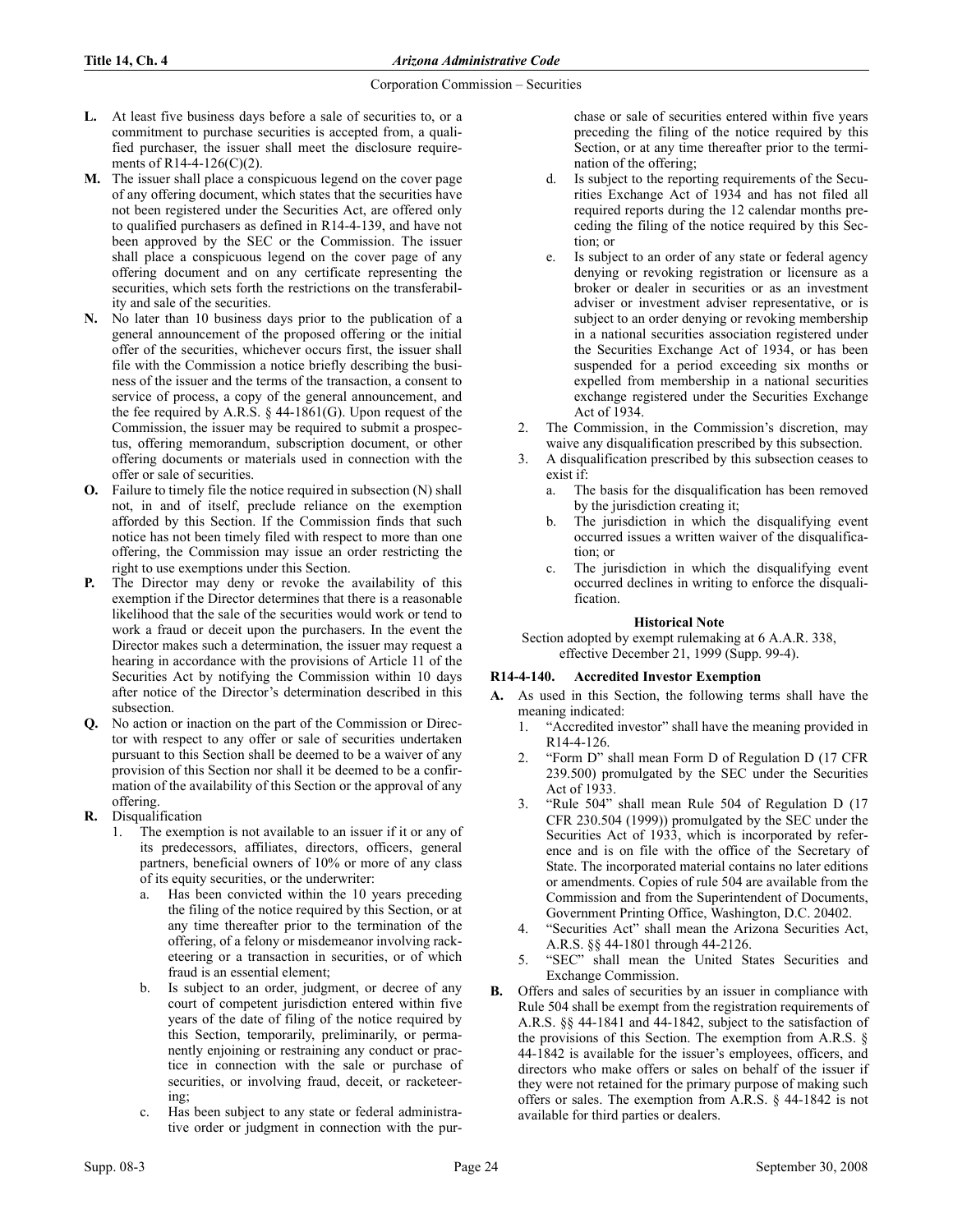- L. At least five business days before a sale of securities to, or a commitment to purchase securities is accepted from, a qualified purchaser, the issuer shall meet the disclosure requirements of R14-4-126(C)(2).
- M. The issuer shall place a conspicuous legend on the cover page of any offering document, which states that the securities have not been registered under the Securities Act, are offered only to qualified purchasers as defined in R14-4-139, and have not been approved by the SEC or the Commission. The issuer shall place a conspicuous legend on the cover page of any offering document and on any certificate representing the securities, which sets forth the restrictions on the transferability and sale of the securities.
- N. No later than 10 business days prior to the publication of a general announcement of the proposed offering or the initial offer of the securities, whichever occurs first, the issuer shall file with the Commission a notice briefly describing the business of the issuer and the terms of the transaction, a consent to service of process, a copy of the general announcement, and the fee required by A.R.S.  $\S$  44-1861(G). Upon request of the Commission, the issuer may be required to submit a prospectus, offering memorandum, subscription document, or other offering documents or materials used in connection with the offer or sale of securities.
- O. Failure to timely file the notice required in subsection (N) shall not, in and of itself, preclude reliance on the exemption afforded by this Section. If the Commission finds that such notice has not been timely filed with respect to more than one offering, the Commission may issue an order restricting the right to use exemptions under this Section.
- The Director may deny or revoke the availability of this exemption if the Director determines that there is a reasonable likelihood that the sale of the securities would work or tend to work a fraud or deceit upon the purchasers. In the event the Director makes such a determination, the issuer may request a hearing in accordance with the provisions of Article 11 of the Securities Act by notifying the Commission within 10 days after notice of the Director's determination described in this subsection.
- Q. No action or inaction on the part of the Commission or Director with respect to any offer or sale of securities undertaken pursuant to this Section shall be deemed to be a waiver of any provision of this Section nor shall it be deemed to be a confirmation of the availability of this Section or the approval of any offering.
- R. Disqualification
	- 1. The exemption is not available to an issuer if it or any of its predecessors, affiliates, directors, officers, general partners, beneficial owners of 10% or more of any class of its equity securities, or the underwriter:
		- a. Has been convicted within the 10 years preceding the filing of the notice required by this Section, or at any time thereafter prior to the termination of the offering, of a felony or misdemeanor involving racketeering or a transaction in securities, or of which fraud is an essential element;
		- b. Is subject to an order, judgment, or decree of any court of competent jurisdiction entered within five years of the date of filing of the notice required by this Section, temporarily, preliminarily, or permanently enjoining or restraining any conduct or practice in connection with the sale or purchase of securities, or involving fraud, deceit, or racketeering;
		- c. Has been subject to any state or federal administrative order or judgment in connection with the pur-

chase or sale of securities entered within five years preceding the filing of the notice required by this Section, or at any time thereafter prior to the termination of the offering;

- d. Is subject to the reporting requirements of the Securities Exchange Act of 1934 and has not filed all required reports during the 12 calendar months preceding the filing of the notice required by this Section; or
- e. Is subject to an order of any state or federal agency denying or revoking registration or licensure as a broker or dealer in securities or as an investment adviser or investment adviser representative, or is subject to an order denying or revoking membership in a national securities association registered under the Securities Exchange Act of 1934, or has been suspended for a period exceeding six months or expelled from membership in a national securities exchange registered under the Securities Exchange Act of 1934.
- 2. The Commission, in the Commission's discretion, may waive any disqualification prescribed by this subsection.
- 3. A disqualification prescribed by this subsection ceases to exist if:
	- a. The basis for the disqualification has been removed by the jurisdiction creating it;
	- b. The jurisdiction in which the disqualifying event occurred issues a written waiver of the disqualification; or
	- c. The jurisdiction in which the disqualifying event occurred declines in writing to enforce the disqualification.

## **Historical Note**

Section adopted by exempt rulemaking at 6 A.A.R. 338, effective December 21, 1999 (Supp. 99-4).

# R14-4-140. Accredited Investor Exemption

- A. As used in this Section, the following terms shall have the meaning indicated:
	- 1. "Accredited investor" shall have the meaning provided in R14-4-126.
	- 2. "Form D" shall mean Form D of Regulation D (17 CFR 239.500) promulgated by the SEC under the Securities Act of 1933.
	- 3. "Rule 504" shall mean Rule 504 of Regulation D (17 CFR 230.504 (1999)) promulgated by the SEC under the Securities Act of 1933, which is incorporated by reference and is on file with the office of the Secretary of State. The incorporated material contains no later editions or amendments. Copies of rule 504 are available from the Commission and from the Superintendent of Documents, Government Printing Office, Washington, D.C. 20402.
	- 4. "Securities Act" shall mean the Arizona Securities Act, A.R.S. §§ 44-1801 through 44-2126.
	- 5. "SEC" shall mean the United States Securities and Exchange Commission.
- B. Offers and sales of securities by an issuer in compliance with Rule 504 shall be exempt from the registration requirements of A.R.S. §§ 44-1841 and 44-1842, subject to the satisfaction of the provisions of this Section. The exemption from A.R.S. § 44-1842 is available for the issuer's employees, officers, and directors who make offers or sales on behalf of the issuer if they were not retained for the primary purpose of making such offers or sales. The exemption from A.R.S. § 44-1842 is not available for third parties or dealers.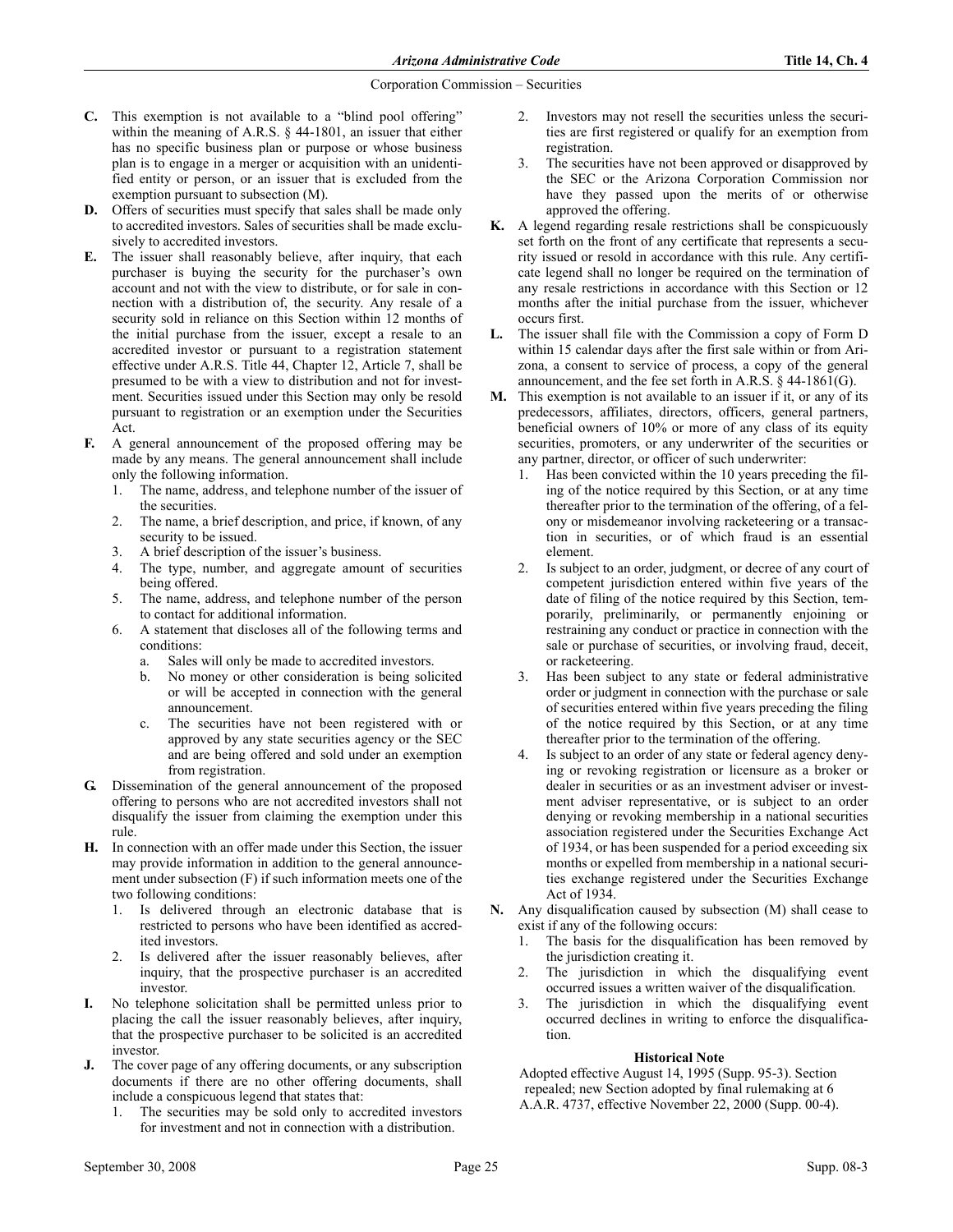- C. This exemption is not available to a "blind pool offering" within the meaning of A.R.S. § 44-1801, an issuer that either has no specific business plan or purpose or whose business plan is to engage in a merger or acquisition with an unidentified entity or person, or an issuer that is excluded from the exemption pursuant to subsection (M).
- D. Offers of securities must specify that sales shall be made only to accredited investors. Sales of securities shall be made exclusively to accredited investors.
- E. The issuer shall reasonably believe, after inquiry, that each purchaser is buying the security for the purchaser's own account and not with the view to distribute, or for sale in connection with a distribution of, the security. Any resale of a security sold in reliance on this Section within 12 months of the initial purchase from the issuer, except a resale to an accredited investor or pursuant to a registration statement effective under A.R.S. Title 44, Chapter 12, Article 7, shall be presumed to be with a view to distribution and not for investment. Securities issued under this Section may only be resold pursuant to registration or an exemption under the Securities Act.
- F. A general announcement of the proposed offering may be made by any means. The general announcement shall include only the following information.
	- 1. The name, address, and telephone number of the issuer of the securities.
	- 2. The name, a brief description, and price, if known, of any security to be issued.
	- 3. A brief description of the issuer's business.
	- 4. The type, number, and aggregate amount of securities being offered.
	- 5. The name, address, and telephone number of the person to contact for additional information.
	- 6. A statement that discloses all of the following terms and conditions:
		- a. Sales will only be made to accredited investors.
		- b. No money or other consideration is being solicited or will be accepted in connection with the general announcement.
		- c. The securities have not been registered with or approved by any state securities agency or the SEC and are being offered and sold under an exemption from registration.
- G. Dissemination of the general announcement of the proposed offering to persons who are not accredited investors shall not disqualify the issuer from claiming the exemption under this rule.
- H. In connection with an offer made under this Section, the issuer may provide information in addition to the general announcement under subsection (F) if such information meets one of the two following conditions:
	- 1. Is delivered through an electronic database that is restricted to persons who have been identified as accredited investors.
	- 2. Is delivered after the issuer reasonably believes, after inquiry, that the prospective purchaser is an accredited investor.
- I. No telephone solicitation shall be permitted unless prior to placing the call the issuer reasonably believes, after inquiry, that the prospective purchaser to be solicited is an accredited investor.
- J. The cover page of any offering documents, or any subscription documents if there are no other offering documents, shall include a conspicuous legend that states that:
	- The securities may be sold only to accredited investors for investment and not in connection with a distribution.
- 2. Investors may not resell the securities unless the securities are first registered or qualify for an exemption from registration.
- 3. The securities have not been approved or disapproved by the SEC or the Arizona Corporation Commission nor have they passed upon the merits of or otherwise approved the offering.
- K. A legend regarding resale restrictions shall be conspicuously set forth on the front of any certificate that represents a security issued or resold in accordance with this rule. Any certificate legend shall no longer be required on the termination of any resale restrictions in accordance with this Section or 12 months after the initial purchase from the issuer, whichever occurs first.
- L. The issuer shall file with the Commission a copy of Form D within 15 calendar days after the first sale within or from Arizona, a consent to service of process, a copy of the general announcement, and the fee set forth in A.R.S. § 44-1861(G).
- M. This exemption is not available to an issuer if it, or any of its predecessors, affiliates, directors, officers, general partners, beneficial owners of 10% or more of any class of its equity securities, promoters, or any underwriter of the securities or any partner, director, or officer of such underwriter:
	- 1. Has been convicted within the 10 years preceding the filing of the notice required by this Section, or at any time thereafter prior to the termination of the offering, of a felony or misdemeanor involving racketeering or a transaction in securities, or of which fraud is an essential element.
	- 2. Is subject to an order, judgment, or decree of any court of competent jurisdiction entered within five years of the date of filing of the notice required by this Section, temporarily, preliminarily, or permanently enjoining or restraining any conduct or practice in connection with the sale or purchase of securities, or involving fraud, deceit, or racketeering.
	- 3. Has been subject to any state or federal administrative order or judgment in connection with the purchase or sale of securities entered within five years preceding the filing of the notice required by this Section, or at any time thereafter prior to the termination of the offering.
	- 4. Is subject to an order of any state or federal agency denying or revoking registration or licensure as a broker or dealer in securities or as an investment adviser or investment adviser representative, or is subject to an order denying or revoking membership in a national securities association registered under the Securities Exchange Act of 1934, or has been suspended for a period exceeding six months or expelled from membership in a national securities exchange registered under the Securities Exchange Act of 1934.
- . Any disqualification caused by subsection (M) shall cease to exist if any of the following occurs:
	- 1. The basis for the disqualification has been removed by the jurisdiction creating it.
	- 2. The jurisdiction in which the disqualifying event occurred issues a written waiver of the disqualification.
	- 3. The jurisdiction in which the disqualifying event occurred declines in writing to enforce the disqualification.

# **Historical Note**

Adopted effective August 14, 1995 (Supp. 95-3). Section repealed; new Section adopted by final rulemaking at 6 A.A.R. 4737, effective November 22, 2000 (Supp. 00-4).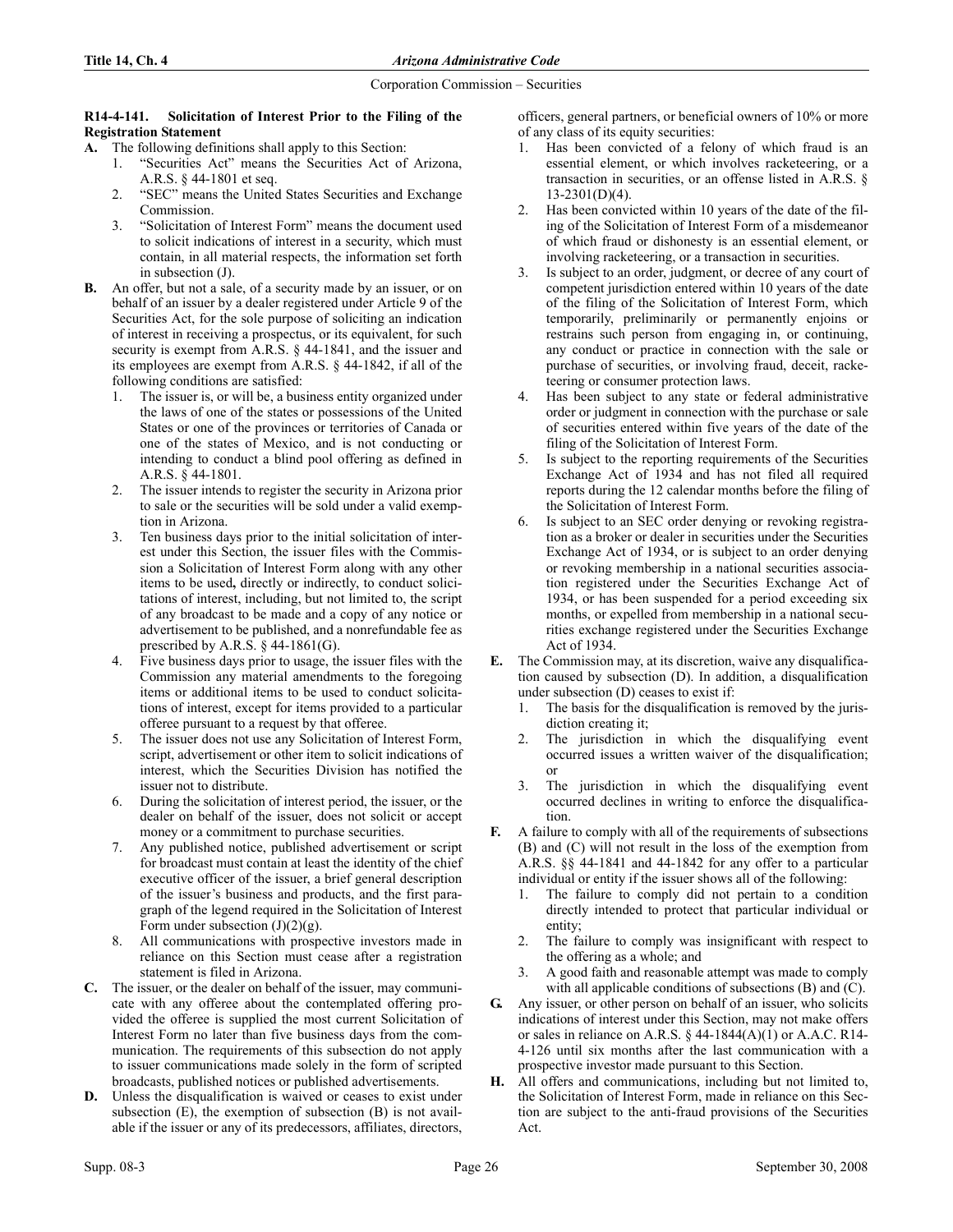#### R14-4-141. Solicitation of Interest Prior to the Filing of the Registration Statement

- A. The following definitions shall apply to this Section:
	- 1. "Securities Act" means the Securities Act of Arizona, A.R.S. § 44-1801 et seq.
	- 2. "SEC" means the United States Securities and Exchange Commission.
	- 3. "Solicitation of Interest Form" means the document used to solicit indications of interest in a security, which must contain, in all material respects, the information set forth in subsection (J).
- B. An offer, but not a sale, of a security made by an issuer, or on behalf of an issuer by a dealer registered under Article 9 of the Securities Act, for the sole purpose of soliciting an indication of interest in receiving a prospectus, or its equivalent, for such security is exempt from A.R.S. § 44-1841, and the issuer and its employees are exempt from A.R.S. § 44-1842, if all of the following conditions are satisfied:
	- 1. The issuer is, or will be, a business entity organized under the laws of one of the states or possessions of the United States or one of the provinces or territories of Canada or one of the states of Mexico, and is not conducting or intending to conduct a blind pool offering as defined in A.R.S. § 44-1801.
	- 2. The issuer intends to register the security in Arizona prior to sale or the securities will be sold under a valid exemption in Arizona.
	- 3. Ten business days prior to the initial solicitation of interest under this Section, the issuer files with the Commission a Solicitation of Interest Form along with any other items to be used, directly or indirectly, to conduct solicitations of interest, including, but not limited to, the script of any broadcast to be made and a copy of any notice or advertisement to be published, and a nonrefundable fee as prescribed by A.R.S.  $\S$  44-1861(G).
	- 4. Five business days prior to usage, the issuer files with the Commission any material amendments to the foregoing items or additional items to be used to conduct solicitations of interest, except for items provided to a particular offeree pursuant to a request by that offeree.
	- 5. The issuer does not use any Solicitation of Interest Form, script, advertisement or other item to solicit indications of interest, which the Securities Division has notified the issuer not to distribute.
	- 6. During the solicitation of interest period, the issuer, or the dealer on behalf of the issuer, does not solicit or accept money or a commitment to purchase securities.
	- 7. Any published notice, published advertisement or script for broadcast must contain at least the identity of the chief executive officer of the issuer, a brief general description of the issuer's business and products, and the first paragraph of the legend required in the Solicitation of Interest Form under subsection  $(J)(2)(g)$ .
	- 8. All communications with prospective investors made in reliance on this Section must cease after a registration statement is filed in Arizona.
- C. The issuer, or the dealer on behalf of the issuer, may communicate with any offeree about the contemplated offering provided the offeree is supplied the most current Solicitation of Interest Form no later than five business days from the communication. The requirements of this subsection do not apply to issuer communications made solely in the form of scripted broadcasts, published notices or published advertisements.
- Unless the disqualification is waived or ceases to exist under subsection (E), the exemption of subsection (B) is not available if the issuer or any of its predecessors, affiliates, directors,

officers, general partners, or beneficial owners of 10% or more of any class of its equity securities:

- 1. Has been convicted of a felony of which fraud is an essential element, or which involves racketeering, or a transaction in securities, or an offense listed in A.R.S. § 13-2301(D)(4).
- 2. Has been convicted within 10 years of the date of the filing of the Solicitation of Interest Form of a misdemeanor of which fraud or dishonesty is an essential element, or involving racketeering, or a transaction in securities.
- 3. Is subject to an order, judgment, or decree of any court of competent jurisdiction entered within 10 years of the date of the filing of the Solicitation of Interest Form, which temporarily, preliminarily or permanently enjoins or restrains such person from engaging in, or continuing, any conduct or practice in connection with the sale or purchase of securities, or involving fraud, deceit, racketeering or consumer protection laws.
- 4. Has been subject to any state or federal administrative order or judgment in connection with the purchase or sale of securities entered within five years of the date of the filing of the Solicitation of Interest Form.
- 5. Is subject to the reporting requirements of the Securities Exchange Act of 1934 and has not filed all required reports during the 12 calendar months before the filing of the Solicitation of Interest Form.
- Is subject to an SEC order denying or revoking registration as a broker or dealer in securities under the Securities Exchange Act of 1934, or is subject to an order denying or revoking membership in a national securities association registered under the Securities Exchange Act of 1934, or has been suspended for a period exceeding six months, or expelled from membership in a national securities exchange registered under the Securities Exchange Act of 1934.
- E. The Commission may, at its discretion, waive any disqualification caused by subsection (D). In addition, a disqualification under subsection (D) ceases to exist if:
	- 1. The basis for the disqualification is removed by the jurisdiction creating it;
	- 2. The jurisdiction in which the disqualifying event occurred issues a written waiver of the disqualification; or
	- 3. The jurisdiction in which the disqualifying event occurred declines in writing to enforce the disqualification.
- F. A failure to comply with all of the requirements of subsections (B) and (C) will not result in the loss of the exemption from A.R.S. §§ 44-1841 and 44-1842 for any offer to a particular individual or entity if the issuer shows all of the following:
	- 1. The failure to comply did not pertain to a condition directly intended to protect that particular individual or entity;
	- 2. The failure to comply was insignificant with respect to the offering as a whole; and
	- 3. A good faith and reasonable attempt was made to comply with all applicable conditions of subsections (B) and (C).
- G. Any issuer, or other person on behalf of an issuer, who solicits indications of interest under this Section, may not make offers or sales in reliance on A.R.S.  $\S$  44-1844(A)(1) or A.A.C. R14-4-126 until six months after the last communication with a prospective investor made pursuant to this Section.
- H. All offers and communications, including but not limited to, the Solicitation of Interest Form, made in reliance on this Section are subject to the anti-fraud provisions of the Securities Act.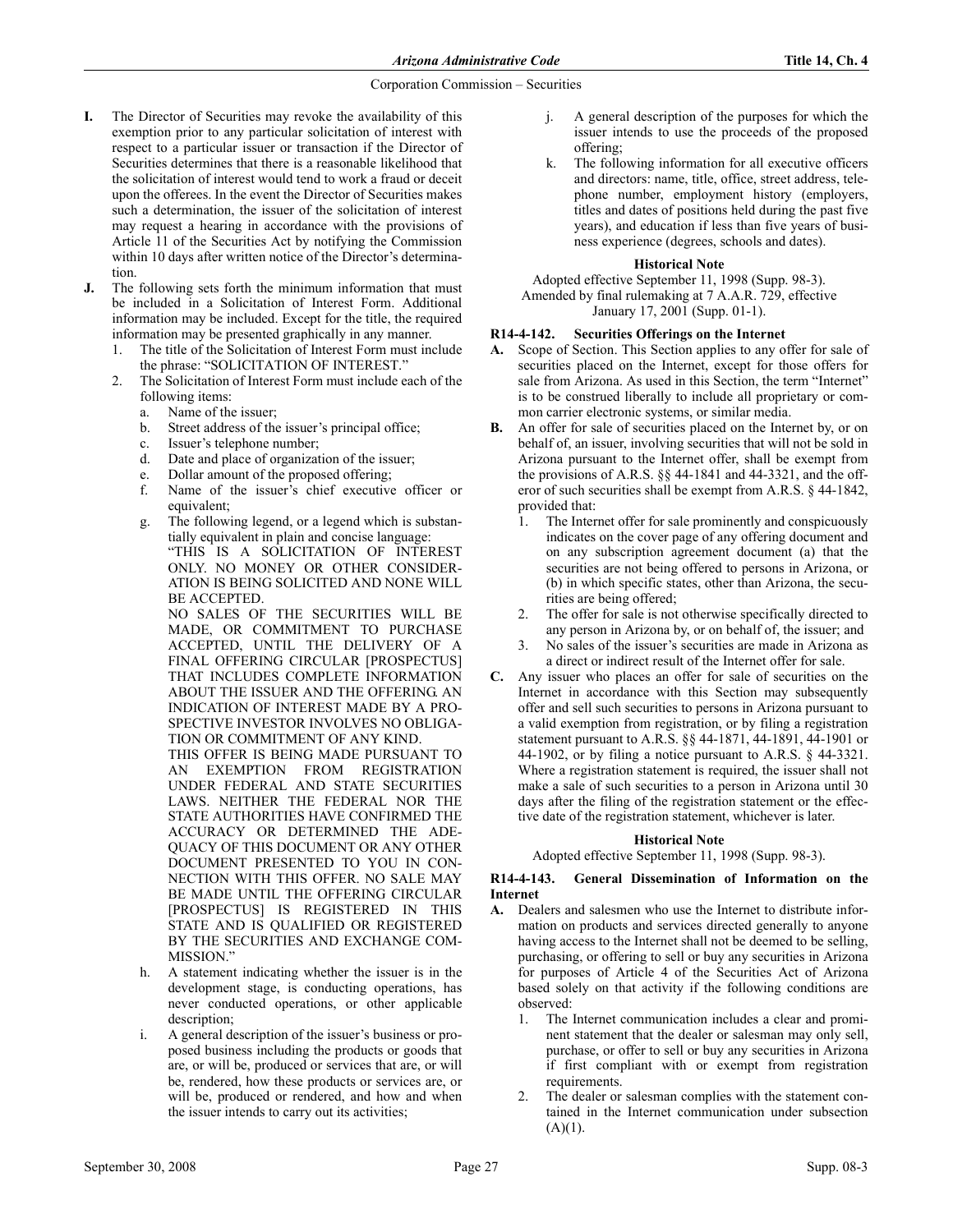- I. The Director of Securities may revoke the availability of this exemption prior to any particular solicitation of interest with respect to a particular issuer or transaction if the Director of Securities determines that there is a reasonable likelihood that the solicitation of interest would tend to work a fraud or deceit upon the offerees. In the event the Director of Securities makes such a determination, the issuer of the solicitation of interest may request a hearing in accordance with the provisions of Article 11 of the Securities Act by notifying the Commission within 10 days after written notice of the Director's determination.
- J. The following sets forth the minimum information that must be included in a Solicitation of Interest Form. Additional information may be included. Except for the title, the required information may be presented graphically in any manner.
	- 1. The title of the Solicitation of Interest Form must include the phrase: "SOLICITATION OF INTEREST."
	- 2. The Solicitation of Interest Form must include each of the following items:
		- a. Name of the issuer;
		- b. Street address of the issuer's principal office;
		- c. Issuer's telephone number;
		- d. Date and place of organization of the issuer;
		- e. Dollar amount of the proposed offering;
		- f. Name of the issuer's chief executive officer or equivalent;
		- g. The following legend, or a legend which is substantially equivalent in plain and concise language: "THIS IS A SOLICITATION OF INTEREST ONLY. NO MONEY OR OTHER CONSIDER-ATION IS BEING SOLICITED AND NONE WILL BE ACCEPTED.

NO SALES OF THE SECURITIES WILL BE MADE, OR COMMITMENT TO PURCHASE ACCEPTED, UNTIL THE DELIVERY OF A FINAL OFFERING CIRCULAR [PROSPECTUS] THAT INCLUDES COMPLETE INFORMATION ABOUT THE ISSUER AND THE OFFERING. AN INDICATION OF INTEREST MADE BY A PRO-SPECTIVE INVESTOR INVOLVES NO OBLIGA-TION OR COMMITMENT OF ANY KIND.

THIS OFFER IS BEING MADE PURSUANT TO AN EXEMPTION FROM REGISTRATION UNDER FEDERAL AND STATE SECURITIES LAWS. NEITHER THE FEDERAL NOR THE STATE AUTHORITIES HAVE CONFIRMED THE ACCURACY OR DETERMINED THE ADE-QUACY OF THIS DOCUMENT OR ANY OTHER DOCUMENT PRESENTED TO YOU IN CON-NECTION WITH THIS OFFER. NO SALE MAY BE MADE UNTIL THE OFFERING CIRCULAR [PROSPECTUS] IS REGISTERED IN THIS STATE AND IS QUALIFIED OR REGISTERED BY THE SECURITIES AND EXCHANGE COM-MISSION<sup></sup>

- h. A statement indicating whether the issuer is in the development stage, is conducting operations, has never conducted operations, or other applicable description;
- i. A general description of the issuer's business or proposed business including the products or goods that are, or will be, produced or services that are, or will be, rendered, how these products or services are, or will be, produced or rendered, and how and when the issuer intends to carry out its activities;
- j. A general description of the purposes for which the issuer intends to use the proceeds of the proposed offering;
- k. The following information for all executive officers and directors: name, title, office, street address, telephone number, employment history (employers, titles and dates of positions held during the past five years), and education if less than five years of business experience (degrees, schools and dates).

## **Historical Note**

Adopted effective September 11, 1998 (Supp. 98-3). Amended by final rulemaking at 7 A.A.R. 729, effective January 17, 2001 (Supp. 01-1).

## R14-4-142. Securities Offerings on the Internet

- A. Scope of Section. This Section applies to any offer for sale of securities placed on the Internet, except for those offers for sale from Arizona. As used in this Section, the term "Internet" is to be construed liberally to include all proprietary or common carrier electronic systems, or similar media.
- B. An offer for sale of securities placed on the Internet by, or on behalf of, an issuer, involving securities that will not be sold in Arizona pursuant to the Internet offer, shall be exempt from the provisions of A.R.S. §§ 44-1841 and 44-3321, and the offeror of such securities shall be exempt from A.R.S. § 44-1842, provided that:
	- 1. The Internet offer for sale prominently and conspicuously indicates on the cover page of any offering document and on any subscription agreement document (a) that the securities are not being offered to persons in Arizona, or (b) in which specific states, other than Arizona, the securities are being offered;
	- The offer for sale is not otherwise specifically directed to any person in Arizona by, or on behalf of, the issuer; and
	- 3. No sales of the issuer's securities are made in Arizona as a direct or indirect result of the Internet offer for sale.
- C. Any issuer who places an offer for sale of securities on the Internet in accordance with this Section may subsequently offer and sell such securities to persons in Arizona pursuant to a valid exemption from registration, or by filing a registration statement pursuant to A.R.S. §§ 44-1871, 44-1891, 44-1901 or 44-1902, or by filing a notice pursuant to A.R.S. § 44-3321. Where a registration statement is required, the issuer shall not make a sale of such securities to a person in Arizona until 30 days after the filing of the registration statement or the effective date of the registration statement, whichever is later.

#### **Historical Note**

Adopted effective September 11, 1998 (Supp. 98-3).

## R14-4-143. General Dissemination of Information on the Internet

- A. Dealers and salesmen who use the Internet to distribute information on products and services directed generally to anyone having access to the Internet shall not be deemed to be selling, purchasing, or offering to sell or buy any securities in Arizona for purposes of Article 4 of the Securities Act of Arizona based solely on that activity if the following conditions are observed:
	- 1. The Internet communication includes a clear and prominent statement that the dealer or salesman may only sell, purchase, or offer to sell or buy any securities in Arizona if first compliant with or exempt from registration requirements.
	- 2. The dealer or salesman complies with the statement contained in the Internet communication under subsection  $(A)(1)$ .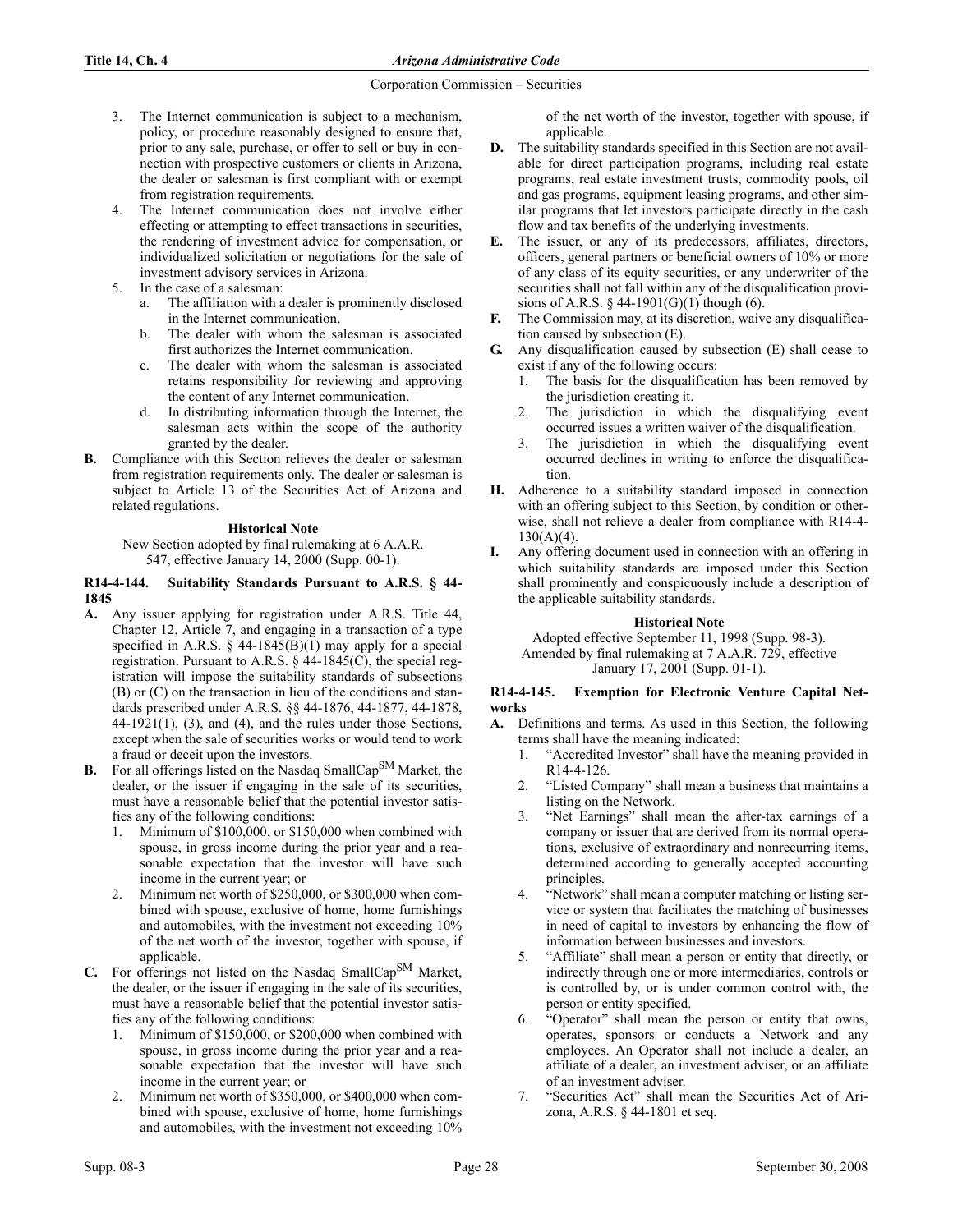- 3. The Internet communication is subject to a mechanism, policy, or procedure reasonably designed to ensure that, prior to any sale, purchase, or offer to sell or buy in connection with prospective customers or clients in Arizona, the dealer or salesman is first compliant with or exempt from registration requirements.
- 4. The Internet communication does not involve either effecting or attempting to effect transactions in securities, the rendering of investment advice for compensation, or individualized solicitation or negotiations for the sale of investment advisory services in Arizona.
- 5. In the case of a salesman:
	- The affiliation with a dealer is prominently disclosed in the Internet communication.
	- b. The dealer with whom the salesman is associated first authorizes the Internet communication.
	- c. The dealer with whom the salesman is associated retains responsibility for reviewing and approving the content of any Internet communication.
	- d. In distributing information through the Internet, the salesman acts within the scope of the authority granted by the dealer.
- B. Compliance with this Section relieves the dealer or salesman from registration requirements only. The dealer or salesman is subject to Article 13 of the Securities Act of Arizona and related regulations.

# **Historical Note**

New Section adopted by final rulemaking at 6 A.A.R. 547, effective January 14, 2000 (Supp. 00-1).

## R14-4-144. Suitability Standards Pursuant to A.R.S. § 44- 1845

- A. Any issuer applying for registration under A.R.S. Title 44, Chapter 12, Article 7, and engaging in a transaction of a type specified in A.R.S. § 44-1845(B)(1) may apply for a special registration. Pursuant to A.R.S. § 44-1845(C), the special registration will impose the suitability standards of subsections (B) or (C) on the transaction in lieu of the conditions and standards prescribed under A.R.S. §§ 44-1876, 44-1877, 44-1878,  $44-1921(1)$ ,  $(3)$ , and  $(4)$ , and the rules under those Sections, except when the sale of securities works or would tend to work a fraud or deceit upon the investors.
- B. For all offerings listed on the Nasdaq SmallCap<sup>SM</sup> Market, the dealer, or the issuer if engaging in the sale of its securities, must have a reasonable belief that the potential investor satisfies any of the following conditions:
	- 1. Minimum of \$100,000, or \$150,000 when combined with spouse, in gross income during the prior year and a reasonable expectation that the investor will have such income in the current year; or
	- Minimum net worth of \$250,000, or \$300,000 when combined with spouse, exclusive of home, home furnishings and automobiles, with the investment not exceeding 10% of the net worth of the investor, together with spouse, if applicable.
- C. For offerings not listed on the Nasdaq SmallCapSM Market, the dealer, or the issuer if engaging in the sale of its securities, must have a reasonable belief that the potential investor satisfies any of the following conditions:
	- 1. Minimum of \$150,000, or \$200,000 when combined with spouse, in gross income during the prior year and a reasonable expectation that the investor will have such income in the current year; or
	- Minimum net worth of \$350,000, or \$400,000 when combined with spouse, exclusive of home, home furnishings and automobiles, with the investment not exceeding 10%

of the net worth of the investor, together with spouse, if applicable.

- D. The suitability standards specified in this Section are not available for direct participation programs, including real estate programs, real estate investment trusts, commodity pools, oil and gas programs, equipment leasing programs, and other similar programs that let investors participate directly in the cash flow and tax benefits of the underlying investments.
- E. The issuer, or any of its predecessors, affiliates, directors, officers, general partners or beneficial owners of 10% or more of any class of its equity securities, or any underwriter of the securities shall not fall within any of the disqualification provisions of A.R.S.  $\S$  44-1901(G)(1) though (6).
- F. The Commission may, at its discretion, waive any disqualification caused by subsection (E).
- G. Any disqualification caused by subsection (E) shall cease to exist if any of the following occurs:
	- 1. The basis for the disqualification has been removed by the jurisdiction creating it.
	- 2. The jurisdiction in which the disqualifying event occurred issues a written waiver of the disqualification.
	- The jurisdiction in which the disqualifying event occurred declines in writing to enforce the disqualification.
- H. Adherence to a suitability standard imposed in connection with an offering subject to this Section, by condition or otherwise, shall not relieve a dealer from compliance with R14-4-  $130(A)(4)$ .
- I. Any offering document used in connection with an offering in which suitability standards are imposed under this Section shall prominently and conspicuously include a description of the applicable suitability standards.

# **Historical Note**

Adopted effective September 11, 1998 (Supp. 98-3). Amended by final rulemaking at 7 A.A.R. 729, effective January 17, 2001 (Supp. 01-1).

# R14-4-145. Exemption for Electronic Venture Capital Networks

- A. Definitions and terms. As used in this Section, the following terms shall have the meaning indicated:
	- 1. "Accredited Investor" shall have the meaning provided in R14-4-126.
	- 2. "Listed Company" shall mean a business that maintains a listing on the Network.
	- 3. "Net Earnings" shall mean the after-tax earnings of a company or issuer that are derived from its normal operations, exclusive of extraordinary and nonrecurring items, determined according to generally accepted accounting principles.
	- "Network" shall mean a computer matching or listing service or system that facilitates the matching of businesses in need of capital to investors by enhancing the flow of information between businesses and investors.
	- 5. "Affiliate" shall mean a person or entity that directly, or indirectly through one or more intermediaries, controls or is controlled by, or is under common control with, the person or entity specified.
	- 6. "Operator" shall mean the person or entity that owns, operates, sponsors or conducts a Network and any employees. An Operator shall not include a dealer, an affiliate of a dealer, an investment adviser, or an affiliate of an investment adviser.
	- 7. "Securities Act" shall mean the Securities Act of Arizona, A.R.S. § 44-1801 et seq.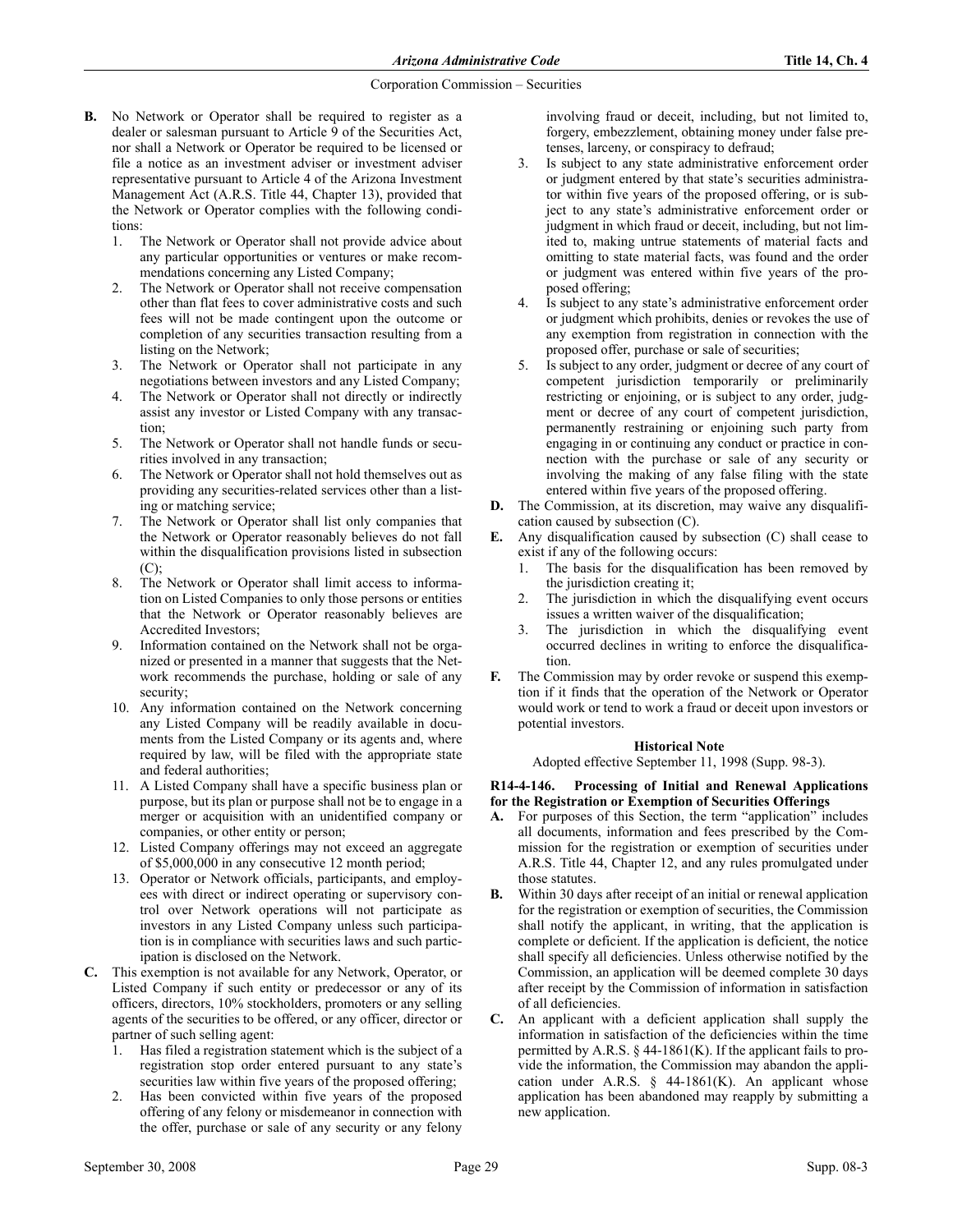- B. No Network or Operator shall be required to register as a dealer or salesman pursuant to Article 9 of the Securities Act, nor shall a Network or Operator be required to be licensed or file a notice as an investment adviser or investment adviser representative pursuant to Article 4 of the Arizona Investment Management Act (A.R.S. Title 44, Chapter 13), provided that the Network or Operator complies with the following conditions:
	- 1. The Network or Operator shall not provide advice about any particular opportunities or ventures or make recommendations concerning any Listed Company;
	- 2. The Network or Operator shall not receive compensation other than flat fees to cover administrative costs and such fees will not be made contingent upon the outcome or completion of any securities transaction resulting from a listing on the Network;
	- 3. The Network or Operator shall not participate in any negotiations between investors and any Listed Company;
	- 4. The Network or Operator shall not directly or indirectly assist any investor or Listed Company with any transaction;
	- 5. The Network or Operator shall not handle funds or securities involved in any transaction;
	- 6. The Network or Operator shall not hold themselves out as providing any securities-related services other than a listing or matching service;
	- 7. The Network or Operator shall list only companies that the Network or Operator reasonably believes do not fall within the disqualification provisions listed in subsection (C);
	- 8. The Network or Operator shall limit access to information on Listed Companies to only those persons or entities that the Network or Operator reasonably believes are Accredited Investors;
	- 9. Information contained on the Network shall not be organized or presented in a manner that suggests that the Network recommends the purchase, holding or sale of any security;
	- 10. Any information contained on the Network concerning any Listed Company will be readily available in documents from the Listed Company or its agents and, where required by law, will be filed with the appropriate state and federal authorities;
	- 11. A Listed Company shall have a specific business plan or purpose, but its plan or purpose shall not be to engage in a merger or acquisition with an unidentified company or companies, or other entity or person;
	- 12. Listed Company offerings may not exceed an aggregate of \$5,000,000 in any consecutive 12 month period;
	- 13. Operator or Network officials, participants, and employees with direct or indirect operating or supervisory control over Network operations will not participate as investors in any Listed Company unless such participation is in compliance with securities laws and such participation is disclosed on the Network.
- C. This exemption is not available for any Network, Operator, or Listed Company if such entity or predecessor or any of its officers, directors, 10% stockholders, promoters or any selling agents of the securities to be offered, or any officer, director or partner of such selling agent:
	- Has filed a registration statement which is the subject of a registration stop order entered pursuant to any state's securities law within five years of the proposed offering;
	- Has been convicted within five years of the proposed offering of any felony or misdemeanor in connection with the offer, purchase or sale of any security or any felony

involving fraud or deceit, including, but not limited to, forgery, embezzlement, obtaining money under false pretenses, larceny, or conspiracy to defraud;

- Is subject to any state administrative enforcement order or judgment entered by that state's securities administrator within five years of the proposed offering, or is subject to any state's administrative enforcement order or judgment in which fraud or deceit, including, but not limited to, making untrue statements of material facts and omitting to state material facts, was found and the order or judgment was entered within five years of the proposed offering;
- Is subject to any state's administrative enforcement order or judgment which prohibits, denies or revokes the use of any exemption from registration in connection with the proposed offer, purchase or sale of securities;
- Is subject to any order, judgment or decree of any court of competent jurisdiction temporarily or preliminarily restricting or enjoining, or is subject to any order, judgment or decree of any court of competent jurisdiction, permanently restraining or enjoining such party from engaging in or continuing any conduct or practice in connection with the purchase or sale of any security or involving the making of any false filing with the state entered within five years of the proposed offering.
- D. The Commission, at its discretion, may waive any disqualification caused by subsection (C).
- E. Any disqualification caused by subsection (C) shall cease to exist if any of the following occurs:
	- 1. The basis for the disqualification has been removed by the jurisdiction creating it;
	- 2. The jurisdiction in which the disqualifying event occurs issues a written waiver of the disqualification;
	- 3. The jurisdiction in which the disqualifying event occurred declines in writing to enforce the disqualification.
- F. The Commission may by order revoke or suspend this exemption if it finds that the operation of the Network or Operator would work or tend to work a fraud or deceit upon investors or potential investors.

## **Historical Note**

Adopted effective September 11, 1998 (Supp. 98-3).

# R14-4-146. Processing of Initial and Renewal Applications for the Registration or Exemption of Securities Offerings

- A. For purposes of this Section, the term "application" includes all documents, information and fees prescribed by the Commission for the registration or exemption of securities under A.R.S. Title 44, Chapter 12, and any rules promulgated under those statutes.
- Within 30 days after receipt of an initial or renewal application for the registration or exemption of securities, the Commission shall notify the applicant, in writing, that the application is complete or deficient. If the application is deficient, the notice shall specify all deficiencies. Unless otherwise notified by the Commission, an application will be deemed complete 30 days after receipt by the Commission of information in satisfaction of all deficiencies.
- C. An applicant with a deficient application shall supply the information in satisfaction of the deficiencies within the time permitted by A.R.S.  $\S$  44-1861(K). If the applicant fails to provide the information, the Commission may abandon the application under A.R.S.  $\S$  44-1861(K). An applicant whose application has been abandoned may reapply by submitting a new application.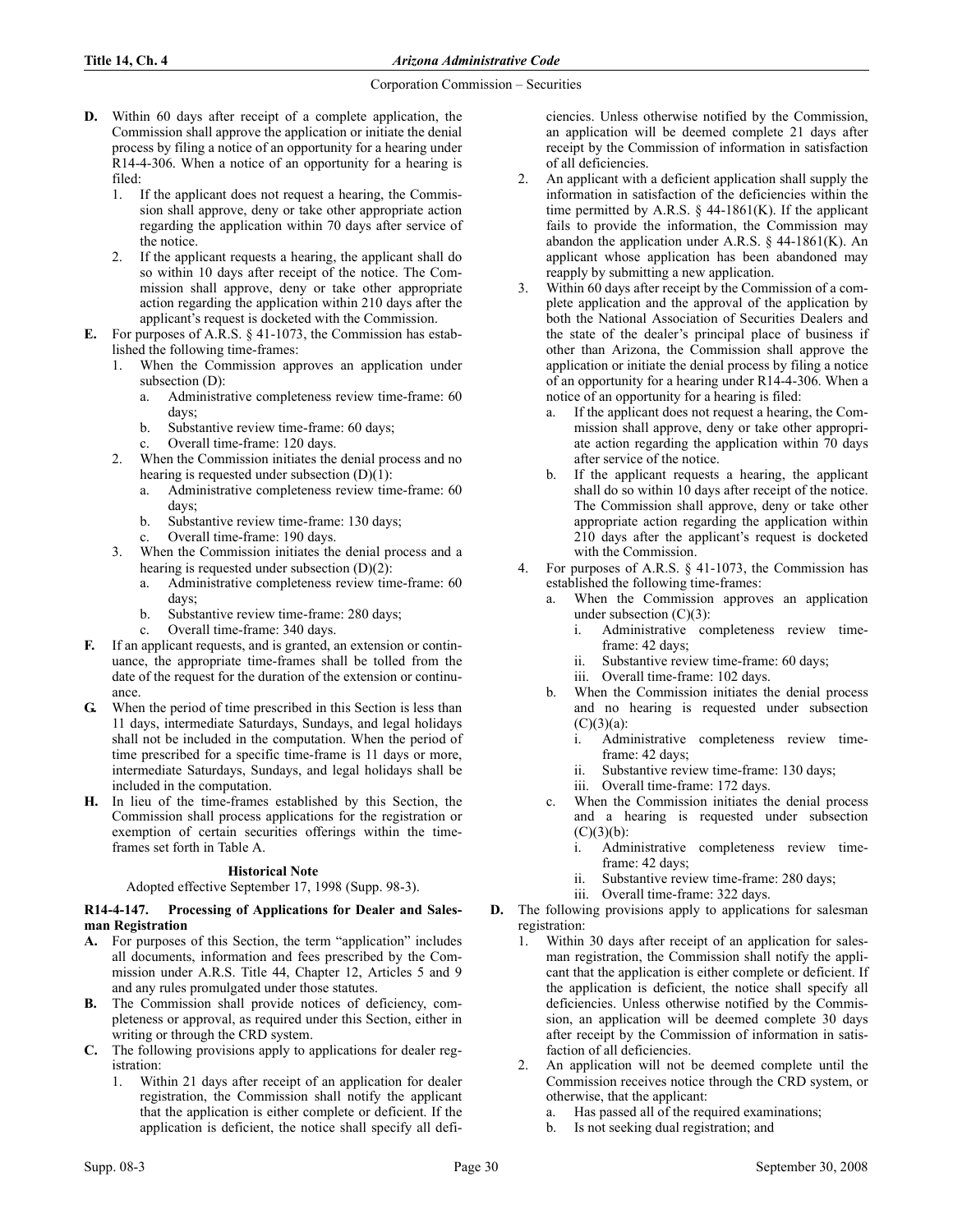- D. Within 60 days after receipt of a complete application, the Commission shall approve the application or initiate the denial process by filing a notice of an opportunity for a hearing under R14-4-306. When a notice of an opportunity for a hearing is filed:
	- 1. If the applicant does not request a hearing, the Commission shall approve, deny or take other appropriate action regarding the application within 70 days after service of the notice.
	- 2. If the applicant requests a hearing, the applicant shall do so within 10 days after receipt of the notice. The Commission shall approve, deny or take other appropriate action regarding the application within 210 days after the applicant's request is docketed with the Commission.
- E. For purposes of A.R.S. § 41-1073, the Commission has established the following time-frames:
	- 1. When the Commission approves an application under subsection (D):
		- a. Administrative completeness review time-frame: 60 days;
		- b. Substantive review time-frame: 60 days;
		- Overall time-frame: 120 days.
	- 2. When the Commission initiates the denial process and no hearing is requested under subsection (D)(1):
		- a. Administrative completeness review time-frame: 60 days;
		- b. Substantive review time-frame: 130 days;
		- Overall time-frame: 190 days.
	- 3. When the Commission initiates the denial process and a hearing is requested under subsection  $(D)(2)$ :
		- a. Administrative completeness review time-frame: 60 days;
		- b. Substantive review time-frame: 280 days;
		- c. Overall time-frame: 340 days.
- If an applicant requests, and is granted, an extension or continuance, the appropriate time-frames shall be tolled from the date of the request for the duration of the extension or continuance.
- G. When the period of time prescribed in this Section is less than 11 days, intermediate Saturdays, Sundays, and legal holidays shall not be included in the computation. When the period of time prescribed for a specific time-frame is 11 days or more, intermediate Saturdays, Sundays, and legal holidays shall be included in the computation.
- H. In lieu of the time-frames established by this Section, the Commission shall process applications for the registration or exemption of certain securities offerings within the timeframes set forth in Table A.

# **Historical Note**

Adopted effective September 17, 1998 (Supp. 98-3).

# R14-4-147. Processing of Applications for Dealer and Salesman Registration

- A. For purposes of this Section, the term "application" includes all documents, information and fees prescribed by the Commission under A.R.S. Title 44, Chapter 12, Articles 5 and 9 and any rules promulgated under those statutes.
- B. The Commission shall provide notices of deficiency, completeness or approval, as required under this Section, either in writing or through the CRD system.
- C. The following provisions apply to applications for dealer registration:
	- 1. Within 21 days after receipt of an application for dealer registration, the Commission shall notify the applicant that the application is either complete or deficient. If the application is deficient, the notice shall specify all defi-

ciencies. Unless otherwise notified by the Commission, an application will be deemed complete 21 days after receipt by the Commission of information in satisfaction of all deficiencies.

- 2. An applicant with a deficient application shall supply the information in satisfaction of the deficiencies within the time permitted by A.R.S.  $\S$  44-1861(K). If the applicant fails to provide the information, the Commission may abandon the application under A.R.S.  $\S$  44-1861(K). An applicant whose application has been abandoned may reapply by submitting a new application.
- 3. Within 60 days after receipt by the Commission of a complete application and the approval of the application by both the National Association of Securities Dealers and the state of the dealer's principal place of business if other than Arizona, the Commission shall approve the application or initiate the denial process by filing a notice of an opportunity for a hearing under R14-4-306. When a notice of an opportunity for a hearing is filed:
	- a. If the applicant does not request a hearing, the Commission shall approve, deny or take other appropriate action regarding the application within 70 days after service of the notice.
	- b. If the applicant requests a hearing, the applicant shall do so within 10 days after receipt of the notice. The Commission shall approve, deny or take other appropriate action regarding the application within 210 days after the applicant's request is docketed with the Commission.
- 4. For purposes of A.R.S. § 41-1073, the Commission has established the following time-frames:
	- When the Commission approves an application under subsection  $(C)(3)$ :
		- i. Administrative completeness review timeframe: 42 days;
		- ii. Substantive review time-frame: 60 days;
		- iii. Overall time-frame: 102 days.
	- b. When the Commission initiates the denial process and no hearing is requested under subsection  $(C)(3)(a)$ :
		- i. Administrative completeness review timeframe: 42 days;
		- ii. Substantive review time-frame: 130 days;
		- iii. Overall time-frame: 172 days.
	- c. When the Commission initiates the denial process and a hearing is requested under subsection  $(C)(3)(b)$ :
		- i. Administrative completeness review timeframe: 42 days;
		- ii. Substantive review time-frame: 280 days;
		- iii. Overall time-frame: 322 days.
- D. The following provisions apply to applications for salesman registration:
	- 1. Within 30 days after receipt of an application for salesman registration, the Commission shall notify the applicant that the application is either complete or deficient. If the application is deficient, the notice shall specify all deficiencies. Unless otherwise notified by the Commission, an application will be deemed complete 30 days after receipt by the Commission of information in satisfaction of all deficiencies.
	- 2. An application will not be deemed complete until the Commission receives notice through the CRD system, or otherwise, that the applicant:
		- a. Has passed all of the required examinations;
		- b. Is not seeking dual registration; and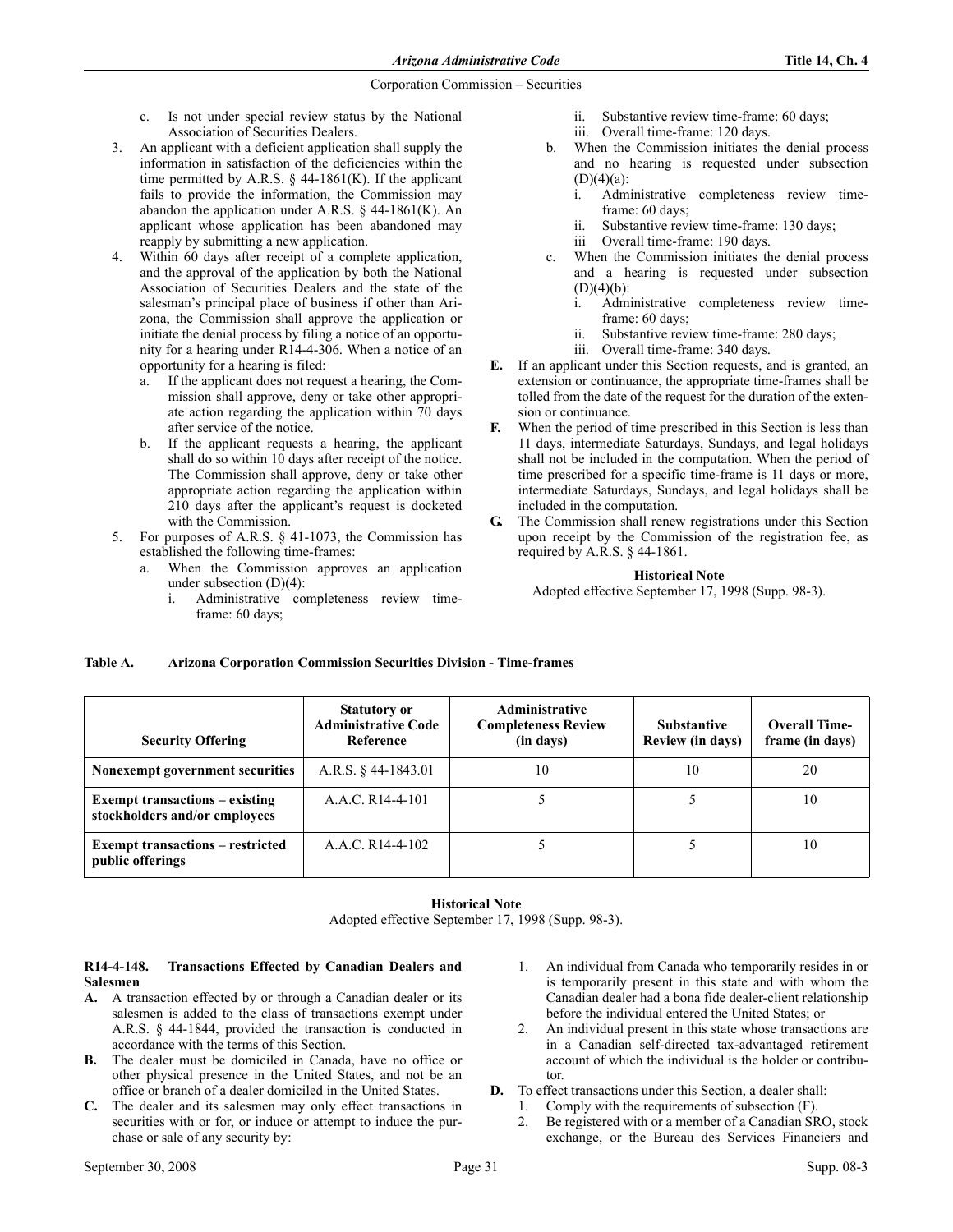- c. Is not under special review status by the National Association of Securities Dealers.
- 3. An applicant with a deficient application shall supply the information in satisfaction of the deficiencies within the time permitted by A.R.S.  $\S$  44-1861(K). If the applicant fails to provide the information, the Commission may abandon the application under A.R.S.  $\S$  44-1861(K). An applicant whose application has been abandoned may reapply by submitting a new application.
- 4. Within 60 days after receipt of a complete application, and the approval of the application by both the National Association of Securities Dealers and the state of the salesman's principal place of business if other than Arizona, the Commission shall approve the application or initiate the denial process by filing a notice of an opportunity for a hearing under R14-4-306. When a notice of an opportunity for a hearing is filed:
	- a. If the applicant does not request a hearing, the Commission shall approve, deny or take other appropriate action regarding the application within 70 days after service of the notice.
	- b. If the applicant requests a hearing, the applicant shall do so within 10 days after receipt of the notice. The Commission shall approve, deny or take other appropriate action regarding the application within 210 days after the applicant's request is docketed with the Commission.
- 5. For purposes of A.R.S. § 41-1073, the Commission has established the following time-frames:
	- a. When the Commission approves an application under subsection (D)(4):
		- i. Administrative completeness review timeframe: 60 days;
- ii. Substantive review time-frame: 60 days;
- iii. Overall time-frame: 120 days.
- b. When the Commission initiates the denial process and no hearing is requested under subsection  $(D)(4)(a)$ :
	- i. Administrative completeness review timeframe: 60 days:
	- ii. Substantive review time-frame: 130 days;
	- iii Overall time-frame: 190 days.
- c. When the Commission initiates the denial process and a hearing is requested under subsection  $(D)(4)(b)$ :
	- i. Administrative completeness review timeframe: 60 days;
	- ii. Substantive review time-frame: 280 days;
	- iii. Overall time-frame: 340 days.
- E. If an applicant under this Section requests, and is granted, an extension or continuance, the appropriate time-frames shall be tolled from the date of the request for the duration of the extension or continuance.
- F. When the period of time prescribed in this Section is less than 11 days, intermediate Saturdays, Sundays, and legal holidays shall not be included in the computation. When the period of time prescribed for a specific time-frame is 11 days or more, intermediate Saturdays, Sundays, and legal holidays shall be included in the computation.
- G. The Commission shall renew registrations under this Section upon receipt by the Commission of the registration fee, as required by A.R.S. § 44-1861.

## **Historical Note**

Adopted effective September 17, 1998 (Supp. 98-3).

# Table A. Arizona Corporation Commission Securities Division - Time-frames

| <b>Security Offering</b>                                               | <b>Statutory or</b><br><b>Administrative Code</b><br>Reference | <b>Administrative</b><br><b>Completeness Review</b><br>(in days) | <b>Substantive</b><br>Review (in days) | <b>Overall Time-</b><br>frame (in days) |
|------------------------------------------------------------------------|----------------------------------------------------------------|------------------------------------------------------------------|----------------------------------------|-----------------------------------------|
| Nonexempt government securities                                        | A.R.S. $§$ 44-1843.01                                          | 10                                                               | 10                                     | 20                                      |
| <b>Exempt transactions – existing</b><br>stockholders and/or employees | A.A.C. R14-4-101                                               |                                                                  |                                        | 10                                      |
| <b>Exempt transactions – restricted</b><br>public offerings            | A.A.C. R14-4-102                                               |                                                                  |                                        | 10                                      |

#### **Historical Note**

Adopted effective September 17, 1998 (Supp. 98-3).

## R14-4-148. Transactions Effected by Canadian Dealers and Salesmen

- A. A transaction effected by or through a Canadian dealer or its salesmen is added to the class of transactions exempt under A.R.S. § 44-1844, provided the transaction is conducted in accordance with the terms of this Section.
- B. The dealer must be domiciled in Canada, have no office or other physical presence in the United States, and not be an office or branch of a dealer domiciled in the United States.
- C. The dealer and its salesmen may only effect transactions in securities with or for, or induce or attempt to induce the purchase or sale of any security by:
- 1. An individual from Canada who temporarily resides in or is temporarily present in this state and with whom the Canadian dealer had a bona fide dealer-client relationship before the individual entered the United States; or
- 2. An individual present in this state whose transactions are in a Canadian self-directed tax-advantaged retirement account of which the individual is the holder or contributor.
- D. To effect transactions under this Section, a dealer shall:
	- 1. Comply with the requirements of subsection (F).
	- 2. Be registered with or a member of a Canadian SRO, stock exchange, or the Bureau des Services Financiers and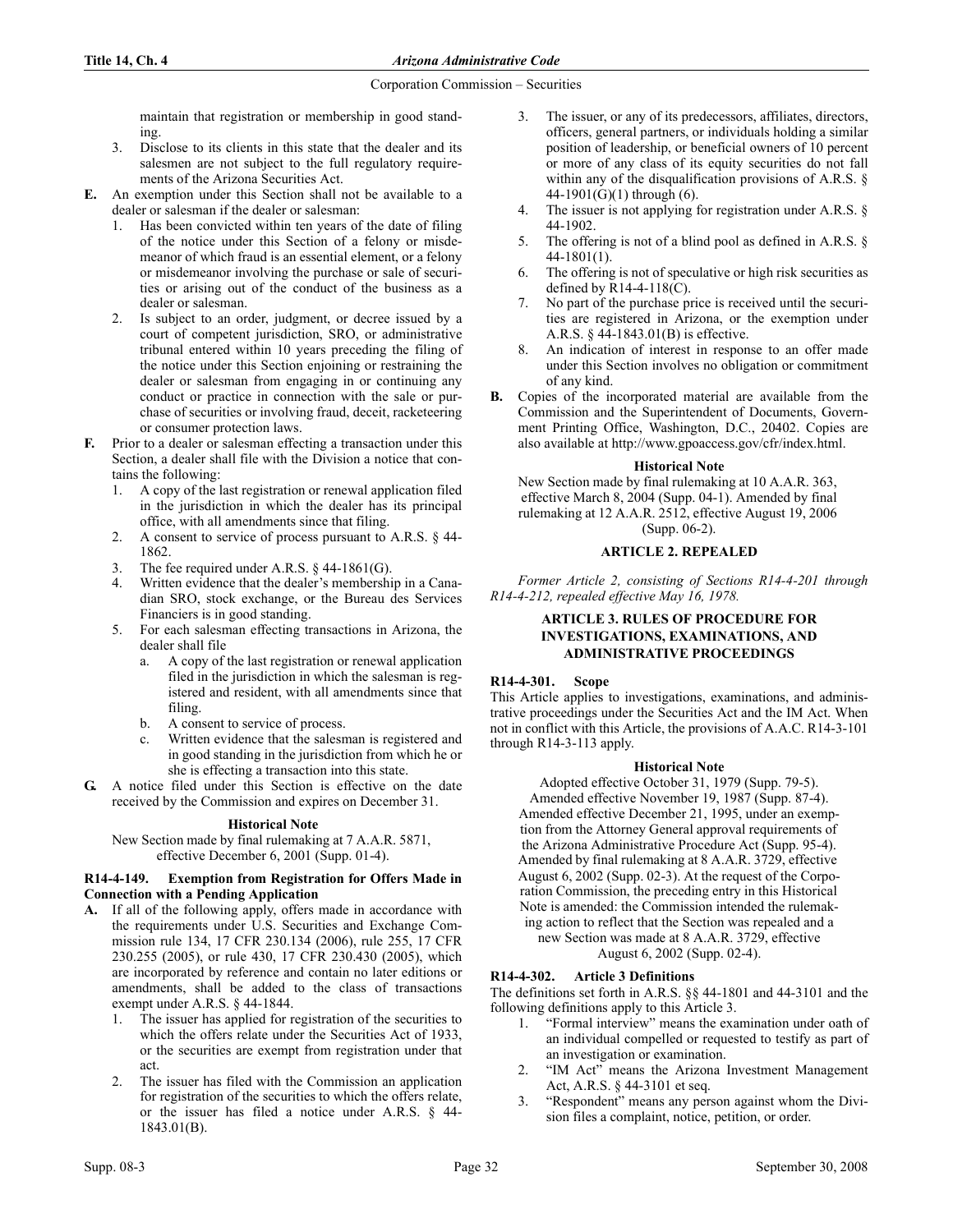maintain that registration or membership in good standing.

- 3. Disclose to its clients in this state that the dealer and its salesmen are not subject to the full regulatory requirements of the Arizona Securities Act.
- E. An exemption under this Section shall not be available to a dealer or salesman if the dealer or salesman:
	- 1. Has been convicted within ten years of the date of filing of the notice under this Section of a felony or misdemeanor of which fraud is an essential element, or a felony or misdemeanor involving the purchase or sale of securities or arising out of the conduct of the business as a dealer or salesman.
	- 2. Is subject to an order, judgment, or decree issued by a court of competent jurisdiction, SRO, or administrative tribunal entered within 10 years preceding the filing of the notice under this Section enjoining or restraining the dealer or salesman from engaging in or continuing any conduct or practice in connection with the sale or purchase of securities or involving fraud, deceit, racketeering or consumer protection laws.
- F. Prior to a dealer or salesman effecting a transaction under this Section, a dealer shall file with the Division a notice that contains the following:
	- 1. A copy of the last registration or renewal application filed in the jurisdiction in which the dealer has its principal office, with all amendments since that filing.
	- 2. A consent to service of process pursuant to A.R.S. § 44- 1862.
	- 3. The fee required under A.R.S.  $\S$  44-1861(G).
	- Written evidence that the dealer's membership in a Canadian SRO, stock exchange, or the Bureau des Services Financiers is in good standing.
	- 5. For each salesman effecting transactions in Arizona, the dealer shall file
		- a. A copy of the last registration or renewal application filed in the jurisdiction in which the salesman is registered and resident, with all amendments since that filing.
		- b. A consent to service of process.
		- c. Written evidence that the salesman is registered and in good standing in the jurisdiction from which he or she is effecting a transaction into this state.
- G. A notice filed under this Section is effective on the date received by the Commission and expires on December 31.

# **Historical Note**

New Section made by final rulemaking at 7 A.A.R. 5871, effective December 6, 2001 (Supp. 01-4).

# R14-4-149. Exemption from Registration for Offers Made in Connection with a Pending Application

- A. If all of the following apply, offers made in accordance with the requirements under U.S. Securities and Exchange Commission rule 134, 17 CFR 230.134 (2006), rule 255, 17 CFR 230.255 (2005), or rule 430, 17 CFR 230.430 (2005), which are incorporated by reference and contain no later editions or amendments, shall be added to the class of transactions exempt under A.R.S. § 44-1844.
	- 1. The issuer has applied for registration of the securities to which the offers relate under the Securities Act of 1933, or the securities are exempt from registration under that act.
	- 2. The issuer has filed with the Commission an application for registration of the securities to which the offers relate, or the issuer has filed a notice under A.R.S. § 44- 1843.01(B).
- 3. The issuer, or any of its predecessors, affiliates, directors, officers, general partners, or individuals holding a similar position of leadership, or beneficial owners of 10 percent or more of any class of its equity securities do not fall within any of the disqualification provisions of A.R.S. § 44-1901 $(G)(1)$  through  $(6)$ .
- 4. The issuer is not applying for registration under A.R.S. § 44-1902.
- 5. The offering is not of a blind pool as defined in A.R.S. § 44-1801(1).
- 6. The offering is not of speculative or high risk securities as defined by R14-4-118(C).
- 7. No part of the purchase price is received until the securities are registered in Arizona, or the exemption under A.R.S. § 44-1843.01(B) is effective.
- 8. An indication of interest in response to an offer made under this Section involves no obligation or commitment of any kind.
- B. Copies of the incorporated material are available from the Commission and the Superintendent of Documents, Government Printing Office, Washington, D.C., 20402. Copies are also available at http://www.gpoaccess.gov/cfr/index.html.

## **Historical Note**

New Section made by final rulemaking at 10 A.A.R. 363, effective March 8, 2004 (Supp. 04-1). Amended by final rulemaking at 12 A.A.R. 2512, effective August 19, 2006 (Supp. 06-2).

# ARTICLE 2. REPEALED

Former Article 2, consisting of Sections R14-4-201 through R14-4-212, repealed effective May 16, 1978.

# ARTICLE 3. RULES OF PROCEDURE FOR INVESTIGATIONS, EXAMINATIONS, AND ADMINISTRATIVE PROCEEDINGS

# R14-4-301. Scope

This Article applies to investigations, examinations, and administrative proceedings under the Securities Act and the IM Act. When not in conflict with this Article, the provisions of A.A.C. R14-3-101 through R14-3-113 apply.

## **Historical Note**

Adopted effective October 31, 1979 (Supp. 79-5). Amended effective November 19, 1987 (Supp. 87-4). Amended effective December 21, 1995, under an exemption from the Attorney General approval requirements of the Arizona Administrative Procedure Act (Supp. 95-4). Amended by final rulemaking at 8 A.A.R. 3729, effective August 6, 2002 (Supp. 02-3). At the request of the Corporation Commission, the preceding entry in this Historical Note is amended: the Commission intended the rulemaking action to reflect that the Section was repealed and a new Section was made at 8 A.A.R. 3729, effective August 6, 2002 (Supp. 02-4).

# R14-4-302. Article 3 Definitions

The definitions set forth in A.R.S. §§ 44-1801 and 44-3101 and the following definitions apply to this Article 3.

- 1. "Formal interview" means the examination under oath of an individual compelled or requested to testify as part of an investigation or examination.
- 2. "IM Act" means the Arizona Investment Management Act, A.R.S. § 44-3101 et seq.
- 3. "Respondent" means any person against whom the Division files a complaint, notice, petition, or order.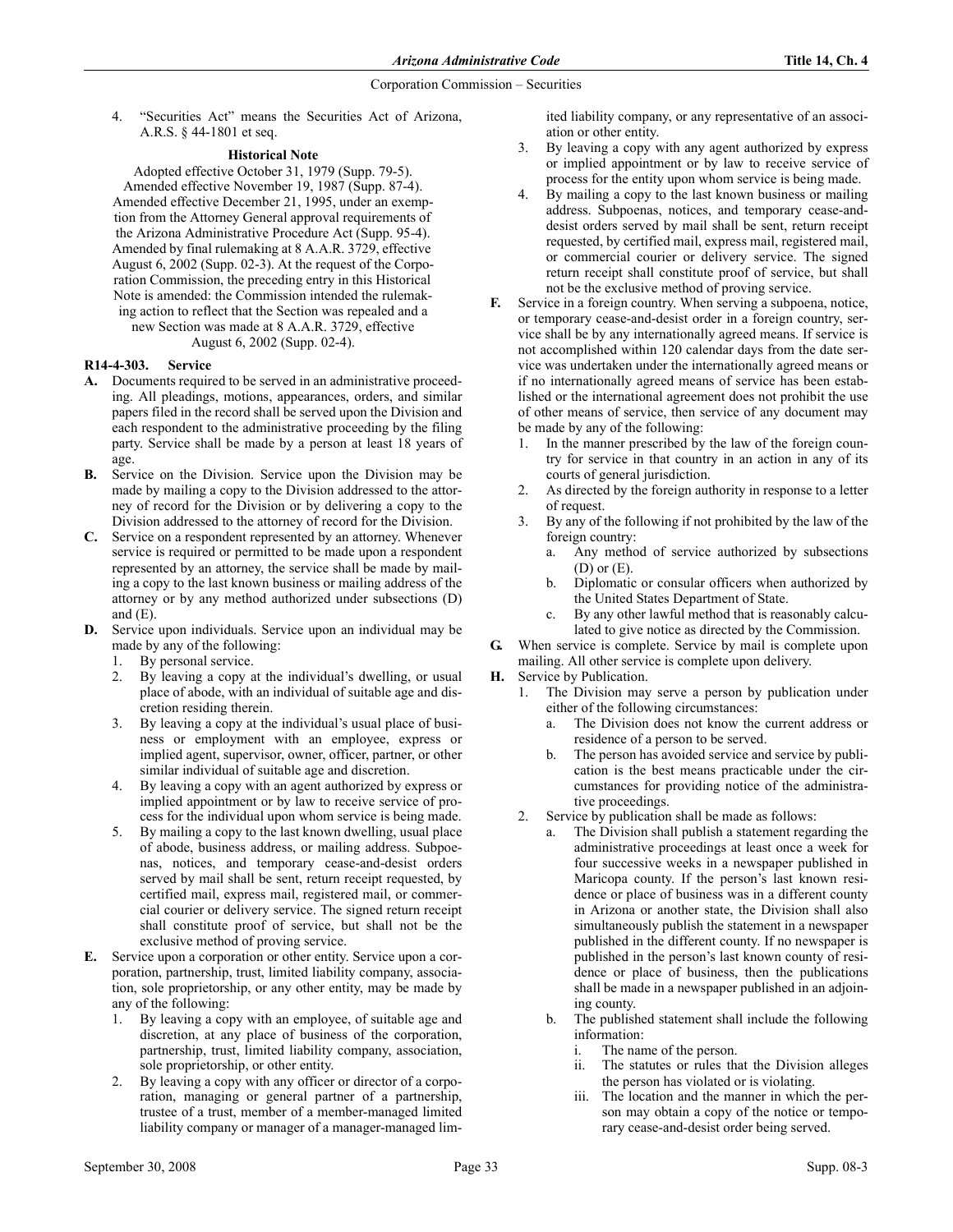4. "Securities Act" means the Securities Act of Arizona, A.R.S. § 44-1801 et seq.

## **Historical Note**

Adopted effective October 31, 1979 (Supp. 79-5). Amended effective November 19, 1987 (Supp. 87-4). Amended effective December 21, 1995, under an exemption from the Attorney General approval requirements of the Arizona Administrative Procedure Act (Supp. 95-4). Amended by final rulemaking at 8 A.A.R. 3729, effective August 6, 2002 (Supp. 02-3). At the request of the Corporation Commission, the preceding entry in this Historical Note is amended: the Commission intended the rulemaking action to reflect that the Section was repealed and a new Section was made at 8 A.A.R. 3729, effective August 6, 2002 (Supp. 02-4).

# R14-4-303. Service

- A. Documents required to be served in an administrative proceeding. All pleadings, motions, appearances, orders, and similar papers filed in the record shall be served upon the Division and each respondent to the administrative proceeding by the filing party. Service shall be made by a person at least 18 years of age.
- B. Service on the Division. Service upon the Division may be made by mailing a copy to the Division addressed to the attorney of record for the Division or by delivering a copy to the Division addressed to the attorney of record for the Division.
- C. Service on a respondent represented by an attorney. Whenever service is required or permitted to be made upon a respondent represented by an attorney, the service shall be made by mailing a copy to the last known business or mailing address of the attorney or by any method authorized under subsections (D) and  $(E)$ .
- D. Service upon individuals. Service upon an individual may be made by any of the following:
	- 1. By personal service.
	- 2. By leaving a copy at the individual's dwelling, or usual place of abode, with an individual of suitable age and discretion residing therein.
	- 3. By leaving a copy at the individual's usual place of business or employment with an employee, express or implied agent, supervisor, owner, officer, partner, or other similar individual of suitable age and discretion.
	- 4. By leaving a copy with an agent authorized by express or implied appointment or by law to receive service of process for the individual upon whom service is being made.
	- 5. By mailing a copy to the last known dwelling, usual place of abode, business address, or mailing address. Subpoenas, notices, and temporary cease-and-desist orders served by mail shall be sent, return receipt requested, by certified mail, express mail, registered mail, or commercial courier or delivery service. The signed return receipt shall constitute proof of service, but shall not be the exclusive method of proving service.
- E. Service upon a corporation or other entity. Service upon a corporation, partnership, trust, limited liability company, association, sole proprietorship, or any other entity, may be made by any of the following:
	- 1. By leaving a copy with an employee, of suitable age and discretion, at any place of business of the corporation, partnership, trust, limited liability company, association, sole proprietorship, or other entity.
	- 2. By leaving a copy with any officer or director of a corporation, managing or general partner of a partnership, trustee of a trust, member of a member-managed limited liability company or manager of a manager-managed lim-

ited liability company, or any representative of an association or other entity.

- 3. By leaving a copy with any agent authorized by express or implied appointment or by law to receive service of process for the entity upon whom service is being made.
- 4. By mailing a copy to the last known business or mailing address. Subpoenas, notices, and temporary cease-anddesist orders served by mail shall be sent, return receipt requested, by certified mail, express mail, registered mail, or commercial courier or delivery service. The signed return receipt shall constitute proof of service, but shall not be the exclusive method of proving service.
- F. Service in a foreign country. When serving a subpoena, notice, or temporary cease-and-desist order in a foreign country, service shall be by any internationally agreed means. If service is not accomplished within 120 calendar days from the date service was undertaken under the internationally agreed means or if no internationally agreed means of service has been established or the international agreement does not prohibit the use of other means of service, then service of any document may be made by any of the following:
	- 1. In the manner prescribed by the law of the foreign country for service in that country in an action in any of its courts of general jurisdiction.
	- 2. As directed by the foreign authority in response to a letter of request.
	- By any of the following if not prohibited by the law of the foreign country:
		- a. Any method of service authorized by subsections (D) or (E).
		- b. Diplomatic or consular officers when authorized by the United States Department of State.
		- By any other lawful method that is reasonably calculated to give notice as directed by the Commission.
- G. When service is complete. Service by mail is complete upon mailing. All other service is complete upon delivery.
- H. Service by Publication.
	- 1. The Division may serve a person by publication under either of the following circumstances:
		- a. The Division does not know the current address or residence of a person to be served.
		- The person has avoided service and service by publication is the best means practicable under the circumstances for providing notice of the administrative proceedings.
	- 2. Service by publication shall be made as follows:
		- a. The Division shall publish a statement regarding the administrative proceedings at least once a week for four successive weeks in a newspaper published in Maricopa county. If the person's last known residence or place of business was in a different county in Arizona or another state, the Division shall also simultaneously publish the statement in a newspaper published in the different county. If no newspaper is published in the person's last known county of residence or place of business, then the publications shall be made in a newspaper published in an adjoining county.
		- b. The published statement shall include the following information:
			- The name of the person.
			- ii. The statutes or rules that the Division alleges the person has violated or is violating.
			- iii. The location and the manner in which the person may obtain a copy of the notice or temporary cease-and-desist order being served.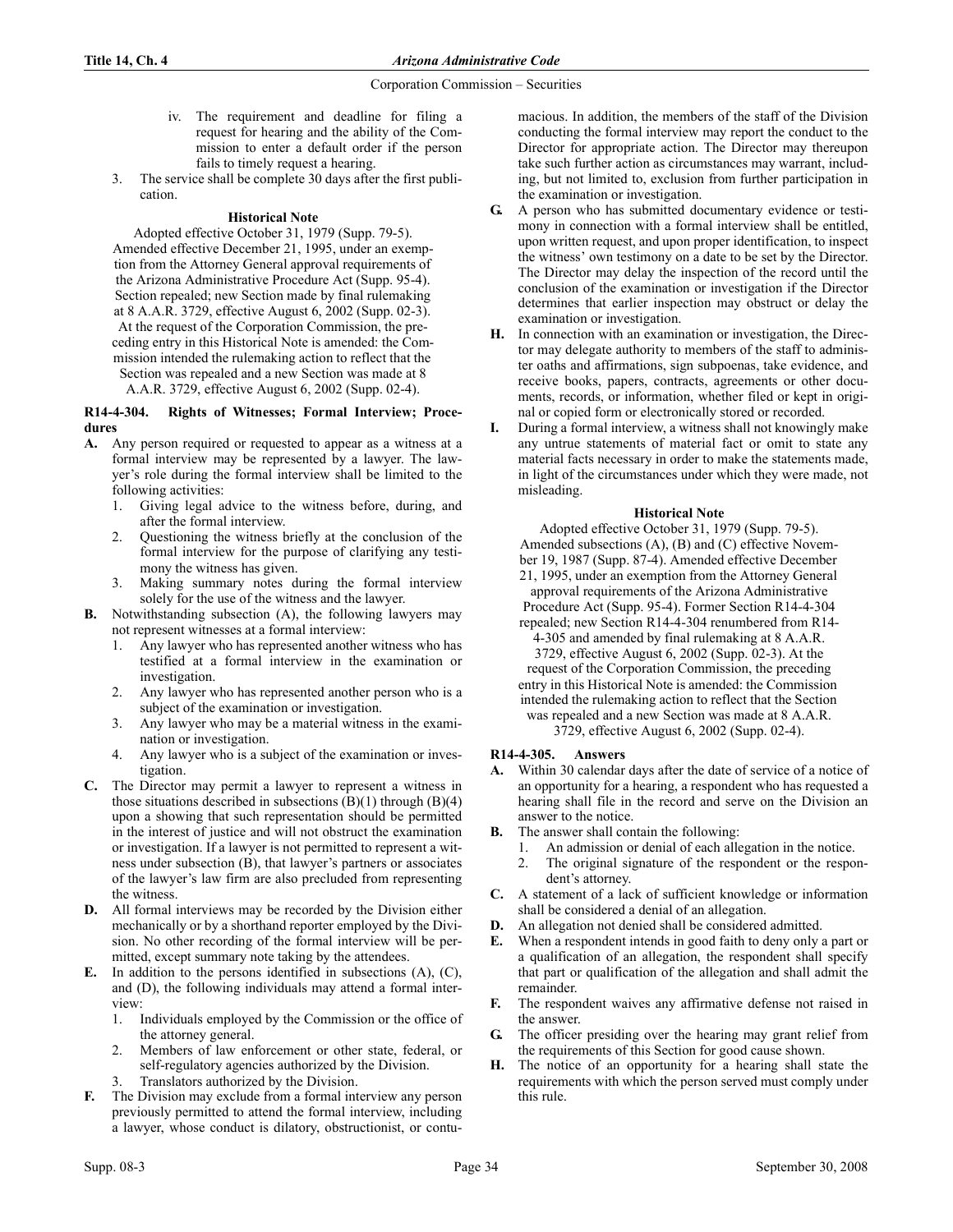- iv. The requirement and deadline for filing a request for hearing and the ability of the Commission to enter a default order if the person fails to timely request a hearing.
- 3. The service shall be complete 30 days after the first publication.

# **Historical Note**

Adopted effective October 31, 1979 (Supp. 79-5). Amended effective December 21, 1995, under an exemption from the Attorney General approval requirements of the Arizona Administrative Procedure Act (Supp. 95-4). Section repealed; new Section made by final rulemaking at 8 A.A.R. 3729, effective August 6, 2002 (Supp. 02-3). At the request of the Corporation Commission, the preceding entry in this Historical Note is amended: the Commission intended the rulemaking action to reflect that the Section was repealed and a new Section was made at 8 A.A.R. 3729, effective August 6, 2002 (Supp. 02-4).

#### R14-4-304. Rights of Witnesses; Formal Interview; Procedures

- A. Any person required or requested to appear as a witness at a formal interview may be represented by a lawyer. The lawyer's role during the formal interview shall be limited to the following activities:
	- 1. Giving legal advice to the witness before, during, and after the formal interview.
	- 2. Questioning the witness briefly at the conclusion of the formal interview for the purpose of clarifying any testimony the witness has given.
	- 3. Making summary notes during the formal interview solely for the use of the witness and the lawyer.
- B. Notwithstanding subsection (A), the following lawyers may not represent witnesses at a formal interview:
	- 1. Any lawyer who has represented another witness who has testified at a formal interview in the examination or investigation.
	- 2. Any lawyer who has represented another person who is a subject of the examination or investigation.
	- 3. Any lawyer who may be a material witness in the examination or investigation.
	- 4. Any lawyer who is a subject of the examination or investigation.
- C. The Director may permit a lawyer to represent a witness in those situations described in subsections  $(B)(1)$  through  $(B)(4)$ upon a showing that such representation should be permitted in the interest of justice and will not obstruct the examination or investigation. If a lawyer is not permitted to represent a witness under subsection (B), that lawyer's partners or associates of the lawyer's law firm are also precluded from representing the witness.
- D. All formal interviews may be recorded by the Division either mechanically or by a shorthand reporter employed by the Division. No other recording of the formal interview will be permitted, except summary note taking by the attendees.
- E. In addition to the persons identified in subsections (A), (C), and (D), the following individuals may attend a formal interview:
	- 1. Individuals employed by the Commission or the office of the attorney general.
	- 2. Members of law enforcement or other state, federal, or self-regulatory agencies authorized by the Division.
	- Translators authorized by the Division.
- F. The Division may exclude from a formal interview any person previously permitted to attend the formal interview, including a lawyer, whose conduct is dilatory, obstructionist, or contu-

macious. In addition, the members of the staff of the Division conducting the formal interview may report the conduct to the Director for appropriate action. The Director may thereupon take such further action as circumstances may warrant, including, but not limited to, exclusion from further participation in the examination or investigation.

- G. A person who has submitted documentary evidence or testimony in connection with a formal interview shall be entitled, upon written request, and upon proper identification, to inspect the witness' own testimony on a date to be set by the Director. The Director may delay the inspection of the record until the conclusion of the examination or investigation if the Director determines that earlier inspection may obstruct or delay the examination or investigation.
- H. In connection with an examination or investigation, the Director may delegate authority to members of the staff to administer oaths and affirmations, sign subpoenas, take evidence, and receive books, papers, contracts, agreements or other documents, records, or information, whether filed or kept in original or copied form or electronically stored or recorded.
- I. During a formal interview, a witness shall not knowingly make any untrue statements of material fact or omit to state any material facts necessary in order to make the statements made, in light of the circumstances under which they were made, not misleading.

## **Historical Note**

Adopted effective October 31, 1979 (Supp. 79-5). Amended subsections (A), (B) and (C) effective November 19, 1987 (Supp. 87-4). Amended effective December 21, 1995, under an exemption from the Attorney General approval requirements of the Arizona Administrative

Procedure Act (Supp. 95-4). Former Section R14-4-304 repealed; new Section R14-4-304 renumbered from R14-

4-305 and amended by final rulemaking at 8 A.A.R. 3729, effective August 6, 2002 (Supp. 02-3). At the request of the Corporation Commission, the preceding entry in this Historical Note is amended: the Commission intended the rulemaking action to reflect that the Section was repealed and a new Section was made at 8 A.A.R. 3729, effective August 6, 2002 (Supp. 02-4).

# R14-4-305. Answers

- A. Within 30 calendar days after the date of service of a notice of an opportunity for a hearing, a respondent who has requested a hearing shall file in the record and serve on the Division an answer to the notice.
- B. The answer shall contain the following:
	- 1. An admission or denial of each allegation in the notice.
	- 2. The original signature of the respondent or the respondent's attorney.
- C. A statement of a lack of sufficient knowledge or information shall be considered a denial of an allegation.
- D. An allegation not denied shall be considered admitted.
- E. When a respondent intends in good faith to deny only a part or a qualification of an allegation, the respondent shall specify that part or qualification of the allegation and shall admit the remainder.
- F. The respondent waives any affirmative defense not raised in the answer.
- G. The officer presiding over the hearing may grant relief from the requirements of this Section for good cause shown.
- H. The notice of an opportunity for a hearing shall state the requirements with which the person served must comply under this rule.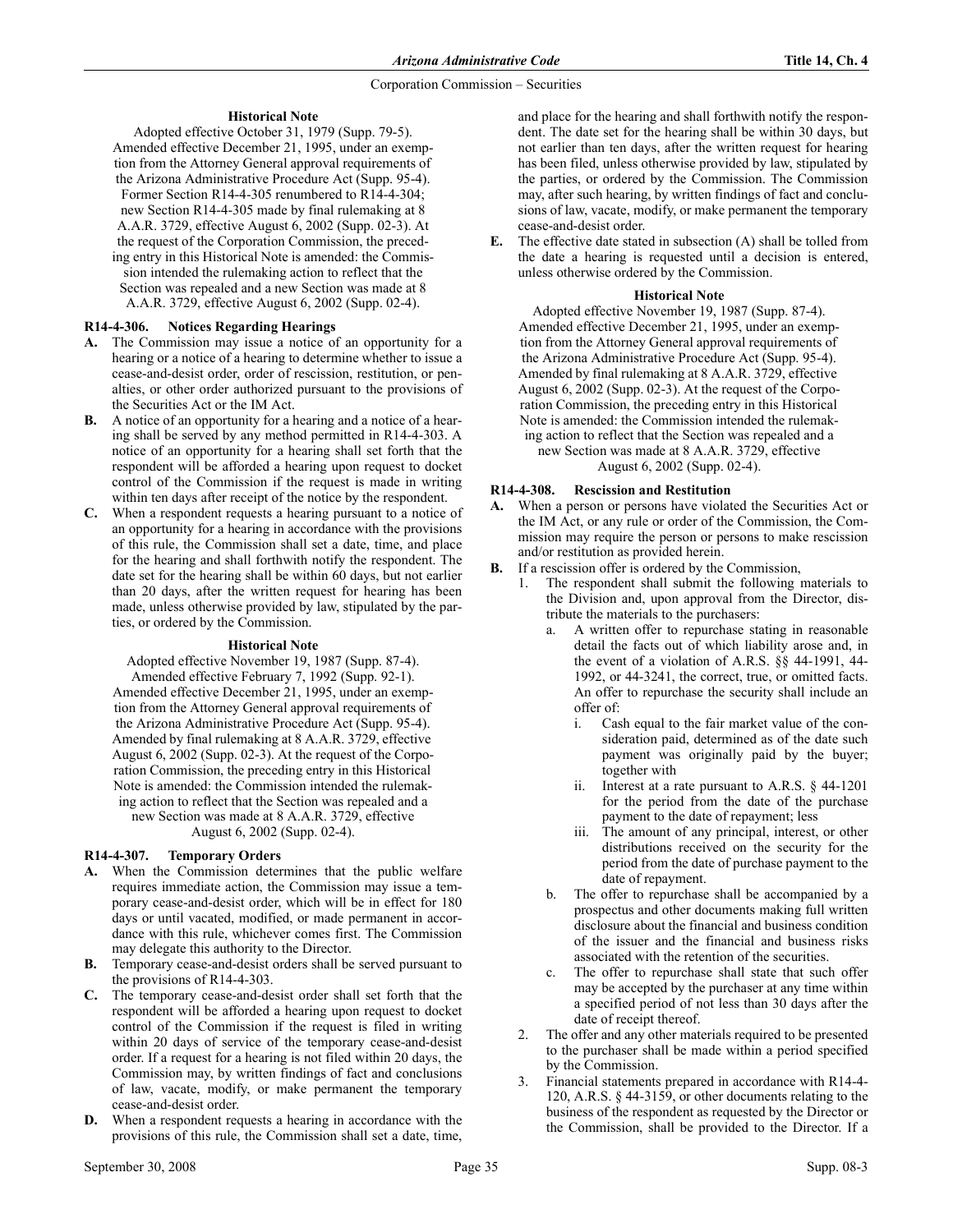# **Historical Note**

Adopted effective October 31, 1979 (Supp. 79-5). Amended effective December 21, 1995, under an exemption from the Attorney General approval requirements of the Arizona Administrative Procedure Act (Supp. 95-4). Former Section R14-4-305 renumbered to R14-4-304; new Section R14-4-305 made by final rulemaking at 8 A.A.R. 3729, effective August 6, 2002 (Supp. 02-3). At the request of the Corporation Commission, the preceding entry in this Historical Note is amended: the Commission intended the rulemaking action to reflect that the Section was repealed and a new Section was made at 8 A.A.R. 3729, effective August 6, 2002 (Supp. 02-4).

# R14-4-306. Notices Regarding Hearings

- A. The Commission may issue a notice of an opportunity for a hearing or a notice of a hearing to determine whether to issue a cease-and-desist order, order of rescission, restitution, or penalties, or other order authorized pursuant to the provisions of the Securities Act or the IM Act.
- B. A notice of an opportunity for a hearing and a notice of a hearing shall be served by any method permitted in R14-4-303. A notice of an opportunity for a hearing shall set forth that the respondent will be afforded a hearing upon request to docket control of the Commission if the request is made in writing within ten days after receipt of the notice by the respondent.
- C. When a respondent requests a hearing pursuant to a notice of an opportunity for a hearing in accordance with the provisions of this rule, the Commission shall set a date, time, and place for the hearing and shall forthwith notify the respondent. The date set for the hearing shall be within 60 days, but not earlier than 20 days, after the written request for hearing has been made, unless otherwise provided by law, stipulated by the parties, or ordered by the Commission.

## **Historical Note**

Adopted effective November 19, 1987 (Supp. 87-4). Amended effective February 7, 1992 (Supp. 92-1). Amended effective December 21, 1995, under an exemption from the Attorney General approval requirements of the Arizona Administrative Procedure Act (Supp. 95-4). Amended by final rulemaking at 8 A.A.R. 3729, effective August 6, 2002 (Supp. 02-3). At the request of the Corporation Commission, the preceding entry in this Historical Note is amended: the Commission intended the rulemaking action to reflect that the Section was repealed and a new Section was made at 8 A.A.R. 3729, effective August 6, 2002 (Supp. 02-4).

# R14-4-307. Temporary Orders

- A. When the Commission determines that the public welfare requires immediate action, the Commission may issue a temporary cease-and-desist order, which will be in effect for 180 days or until vacated, modified, or made permanent in accordance with this rule, whichever comes first. The Commission may delegate this authority to the Director.
- B. Temporary cease-and-desist orders shall be served pursuant to the provisions of R14-4-303.
- C. The temporary cease-and-desist order shall set forth that the respondent will be afforded a hearing upon request to docket control of the Commission if the request is filed in writing within 20 days of service of the temporary cease-and-desist order. If a request for a hearing is not filed within 20 days, the Commission may, by written findings of fact and conclusions of law, vacate, modify, or make permanent the temporary cease-and-desist order.
- D. When a respondent requests a hearing in accordance with the provisions of this rule, the Commission shall set a date, time,

and place for the hearing and shall forthwith notify the respondent. The date set for the hearing shall be within 30 days, but not earlier than ten days, after the written request for hearing has been filed, unless otherwise provided by law, stipulated by the parties, or ordered by the Commission. The Commission may, after such hearing, by written findings of fact and conclusions of law, vacate, modify, or make permanent the temporary cease-and-desist order.

E. The effective date stated in subsection (A) shall be tolled from the date a hearing is requested until a decision is entered, unless otherwise ordered by the Commission.

# **Historical Note**

Adopted effective November 19, 1987 (Supp. 87-4). Amended effective December 21, 1995, under an exemption from the Attorney General approval requirements of the Arizona Administrative Procedure Act (Supp. 95-4). Amended by final rulemaking at 8 A.A.R. 3729, effective August 6, 2002 (Supp. 02-3). At the request of the Corporation Commission, the preceding entry in this Historical Note is amended: the Commission intended the rulemaking action to reflect that the Section was repealed and a new Section was made at 8 A.A.R. 3729, effective August 6, 2002 (Supp. 02-4).

# R14-4-308. Rescission and Restitution

- A. When a person or persons have violated the Securities Act or the IM Act, or any rule or order of the Commission, the Commission may require the person or persons to make rescission and/or restitution as provided herein.
- B. If a rescission offer is ordered by the Commission,
	- 1. The respondent shall submit the following materials to the Division and, upon approval from the Director, distribute the materials to the purchasers:
		- a. A written offer to repurchase stating in reasonable detail the facts out of which liability arose and, in the event of a violation of A.R.S. §§ 44-1991, 44- 1992, or 44-3241, the correct, true, or omitted facts. An offer to repurchase the security shall include an offer of:
			- i. Cash equal to the fair market value of the consideration paid, determined as of the date such payment was originally paid by the buyer; together with
			- ii. Interest at a rate pursuant to A.R.S. § 44-1201 for the period from the date of the purchase payment to the date of repayment; less
			- iii. The amount of any principal, interest, or other distributions received on the security for the period from the date of purchase payment to the date of repayment.
		- b. The offer to repurchase shall be accompanied by a prospectus and other documents making full written disclosure about the financial and business condition of the issuer and the financial and business risks associated with the retention of the securities.
		- c. The offer to repurchase shall state that such offer may be accepted by the purchaser at any time within a specified period of not less than 30 days after the date of receipt thereof.
	- 2. The offer and any other materials required to be presented to the purchaser shall be made within a period specified by the Commission.
	- 3. Financial statements prepared in accordance with R14-4- 120, A.R.S. § 44-3159, or other documents relating to the business of the respondent as requested by the Director or the Commission, shall be provided to the Director. If a